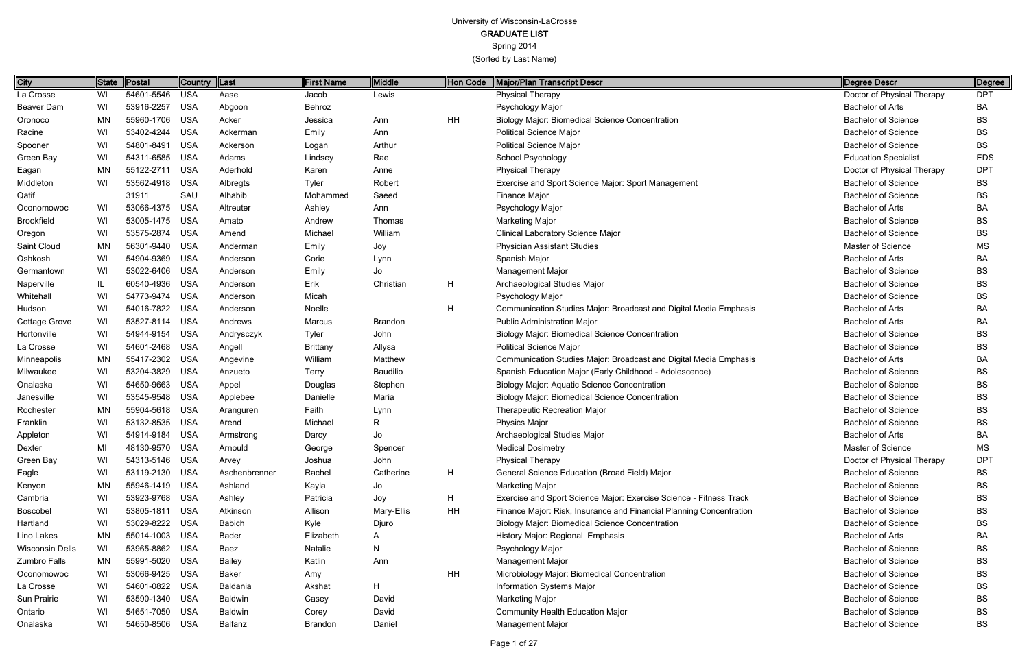Spring 2014

(Sorted by Last Name)

Page 1 of 27

| City                   |           | State Postal   | Country  Last |                | First Name      | Middle     | Hon Code | Major/Plan Transcript Descr                                         | Degree Descr                | Degree     |
|------------------------|-----------|----------------|---------------|----------------|-----------------|------------|----------|---------------------------------------------------------------------|-----------------------------|------------|
| La Crosse              | WI        | 54601-5546     | USA           | Aase           | Jacob           | Lewis      |          | <b>Physical Therapy</b>                                             | Doctor of Physical Therapy  | <b>DPT</b> |
| Beaver Dam             | WI        | 53916-2257     | USA           | Abgoon         | Behroz          |            |          | Psychology Major                                                    | <b>Bachelor of Arts</b>     | BA         |
| Oronoco                | <b>MN</b> | 55960-1706 USA |               | Acker          | Jessica         | Ann        | HH       | <b>Biology Major: Biomedical Science Concentration</b>              | <b>Bachelor of Science</b>  | <b>BS</b>  |
| Racine                 | WI        | 53402-4244     | <b>USA</b>    | Ackerman       | Emily           | Ann        |          | <b>Political Science Major</b>                                      | <b>Bachelor of Science</b>  | <b>BS</b>  |
| Spooner                | WI        | 54801-8491     | <b>USA</b>    | Ackerson       | Logan           | Arthur     |          | <b>Political Science Major</b>                                      | <b>Bachelor of Science</b>  | <b>BS</b>  |
| Green Bay              | WI        | 54311-6585 USA |               | Adams          | Lindsey         | Rae        |          | School Psychology                                                   | <b>Education Specialist</b> | <b>EDS</b> |
| Eagan                  | <b>MN</b> | 55122-2711 USA |               | Aderhold       | Karen           | Anne       |          | <b>Physical Therapy</b>                                             | Doctor of Physical Therapy  | <b>DPT</b> |
| Middleton              | WI        | 53562-4918 USA |               | Albregts       | <b>Tyler</b>    | Robert     |          | Exercise and Sport Science Major: Sport Management                  | <b>Bachelor of Science</b>  | BS         |
| Qatif                  |           | 31911          | SAU           | Alhabib        | Mohammed        | Saeed      |          | Finance Major                                                       | <b>Bachelor of Science</b>  | <b>BS</b>  |
| Oconomowoc             | WI        | 53066-4375     | USA           | Altreuter      | Ashley          | Ann        |          | Psychology Major                                                    | <b>Bachelor of Arts</b>     | BA         |
| <b>Brookfield</b>      | WI        | 53005-1475 USA |               | Amato          | Andrew          | Thomas     |          | <b>Marketing Major</b>                                              | <b>Bachelor of Science</b>  | <b>BS</b>  |
| Oregon                 | WI        | 53575-2874     | <b>USA</b>    | Amend          | Michael         | William    |          | Clinical Laboratory Science Major                                   | <b>Bachelor of Science</b>  | <b>BS</b>  |
| Saint Cloud            | <b>MN</b> | 56301-9440     | USA           | Anderman       | Emily           | Joy        |          | <b>Physician Assistant Studies</b>                                  | <b>Master of Science</b>    | MS         |
| Oshkosh                | WI        | 54904-9369 USA |               | Anderson       | Corie           | Lynn       |          | Spanish Major                                                       | Bachelor of Arts            | BA         |
| Germantown             | WI        | 53022-6406 USA |               | Anderson       | Emily           | Jo         |          | Management Major                                                    | <b>Bachelor of Science</b>  | <b>BS</b>  |
| Naperville             | IL.       | 60540-4936     | USA           | Anderson       | Erik            | Christian  | H        | Archaeological Studies Major                                        | <b>Bachelor of Science</b>  | BS         |
| Whitehall              | WI        | 54773-9474 USA |               | Anderson       | Micah           |            |          | Psychology Major                                                    | <b>Bachelor of Science</b>  | <b>BS</b>  |
| Hudson                 | WI        | 54016-7822 USA |               | Anderson       | Noelle          |            | H        | Communication Studies Major: Broadcast and Digital Media Emphasis   | <b>Bachelor of Arts</b>     | BA         |
| Cottage Grove          | WI        | 53527-8114 USA |               | Andrews        | Marcus          | Brandon    |          | <b>Public Administration Major</b>                                  | Bachelor of Arts            | BA         |
| Hortonville            | WI        | 54944-9154     | <b>USA</b>    | Andrysczyk     | <b>Tyler</b>    | John       |          | <b>Biology Major: Biomedical Science Concentration</b>              | <b>Bachelor of Science</b>  | <b>BS</b>  |
| La Crosse              | WI        | 54601-2468 USA |               | Angell         | <b>Brittany</b> | Allysa     |          | <b>Political Science Major</b>                                      | <b>Bachelor of Science</b>  | <b>BS</b>  |
| Minneapolis            | ΜN        | 55417-2302 USA |               | Angevine       | William         | Matthew    |          | Communication Studies Major: Broadcast and Digital Media Emphasis   | <b>Bachelor of Arts</b>     | BA         |
| Milwaukee              | WI        | 53204-3829 USA |               | Anzueto        | Terry           | Baudilio   |          | Spanish Education Major (Early Childhood - Adolescence)             | <b>Bachelor of Science</b>  | <b>BS</b>  |
| Onalaska               | WI        | 54650-9663     | USA           | Appel          | Douglas         | Stephen    |          | <b>Biology Major: Aquatic Science Concentration</b>                 | <b>Bachelor of Science</b>  | BS         |
| Janesville             | WI        | 53545-9548 USA |               | Applebee       | Danielle        | Maria      |          | <b>Biology Major: Biomedical Science Concentration</b>              | <b>Bachelor of Science</b>  | <b>BS</b>  |
| Rochester              | MN        | 55904-5618 USA |               | Aranguren      | Faith           | Lynn       |          | Therapeutic Recreation Major                                        | <b>Bachelor of Science</b>  | <b>BS</b>  |
| Franklin               | WI        | 53132-8535 USA |               | Arend          | Michael         | R          |          | <b>Physics Major</b>                                                | <b>Bachelor of Science</b>  | <b>BS</b>  |
| Appleton               | WI        | 54914-9184 USA |               | Armstrong      | Darcy           | Jo         |          | Archaeological Studies Major                                        | <b>Bachelor of Arts</b>     | BA         |
| Dexter                 | MI        | 48130-9570 USA |               | Arnould        | George          | Spencer    |          | <b>Medical Dosimetry</b>                                            | Master of Science           | ΜS         |
| Green Bay              | WI        | 54313-5146 USA |               | Arvey          | Joshua          | John       |          | <b>Physical Therapy</b>                                             | Doctor of Physical Therapy  | <b>DPT</b> |
| Eagle                  | WI        | 53119-2130 USA |               | Aschenbrenner  | Rachel          | Catherine  | H        | General Science Education (Broad Field) Major                       | <b>Bachelor of Science</b>  | BS         |
| Kenyon                 | ΜN        | 55946-1419 USA |               | Ashland        | Kayla           | Jo         |          | <b>Marketing Major</b>                                              | <b>Bachelor of Science</b>  | <b>BS</b>  |
| Cambria                | WI        | 53923-9768 USA |               | Ashley         | Patricia        | Joy        | H        | Exercise and Sport Science Major: Exercise Science - Fitness Track  | <b>Bachelor of Science</b>  | <b>BS</b>  |
| Boscobel               | WI        | 53805-1811 USA |               | Atkinson       | Allison         | Mary-Ellis | HH       | Finance Major: Risk, Insurance and Financial Planning Concentration | <b>Bachelor of Science</b>  | <b>BS</b>  |
| Hartland               | WI        | 53029-8222 USA |               | <b>Babich</b>  | Kyle            | Djuro      |          | <b>Biology Major: Biomedical Science Concentration</b>              | <b>Bachelor of Science</b>  | <b>BS</b>  |
| Lino Lakes             | MN        | 55014-1003 USA |               | Bader          | Elizabeth       |            |          | History Major: Regional Emphasis                                    | Bachelor of Arts            | BA         |
| <b>Wisconsin Dells</b> | WI        | 53965-8862 USA |               | Baez           | Natalie         |            |          | Psychology Major                                                    | <b>Bachelor of Science</b>  | BS         |
| Zumbro Falls           | MN        | 55991-5020 USA |               | <b>Bailey</b>  | Katlin          | Ann        |          | Management Major                                                    | <b>Bachelor of Science</b>  | <b>BS</b>  |
| Oconomowoc             | WI        | 53066-9425 USA |               | Baker          | Amy             |            | HH       | Microbiology Major: Biomedical Concentration                        | <b>Bachelor of Science</b>  | <b>BS</b>  |
| La Crosse              | WI        | 54601-0822 USA |               | Baldania       | Akshat          | H          |          | Information Systems Major                                           | <b>Bachelor of Science</b>  | <b>BS</b>  |
| Sun Prairie            | WI        | 53590-1340 USA |               | <b>Baldwin</b> | Casey           | David      |          | <b>Marketing Major</b>                                              | <b>Bachelor of Science</b>  | <b>BS</b>  |
| Ontario                | WI        | 54651-7050 USA |               | <b>Baldwin</b> | Corey           | David      |          | <b>Community Health Education Major</b>                             | <b>Bachelor of Science</b>  | <b>BS</b>  |
| Onalaska               | WI        | 54650-8506 USA |               | Balfanz        | <b>Brandon</b>  | Daniel     |          | Management Major                                                    | <b>Bachelor of Science</b>  | BS         |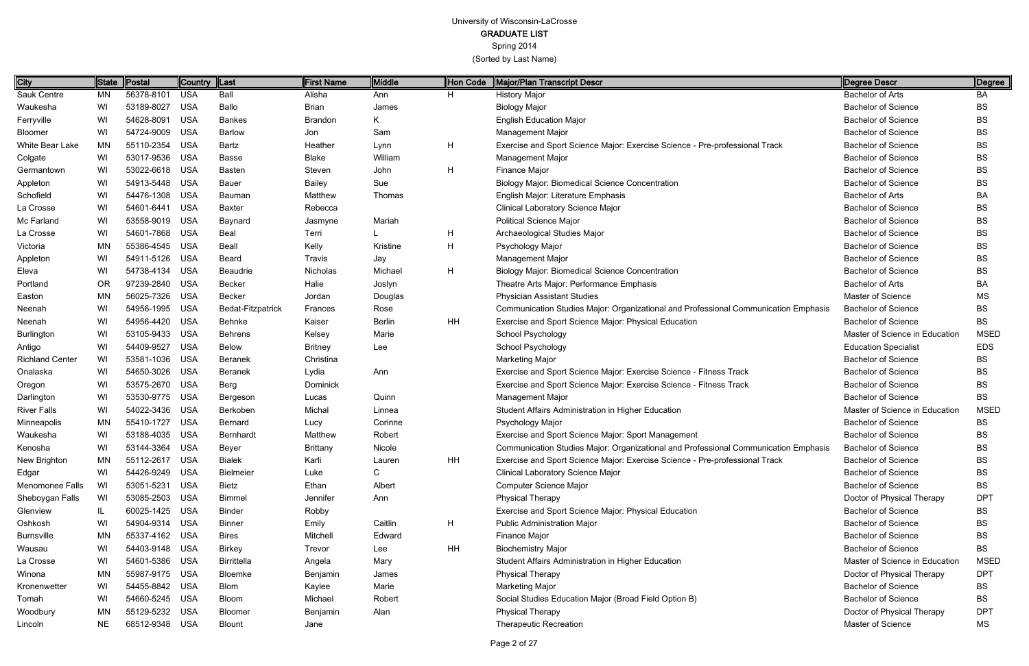GRADUATE LIST

Spring 2014

(Sorted by Last Name)

Page 2 of 27

| City                   | <b>State</b> | Postal         | <b>Country</b> | ∥Last              | <b>First Name</b> | <b>Middle</b> | Hon Code  | Major/Plan Transcript Descr                                                         | Degree Descr                   | Degree      |
|------------------------|--------------|----------------|----------------|--------------------|-------------------|---------------|-----------|-------------------------------------------------------------------------------------|--------------------------------|-------------|
| Sauk Centre            | ΜN           | 56378-8101     | <b>USA</b>     | Ball               | Alisha            | Ann           | H         | <b>History Major</b>                                                                | <b>Bachelor of Arts</b>        | BA          |
| Waukesha               | WI           | 53189-8027     | <b>USA</b>     | Ballo              | <b>Brian</b>      | James         |           | <b>Biology Major</b>                                                                | <b>Bachelor of Science</b>     | BS          |
| Ferryville             | WI           | 54628-8091     | <b>USA</b>     | <b>Bankes</b>      | <b>Brandon</b>    | K.            |           | <b>English Education Major</b>                                                      | <b>Bachelor of Science</b>     | BS          |
| Bloomer                | WI           | 54724-9009     | <b>USA</b>     | <b>Barlow</b>      | Jon               | Sam           |           | Management Major                                                                    | <b>Bachelor of Science</b>     | ВS          |
| White Bear Lake        | MN           | 55110-2354     | USA            | Bartz              | Heather           | Lynn          | H         | Exercise and Sport Science Major: Exercise Science - Pre-professional Track         | <b>Bachelor of Science</b>     | ВS          |
| Colgate                | WI           | 53017-9536 USA |                | <b>Basse</b>       | <b>Blake</b>      | William       |           | Management Major                                                                    | <b>Bachelor of Science</b>     | BS          |
| Germantown             | WI           | 53022-6618 USA |                | <b>Basten</b>      | Steven            | John          | H         | Finance Major                                                                       | <b>Bachelor of Science</b>     | BS          |
| Appleton               | WI           | 54913-5448 USA |                | Bauer              | <b>Bailey</b>     | Sue           |           | <b>Biology Major: Biomedical Science Concentration</b>                              | <b>Bachelor of Science</b>     | BS          |
| Schofield              | WI           | 54476-1308     | USA            | Bauman             | Matthew           | Thomas        |           | English Major: Literature Emphasis                                                  | <b>Bachelor of Arts</b>        | ВA          |
| La Crosse              | WI           | 54601-6441     | <b>USA</b>     | <b>Baxter</b>      | Rebecca           |               |           | <b>Clinical Laboratory Science Major</b>                                            | <b>Bachelor of Science</b>     | BS          |
| Mc Farland             | WI           | 53558-9019 USA |                | Baynard            | Jasmyne           | Mariah        |           | <b>Political Science Major</b>                                                      | <b>Bachelor of Science</b>     | BS          |
| La Crosse              | WI           | 54601-7868 USA |                | <b>Beal</b>        | Terri             |               | H         | Archaeological Studies Major                                                        | <b>Bachelor of Science</b>     | BS          |
| Victoria               | <b>MN</b>    | 55386-4545 USA |                | <b>Beall</b>       | Kelly             | Kristine      | H         | Psychology Major                                                                    | <b>Bachelor of Science</b>     | BS          |
| Appleton               | WI           | 54911-5126 USA |                | Beard              | Travis            | Jay           |           | <b>Management Major</b>                                                             | <b>Bachelor of Science</b>     | BS          |
| Eleva                  | WI           | 54738-4134 USA |                | <b>Beaudrie</b>    | Nicholas          | Michael       | H         | <b>Biology Major: Biomedical Science Concentration</b>                              | <b>Bachelor of Science</b>     | BS          |
| Portland               | OR           | 97239-2840 USA |                | <b>Becker</b>      | Halie             | Joslyn        |           | Theatre Arts Major: Performance Emphasis                                            | <b>Bachelor of Arts</b>        | BA          |
| Easton                 | <b>MN</b>    | 56025-7326     | USA            | <b>Becker</b>      | Jordan            | Douglas       |           | <b>Physician Assistant Studies</b>                                                  | Master of Science              | МS          |
| Neenah                 | WI           | 54956-1995 USA |                | Bedat-Fitzpatrick  | Frances           | Rose          |           | Communication Studies Major: Organizational and Professional Communication Emphasis | <b>Bachelor of Science</b>     | BS          |
| Neenah                 | WI           | 54956-4420 USA |                | Behnke             | Kaiser            | <b>Berlin</b> | HH        | Exercise and Sport Science Major: Physical Education                                | <b>Bachelor of Science</b>     | BS          |
| Burlington             | WI           | 53105-9433 USA |                | <b>Behrens</b>     | Kelsey            | Marie         |           | School Psychology                                                                   | Master of Science in Education | <b>MSED</b> |
| Antigo                 | WI           | 54409-9527     | <b>USA</b>     | <b>Below</b>       | <b>Britney</b>    | Lee           |           | School Psychology                                                                   | <b>Education Specialist</b>    | <b>EDS</b>  |
| <b>Richland Center</b> | WI           | 53581-1036 USA |                | Beranek            | Christina         |               |           | <b>Marketing Major</b>                                                              | <b>Bachelor of Science</b>     | BS          |
| Onalaska               | WI           | 54650-3026 USA |                | Beranek            | Lydia             | Ann           |           | Exercise and Sport Science Major: Exercise Science - Fitness Track                  | <b>Bachelor of Science</b>     | ВS          |
| Oregon                 | WI           | 53575-2670 USA |                | Berg               | Dominick          |               |           | Exercise and Sport Science Major: Exercise Science - Fitness Track                  | <b>Bachelor of Science</b>     | BS          |
| Darlington             | WI           | 53530-9775 USA |                | Bergeson           | Lucas             | Quinn         |           | Management Major                                                                    | <b>Bachelor of Science</b>     | <b>BS</b>   |
| <b>River Falls</b>     | WI           | 54022-3436 USA |                | Berkoben           | Michal            | Linnea        |           | Student Affairs Administration in Higher Education                                  | Master of Science in Education | <b>MSED</b> |
| Minneapolis            | MN           | 55410-1727 USA |                | <b>Bernard</b>     | Lucy              | Corinne       |           | Psychology Major                                                                    | <b>Bachelor of Science</b>     | ВS          |
| Waukesha               | WI           | 53188-4035 USA |                | Bernhardt          | Matthew           | Robert        |           | Exercise and Sport Science Major: Sport Management                                  | <b>Bachelor of Science</b>     | BS          |
| Kenosha                | WI           | 53144-3364     | <b>USA</b>     | Beyer              | <b>Brittany</b>   | Nicole        |           | Communication Studies Major: Organizational and Professional Communication Emphasis | <b>Bachelor of Science</b>     | ВS          |
| New Brighton           | ΜN           | 55112-2617 USA |                | <b>Bialek</b>      | Karli             | Lauren        | <b>HH</b> | Exercise and Sport Science Major: Exercise Science - Pre-professional Track         | <b>Bachelor of Science</b>     | <b>BS</b>   |
| Edgar                  | WI           | 54426-9249 USA |                | Bielmeier          | Luke              | C.            |           | Clinical Laboratory Science Major                                                   | <b>Bachelor of Science</b>     | BS          |
| Menomonee Falls        | WI           | 53051-5231 USA |                | <b>Bietz</b>       | Ethan             | Albert        |           | Computer Science Major                                                              | <b>Bachelor of Science</b>     | BS          |
| Sheboygan Falls        | WI           | 53085-2503 USA |                | <b>Bimmel</b>      | Jennifer          | Ann           |           | <b>Physical Therapy</b>                                                             | Doctor of Physical Therapy     | <b>DPT</b>  |
| Glenview               | IL.          | 60025-1425 USA |                | <b>Binder</b>      | Robby             |               |           | Exercise and Sport Science Major: Physical Education                                | <b>Bachelor of Science</b>     | ВS          |
| Oshkosh                | WI           | 54904-9314 USA |                | <b>Binner</b>      | Emily             | Caitlin       | H         | <b>Public Administration Major</b>                                                  | <b>Bachelor of Science</b>     | ВS          |
| <b>Burnsville</b>      | MN           | 55337-4162 USA |                | <b>Bires</b>       | Mitchell          | Edward        |           | Finance Major                                                                       | <b>Bachelor of Science</b>     | BS          |
| Wausau                 | WI           | 54403-9148 USA |                | <b>Birkey</b>      | Trevor            | Lee           | HH        | <b>Biochemistry Major</b>                                                           | <b>Bachelor of Science</b>     | BS          |
| La Crosse              | WI           | 54601-5386 USA |                | <b>Birrittella</b> | Angela            | Mary          |           | Student Affairs Administration in Higher Education                                  | Master of Science in Education | <b>MSED</b> |
| Winona                 | <b>MN</b>    | 55987-9175 USA |                | Bloemke            | Benjamin          | James         |           | <b>Physical Therapy</b>                                                             | Doctor of Physical Therapy     | <b>DPT</b>  |
| Kronenwetter           | WI           | 54455-8842 USA |                | <b>Blom</b>        | Kaylee            | Marie         |           | <b>Marketing Major</b>                                                              | <b>Bachelor of Science</b>     | BS          |
| Tomah                  | WI           | 54660-5245 USA |                | Bloom              | Michael           | Robert        |           | Social Studies Education Major (Broad Field Option B)                               | <b>Bachelor of Science</b>     | ВS          |
| Woodbury               | MN           | 55129-5232 USA |                | Bloomer            | Benjamin          | Alan          |           | <b>Physical Therapy</b>                                                             | Doctor of Physical Therapy     | <b>DPT</b>  |
| Lincoln                | <b>NE</b>    | 68512-9348 USA |                | <b>Blount</b>      | Jane              |               |           | <b>Therapeutic Recreation</b>                                                       | Master of Science              | МS          |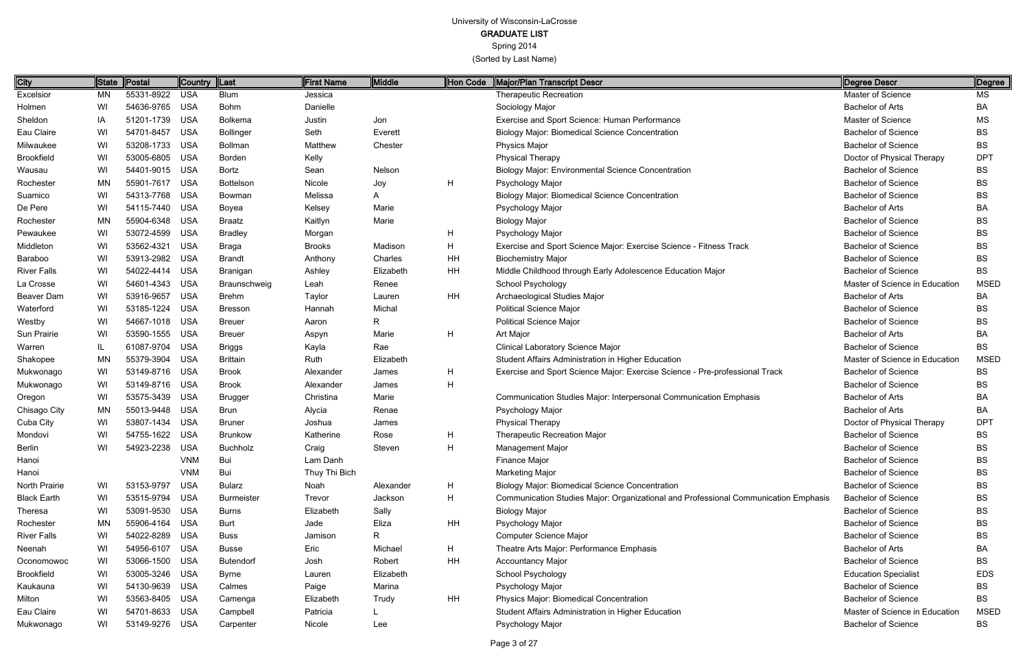Spring 2014

| City               |           | State   Postal | Country  Last |                   | <b>First Name</b> | Middle    | Hon Code | Major/Plan Transcript Descr                                                         | Degree Descr                   | Degree      |
|--------------------|-----------|----------------|---------------|-------------------|-------------------|-----------|----------|-------------------------------------------------------------------------------------|--------------------------------|-------------|
| Excelsior          | MN        | 55331-8922 USA |               | <b>Blum</b>       | Jessica           |           |          | <b>Therapeutic Recreation</b>                                                       | Master of Science              | <b>MS</b>   |
| Holmen             | WI        | 54636-9765 USA |               | <b>Bohm</b>       | Danielle          |           |          | Sociology Major                                                                     | <b>Bachelor of Arts</b>        | BA          |
| Sheldon            | IA        | 51201-1739 USA |               | Bolkema           | Justin            | Jon       |          | Exercise and Sport Science: Human Performance                                       | Master of Science              | MS          |
| Eau Claire         | WI        | 54701-8457     | <b>USA</b>    | <b>Bollinger</b>  | Seth              | Everett   |          | <b>Biology Major: Biomedical Science Concentration</b>                              | <b>Bachelor of Science</b>     | <b>BS</b>   |
| Milwaukee          | WI        | 53208-1733 USA |               | <b>Bollman</b>    | Matthew           | Chester   |          | Physics Major                                                                       | <b>Bachelor of Science</b>     | <b>BS</b>   |
| <b>Brookfield</b>  | WI        | 53005-6805 USA |               | Borden            | Kelly             |           |          | <b>Physical Therapy</b>                                                             | Doctor of Physical Therapy     | <b>DPT</b>  |
| Wausau             | WI        | 54401-9015 USA |               | Bortz             | Sean              | Nelson    |          | <b>Biology Major: Environmental Science Concentration</b>                           | <b>Bachelor of Science</b>     | BS          |
| Rochester          | MN        | 55901-7617     | USA           | Bottelson         | Nicole            | Joy       | H        | Psychology Major                                                                    | <b>Bachelor of Science</b>     | <b>BS</b>   |
| Suamico            | WI        | 54313-7768 USA |               | Bowman            | Melissa           | A         |          | <b>Biology Major: Biomedical Science Concentration</b>                              | <b>Bachelor of Science</b>     | BS          |
| De Pere            | WI        | 54115-7440 USA |               | Boyea             | Kelsey            | Marie     |          | Psychology Major                                                                    | <b>Bachelor of Arts</b>        | <b>BA</b>   |
| Rochester          | <b>MN</b> | 55904-6348 USA |               | <b>Braatz</b>     | Kaitlyn           | Marie     |          | <b>Biology Major</b>                                                                | <b>Bachelor of Science</b>     | BS          |
| Pewaukee           | WI        | 53072-4599 USA |               | <b>Bradley</b>    | Morgan            |           | H        | Psychology Major                                                                    | <b>Bachelor of Science</b>     | <b>BS</b>   |
| Middleton          | WI        | 53562-4321     | USA           | <b>Braga</b>      | <b>Brooks</b>     | Madison   | Η        | Exercise and Sport Science Major: Exercise Science - Fitness Track                  | <b>Bachelor of Science</b>     | BS          |
| Baraboo            | WI        | 53913-2982 USA |               | <b>Brandt</b>     | Anthony           | Charles   | HH       | <b>Biochemistry Major</b>                                                           | <b>Bachelor of Science</b>     | <b>BS</b>   |
| <b>River Falls</b> | WI        | 54022-4414 USA |               | Branigan          | Ashley            | Elizabeth | HH       | Middle Childhood through Early Adolescence Education Major                          | <b>Bachelor of Science</b>     | <b>BS</b>   |
| La Crosse          | WI        | 54601-4343 USA |               | Braunschweig      | Leah              | Renee     |          | <b>School Psychology</b>                                                            | Master of Science in Education | <b>MSED</b> |
| Beaver Dam         | WI        | 53916-9657 USA |               | <b>Brehm</b>      | Taylor            | Lauren    | HH       | Archaeological Studies Major                                                        | <b>Bachelor of Arts</b>        | BA          |
| Waterford          | WI        | 53185-1224 USA |               | <b>Bresson</b>    | Hannah            | Michal    |          | <b>Political Science Major</b>                                                      | <b>Bachelor of Science</b>     | BS          |
| Westby             | WI        | 54667-1018 USA |               | <b>Breuer</b>     | Aaron             | R.        |          | <b>Political Science Major</b>                                                      | <b>Bachelor of Science</b>     | BS          |
| Sun Prairie        | WI        | 53590-1555 USA |               | <b>Breuer</b>     | Aspyn             | Marie     | H        | Art Major                                                                           | <b>Bachelor of Arts</b>        | <b>BA</b>   |
| Warren             | IL.       | 61087-9704 USA |               | <b>Briggs</b>     | Kayla             | Rae       |          | <b>Clinical Laboratory Science Major</b>                                            | <b>Bachelor of Science</b>     | <b>BS</b>   |
| Shakopee           | <b>MN</b> | 55379-3904 USA |               | <b>Brittain</b>   | Ruth              | Elizabeth |          | Student Affairs Administration in Higher Education                                  | Master of Science in Education | <b>MSED</b> |
| Mukwonago          | WI        | 53149-8716 USA |               | <b>Brook</b>      | Alexander         | James     | H        | Exercise and Sport Science Major: Exercise Science - Pre-professional Track         | <b>Bachelor of Science</b>     | <b>BS</b>   |
| Mukwonago          | WI        | 53149-8716 USA |               | <b>Brook</b>      | Alexander         | James     | H        |                                                                                     | <b>Bachelor of Science</b>     | BS          |
| Oregon             | WI        | 53575-3439 USA |               | <b>Brugger</b>    | Christina         | Marie     |          | Communication Studies Major: Interpersonal Communication Emphasis                   | <b>Bachelor of Arts</b>        | BA          |
| Chisago City       | ΜN        | 55013-9448 USA |               | Brun              | Alycia            | Renae     |          | Psychology Major                                                                    | <b>Bachelor of Arts</b>        | BA          |
| Cuba City          | WI        | 53807-1434 USA |               | <b>Bruner</b>     | Joshua            | James     |          | <b>Physical Therapy</b>                                                             | Doctor of Physical Therapy     | <b>DPT</b>  |
| Mondovi            | WI        | 54755-1622 USA |               | <b>Brunkow</b>    | Katherine         | Rose      | H        | <b>Therapeutic Recreation Major</b>                                                 | <b>Bachelor of Science</b>     | BS          |
| Berlin             | WI        | 54923-2238 USA |               | <b>Buchholz</b>   | Craig             | Steven    | н        | Management Major                                                                    | <b>Bachelor of Science</b>     | BS          |
| Hanoi              |           |                | <b>VNM</b>    | Bui               | Lam Danh          |           |          | Finance Major                                                                       | <b>Bachelor of Science</b>     | BS          |
| Hanoi              |           |                | <b>VNM</b>    | Bui               | Thuy Thi Bich     |           |          | <b>Marketing Major</b>                                                              | <b>Bachelor of Science</b>     | BS          |
| North Prairie      | WI        | 53153-9797 USA |               | <b>Bularz</b>     | Noah              | Alexander | H        | <b>Biology Major: Biomedical Science Concentration</b>                              | <b>Bachelor of Science</b>     | BS          |
| <b>Black Earth</b> | WI        | 53515-9794 USA |               | <b>Burmeister</b> | Trevor            | Jackson   | H        | Communication Studies Major: Organizational and Professional Communication Emphasis | <b>Bachelor of Science</b>     | BS          |
| Theresa            | WI        | 53091-9530 USA |               | <b>Burns</b>      | Elizabeth         | Sally     |          | <b>Biology Major</b>                                                                | <b>Bachelor of Science</b>     | BS          |
| Rochester          | ΜN        | 55906-4164 USA |               | <b>Burt</b>       | Jade              | Eliza     | HH       | Psychology Major                                                                    | <b>Bachelor of Science</b>     | BS          |
| <b>River Falls</b> | WI        | 54022-8289 USA |               | <b>Buss</b>       | Jamison           | R.        |          | Computer Science Major                                                              | <b>Bachelor of Science</b>     | BS          |
| Neenah             | WI        | 54956-6107 USA |               | <b>Busse</b>      | Eric              | Michael   | H        | Theatre Arts Major: Performance Emphasis                                            | <b>Bachelor of Arts</b>        | BA          |
| Oconomowoc         | WI        | 53066-1500 USA |               | <b>Butendorf</b>  | Josh              | Robert    | HH       | <b>Accountancy Major</b>                                                            | <b>Bachelor of Science</b>     | BS          |
| <b>Brookfield</b>  | WI        | 53005-3246 USA |               | <b>Byrne</b>      | Lauren            | Elizabeth |          | School Psychology                                                                   | <b>Education Specialist</b>    | <b>EDS</b>  |
| Kaukauna           | WI        | 54130-9639 USA |               | Calmes            | Paige             | Marina    |          | Psychology Major                                                                    | <b>Bachelor of Science</b>     | BS          |
| Milton             | WI        | 53563-8405 USA |               | Camenga           | Elizabeth         | Trudy     | HH       | Physics Major: Biomedical Concentration                                             | <b>Bachelor of Science</b>     | BS          |
| Eau Claire         | WI        | 54701-8633 USA |               | Campbell          | Patricia          |           |          | Student Affairs Administration in Higher Education                                  | Master of Science in Education | <b>MSED</b> |
| Mukwonago          | WI        | 53149-9276 USA |               | Carpenter         | Nicole            | Lee       |          | Psychology Major                                                                    | <b>Bachelor of Science</b>     | BS          |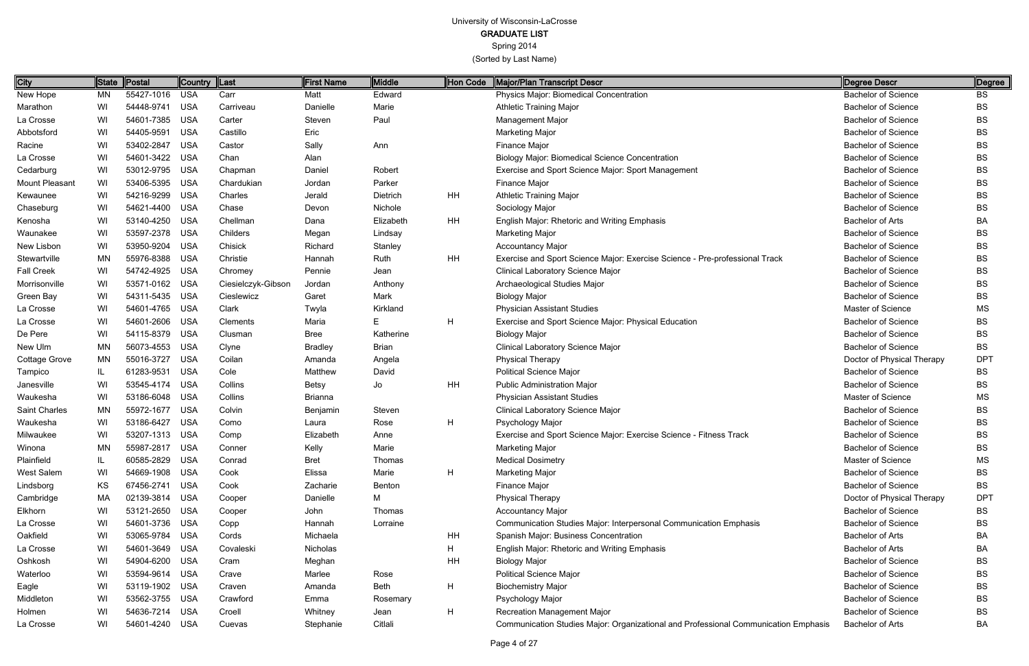Spring 2014

| City              | State | Postal         | Country    | $\ $ Last          | First Name     | <b>Middle</b> | Hon Code | <b>Major/Plan Transcript Descr</b>                                                  | Degree Descr               | ∥Degree    |
|-------------------|-------|----------------|------------|--------------------|----------------|---------------|----------|-------------------------------------------------------------------------------------|----------------------------|------------|
| New Hope          | ΜN    | 55427-1016     | <b>USA</b> | Carr               | Matt           | Edward        |          | Physics Major: Biomedical Concentration                                             | <b>Bachelor of Science</b> | <b>BS</b>  |
| Marathon          | WI    | 54448-9741     | <b>USA</b> | Carriveau          | Danielle       | Marie         |          | <b>Athletic Training Major</b>                                                      | <b>Bachelor of Science</b> | <b>BS</b>  |
| La Crosse         | WI    | 54601-7385     | <b>USA</b> | Carter             | Steven         | Paul          |          | <b>Management Major</b>                                                             | <b>Bachelor of Science</b> | <b>BS</b>  |
| Abbotsford        | WI    | 54405-9591     | <b>USA</b> | Castillo           | Eric           |               |          | <b>Marketing Major</b>                                                              | <b>Bachelor of Science</b> | <b>BS</b>  |
| Racine            | WI    | 53402-2847     | <b>USA</b> | Castor             | Sally          | Ann           |          | Finance Major                                                                       | <b>Bachelor of Science</b> | <b>BS</b>  |
| La Crosse         | WI    | 54601-3422     | <b>USA</b> | Chan               | Alan           |               |          | <b>Biology Major: Biomedical Science Concentration</b>                              | <b>Bachelor of Science</b> | <b>BS</b>  |
| Cedarburg         | WI    | 53012-9795     | <b>USA</b> | Chapman            | Daniel         | Robert        |          | Exercise and Sport Science Major: Sport Management                                  | <b>Bachelor of Science</b> | <b>BS</b>  |
| Mount Pleasant    | WI    | 53406-5395     | <b>USA</b> | Chardukian         | Jordan         | Parker        |          | <b>Finance Major</b>                                                                | <b>Bachelor of Science</b> | <b>BS</b>  |
| Kewaunee          | WI    | 54216-9299     | <b>USA</b> | Charles            | Jerald         | Dietrich      | HH       | <b>Athletic Training Major</b>                                                      | <b>Bachelor of Science</b> | <b>BS</b>  |
| Chaseburg         | WI    | 54621-4400     | <b>USA</b> | Chase              | Devon          | Nichole       |          | Sociology Major                                                                     | <b>Bachelor of Science</b> | <b>BS</b>  |
| Kenosha           | WI    | 53140-4250     | <b>USA</b> | Chellman           | Dana           | Elizabeth     | HH       | English Major: Rhetoric and Writing Emphasis                                        | <b>Bachelor of Arts</b>    | ВA         |
| Waunakee          | WI    | 53597-2378     | <b>USA</b> | Childers           | Megan          | Lindsay       |          | <b>Marketing Major</b>                                                              | <b>Bachelor of Science</b> | <b>BS</b>  |
| New Lisbon        | WI    | 53950-9204     | <b>USA</b> | Chisick            | Richard        | Stanley       |          | <b>Accountancy Major</b>                                                            | <b>Bachelor of Science</b> | <b>BS</b>  |
| Stewartville      | MN    | 55976-8388     | <b>USA</b> | Christie           | Hannah         | Ruth          | HH       | Exercise and Sport Science Major: Exercise Science - Pre-professional Track         | <b>Bachelor of Science</b> | <b>BS</b>  |
| <b>Fall Creek</b> | WI    | 54742-4925     | <b>USA</b> | Chromey            | Pennie         | Jean          |          | <b>Clinical Laboratory Science Major</b>                                            | <b>Bachelor of Science</b> | BS         |
| Morrisonville     | WI    | 53571-0162     | <b>USA</b> | Ciesielczyk-Gibson | Jordan         | Anthony       |          | Archaeological Studies Major                                                        | <b>Bachelor of Science</b> | <b>BS</b>  |
| Green Bay         | WI    | 54311-5435     | <b>USA</b> | Cieslewicz         | Garet          | Mark          |          | <b>Biology Major</b>                                                                | <b>Bachelor of Science</b> | BS         |
| La Crosse         | WI    | 54601-4765     | <b>USA</b> | Clark              | Twyla          | Kirkland      |          | <b>Physician Assistant Studies</b>                                                  | Master of Science          | <b>MS</b>  |
| La Crosse         | WI    | 54601-2606     | <b>USA</b> | Clements           | Maria          | E.            | H        | Exercise and Sport Science Major: Physical Education                                | <b>Bachelor of Science</b> | BS         |
| De Pere           | WI    | 54115-8379     | <b>USA</b> | Clusman            | Bree           | Katherine     |          | <b>Biology Major</b>                                                                | <b>Bachelor of Science</b> | <b>BS</b>  |
| New Ulm           | ΜN    | 56073-4553     | <b>USA</b> | Clyne              | <b>Bradley</b> | <b>Brian</b>  |          | Clinical Laboratory Science Major                                                   | <b>Bachelor of Science</b> | <b>BS</b>  |
| Cottage Grove     | MN    | 55016-3727     | <b>USA</b> | Coilan             | Amanda         | Angela        |          | Physical Therapy                                                                    | Doctor of Physical Therapy | <b>DPT</b> |
| Tampico           | IL    | 61283-9531     | <b>USA</b> | Cole               | Matthew        | David         |          | <b>Political Science Major</b>                                                      | <b>Bachelor of Science</b> | <b>BS</b>  |
| Janesville        | WI    | 53545-4174     | <b>USA</b> | Collins            | <b>Betsy</b>   | Jo            | HH       | <b>Public Administration Major</b>                                                  | <b>Bachelor of Science</b> | <b>BS</b>  |
| Waukesha          | WI    | 53186-6048     | <b>USA</b> | Collins            | <b>Brianna</b> |               |          | <b>Physician Assistant Studies</b>                                                  | Master of Science          | <b>MS</b>  |
| Saint Charles     | MN    | 55972-1677     | <b>USA</b> | Colvin             | Benjamin       | Steven        |          | <b>Clinical Laboratory Science Major</b>                                            | <b>Bachelor of Science</b> | <b>BS</b>  |
| Waukesha          | WI    | 53186-6427     | <b>USA</b> | Como               | Laura          | Rose          | H        | Psychology Major                                                                    | <b>Bachelor of Science</b> | BS         |
| Milwaukee         | WI    | 53207-1313     | <b>USA</b> | Comp               | Elizabeth      | Anne          |          | Exercise and Sport Science Major: Exercise Science - Fitness Track                  | <b>Bachelor of Science</b> | BS         |
| Winona            | MN    | 55987-2817     | <b>USA</b> | Conner             | Kelly          | Marie         |          | Marketing Major                                                                     | <b>Bachelor of Science</b> | BS         |
| Plainfield        | IL    | 60585-2829     | USA        | Conrad             | <b>Bret</b>    | Thomas        |          | <b>Medical Dosimetry</b>                                                            | Master of Science          | <b>MS</b>  |
| West Salem        | WI    | 54669-1908     | USA        | Cook               | Elissa         | Marie         | H        | <b>Marketing Major</b>                                                              | <b>Bachelor of Science</b> | <b>BS</b>  |
| Lindsborg         | KS    | 67456-2741     | <b>USA</b> | Cook               | Zacharie       | Benton        |          | Finance Major                                                                       | <b>Bachelor of Science</b> | <b>BS</b>  |
| Cambridge         | МA    | 02139-3814 USA |            | Cooper             | Danielle       | М             |          | Physical Therapy                                                                    | Doctor of Physical Therapy | <b>DPT</b> |
| Elkhorn           | WI    | 53121-2650     | <b>USA</b> | Cooper             | John           | Thomas        |          | <b>Accountancy Major</b>                                                            | <b>Bachelor of Science</b> | <b>BS</b>  |
| La Crosse         | WI    | 54601-3736     | <b>USA</b> | Copp               | Hannah         | Lorraine      |          | Communication Studies Major: Interpersonal Communication Emphasis                   | <b>Bachelor of Science</b> | <b>BS</b>  |
| Oakfield          | WI    | 53065-9784     | <b>USA</b> | Cords              | Michaela       |               | HH       | Spanish Major: Business Concentration                                               | <b>Bachelor of Arts</b>    | BA         |
| La Crosse         | WI    | 54601-3649     | USA        | Covaleski          | Nicholas       |               | н        | English Major: Rhetoric and Writing Emphasis                                        | <b>Bachelor of Arts</b>    | BA         |
| Oshkosh           | WI    | 54904-6200     | <b>USA</b> | Cram               | Meghan         |               | ΗH       | <b>Biology Major</b>                                                                | <b>Bachelor of Science</b> | <b>BS</b>  |
| Waterloo          | WI    | 53594-9614     | USA        | Crave              | Marlee         | Rose          |          | <b>Political Science Major</b>                                                      | <b>Bachelor of Science</b> | <b>BS</b>  |
| Eagle             | WI    | 53119-1902     | USA        | Craven             | Amanda         | Beth          | H        | <b>Biochemistry Major</b>                                                           | <b>Bachelor of Science</b> | <b>BS</b>  |
| Middleton         | WI    | 53562-3755     | USA        | Crawford           | Emma           | Rosemary      |          | Psychology Major                                                                    | <b>Bachelor of Science</b> | <b>BS</b>  |
| Holmen            | WI    | 54636-7214 USA |            | Croell             | Whitney        | Jean          | H        | Recreation Management Major                                                         | <b>Bachelor of Science</b> | <b>BS</b>  |
| La Crosse         | WI    | 54601-4240 USA |            | Cuevas             | Stephanie      | Citlali       |          | Communication Studies Major: Organizational and Professional Communication Emphasis | Bachelor of Arts           | BA         |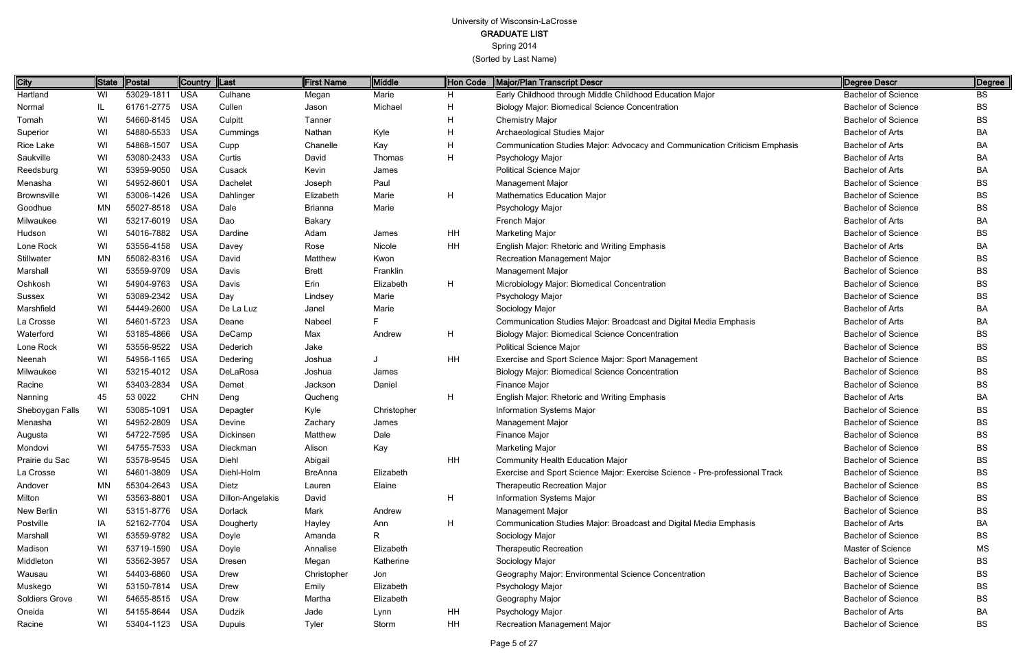Spring 2014

| City                  |           | State Postal   | Country    | $\ $ Last        | First Name     | <b>Middle</b> | Hon Code  | Major/Plan Transcript Descr                                                 | Degree Descr               | Degree    |
|-----------------------|-----------|----------------|------------|------------------|----------------|---------------|-----------|-----------------------------------------------------------------------------|----------------------------|-----------|
| Hartland              | WI        | 53029-1811     | <b>USA</b> | Culhane          | Megan          | Marie         | H         | Early Childhood through Middle Childhood Education Major                    | <b>Bachelor of Science</b> | <b>BS</b> |
| Normal                | IL.       | 61761-2775 USA |            | Cullen           | Jason          | Michael       | H         | <b>Biology Major: Biomedical Science Concentration</b>                      | <b>Bachelor of Science</b> | BS        |
| Tomah                 | WI        | 54660-8145 USA |            | Culpitt          | Tanner         |               | H         | <b>Chemistry Major</b>                                                      | <b>Bachelor of Science</b> | BS        |
| Superior              | WI        | 54880-5533 USA |            | Cummings         | Nathan         | Kyle          | H         | Archaeological Studies Major                                                | <b>Bachelor of Arts</b>    | BA        |
| Rice Lake             | WI        | 54868-1507     | USA        | Cupp             | Chanelle       | Kay           | H         | Communication Studies Major: Advocacy and Communication Criticism Emphasis  | <b>Bachelor of Arts</b>    | BA        |
| Saukville             | WI        | 53080-2433 USA |            | Curtis           | David          | Thomas        | H         | Psychology Major                                                            | <b>Bachelor of Arts</b>    | BA        |
| Reedsburg             | WI        | 53959-9050 USA |            | Cusack           | Kevin          | James         |           | <b>Political Science Major</b>                                              | Bachelor of Arts           | ВA        |
| Menasha               | WI        | 54952-8601     | <b>USA</b> | Dachelet         | Joseph         | Paul          |           | Management Major                                                            | <b>Bachelor of Science</b> | BS        |
| <b>Brownsville</b>    | WI        | 53006-1426 USA |            | Dahlinger        | Elizabeth      | Marie         | H         | <b>Mathematics Education Major</b>                                          | <b>Bachelor of Science</b> | BS        |
| Goodhue               | <b>MN</b> | 55027-8518 USA |            | Dale             | <b>Brianna</b> | Marie         |           | Psychology Major                                                            | <b>Bachelor of Science</b> | BS        |
| Milwaukee             | WI        | 53217-6019 USA |            | Dao              | <b>Bakary</b>  |               |           | French Major                                                                | Bachelor of Arts           | ВA        |
| Hudson                | WI        | 54016-7882 USA |            | Dardine          | Adam           | James         | HH        | <b>Marketing Major</b>                                                      | <b>Bachelor of Science</b> | ВS        |
| Lone Rock             | WI        | 53556-4158 USA |            | Davey            | Rose           | Nicole        | HH        | English Major: Rhetoric and Writing Emphasis                                | Bachelor of Arts           | ВA        |
| Stillwater            | <b>MN</b> | 55082-8316 USA |            | David            | Matthew        | Kwon          |           | Recreation Management Major                                                 | <b>Bachelor of Science</b> | BS        |
| Marshall              | WI        | 53559-9709 USA |            | Davis            | <b>Brett</b>   | Franklin      |           | Management Major                                                            | <b>Bachelor of Science</b> | BS        |
| Oshkosh               | WI        | 54904-9763 USA |            | Davis            | Erin           | Elizabeth     | H         | Microbiology Major: Biomedical Concentration                                | <b>Bachelor of Science</b> | ВS        |
| Sussex                | WI        | 53089-2342 USA |            | Day              | Lindsey        | Marie         |           | Psychology Major                                                            | <b>Bachelor of Science</b> | BS        |
| Marshfield            | WI        | 54449-2600 USA |            | De La Luz        | Janel          | Marie         |           | Sociology Major                                                             | <b>Bachelor of Arts</b>    | BA        |
| La Crosse             | WI        | 54601-5723     | USA        | Deane            | Nabeel         |               |           | Communication Studies Major: Broadcast and Digital Media Emphasis           | Bachelor of Arts           | ВA        |
| Waterford             | WI        | 53185-4866 USA |            | DeCamp           | Max            | Andrew        | H         | Biology Major: Biomedical Science Concentration                             | <b>Bachelor of Science</b> | ВS        |
| Lone Rock             | WI        | 53556-9522 USA |            | Dederich         | Jake           |               |           | <b>Political Science Major</b>                                              | <b>Bachelor of Science</b> | BS        |
| Neenah                | WI        | 54956-1165 USA |            | Dedering         | Joshua         |               | <b>HH</b> | Exercise and Sport Science Major: Sport Management                          | <b>Bachelor of Science</b> | BS        |
| Milwaukee             | WI        | 53215-4012 USA |            | DeLaRosa         | Joshua         | James         |           | Biology Major: Biomedical Science Concentration                             | <b>Bachelor of Science</b> | BS        |
| Racine                | WI        | 53403-2834     | <b>USA</b> | Demet            | Jackson        | Daniel        |           | Finance Major                                                               | <b>Bachelor of Science</b> | ВS        |
| Nanning               | 45        | 53 0022        | <b>CHN</b> | Deng             | Qucheng        |               | H         | English Major: Rhetoric and Writing Emphasis                                | <b>Bachelor of Arts</b>    | ВA        |
| Sheboygan Falls       | WI        | 53085-1091     | <b>USA</b> | Depagter         | Kyle           | Christopher   |           | Information Systems Major                                                   | <b>Bachelor of Science</b> | BS        |
| Menasha               | WI        | 54952-2809     | <b>USA</b> | Devine           | Zachary        | James         |           | Management Major                                                            | <b>Bachelor of Science</b> | BS        |
| Augusta               | WI        | 54722-7595 USA |            | Dickinsen        | Matthew        | Dale          |           | Finance Major                                                               | <b>Bachelor of Science</b> | BS        |
| Mondovi               | WI        | 54755-7533 USA |            | Dieckman         | Alison         | Kay           |           | <b>Marketing Major</b>                                                      | <b>Bachelor of Science</b> | BS        |
| Prairie du Sac        | WI        | 53578-9545 USA |            | Diehl            | Abigail        |               | <b>HH</b> | <b>Community Health Education Major</b>                                     | <b>Bachelor of Science</b> | ВS        |
| La Crosse             | WI        | 54601-3809 USA |            | Diehl-Holm       | <b>BreAnna</b> | Elizabeth     |           | Exercise and Sport Science Major: Exercise Science - Pre-professional Track | <b>Bachelor of Science</b> | BS        |
| Andover               | <b>MN</b> | 55304-2643 USA |            | Dietz            | Lauren         | Elaine        |           | <b>Therapeutic Recreation Major</b>                                         | <b>Bachelor of Science</b> | BS        |
| Milton                | WI        | 53563-8801 USA |            | Dillon-Angelakis | David          |               | H         | Information Systems Major                                                   | <b>Bachelor of Science</b> | BS        |
| New Berlin            | WI        | 53151-8776 USA |            | <b>Dorlack</b>   | Mark           | Andrew        |           | Management Major                                                            | <b>Bachelor of Science</b> | ВS        |
| Postville             | IA        | 52162-7704 USA |            | Dougherty        | Hayley         | Ann           | H         | Communication Studies Major: Broadcast and Digital Media Emphasis           | Bachelor of Arts           | ВA        |
| Marshall              | WI        | 53559-9782 USA |            | Doyle            | Amanda         | R.            |           | Sociology Major                                                             | <b>Bachelor of Science</b> | BS        |
| Madison               | WI        | 53719-1590 USA |            | Doyle            | Annalise       | Elizabeth     |           | <b>Therapeutic Recreation</b>                                               | Master of Science          | ΜS        |
| Middleton             | WI        | 53562-3957 USA |            | Dresen           | Megan          | Katherine     |           | Sociology Major                                                             | <b>Bachelor of Science</b> | ВS        |
| Wausau                | WI        | 54403-6860 USA |            | Drew             | Christopher    | Jon           |           | Geography Major: Environmental Science Concentration                        | <b>Bachelor of Science</b> | BS        |
| Muskego               | WI        | 53150-7814 USA |            | Drew             | Emily          | Elizabeth     |           | Psychology Major                                                            | <b>Bachelor of Science</b> | ВS        |
| <b>Soldiers Grove</b> | WI        | 54655-8515 USA |            | <b>Drew</b>      | Martha         | Elizabeth     |           | Geography Major                                                             | <b>Bachelor of Science</b> | BS        |
| Oneida                | WI        | 54155-8644 USA |            | Dudzik           | Jade           | Lynn          | HH        | Psychology Major                                                            | <b>Bachelor of Arts</b>    | BA        |
| Racine                | WI        | 53404-1123 USA |            | Dupuis           | <b>Tyler</b>   | Storm         | HH        | Recreation Management Major                                                 | <b>Bachelor of Science</b> | BS        |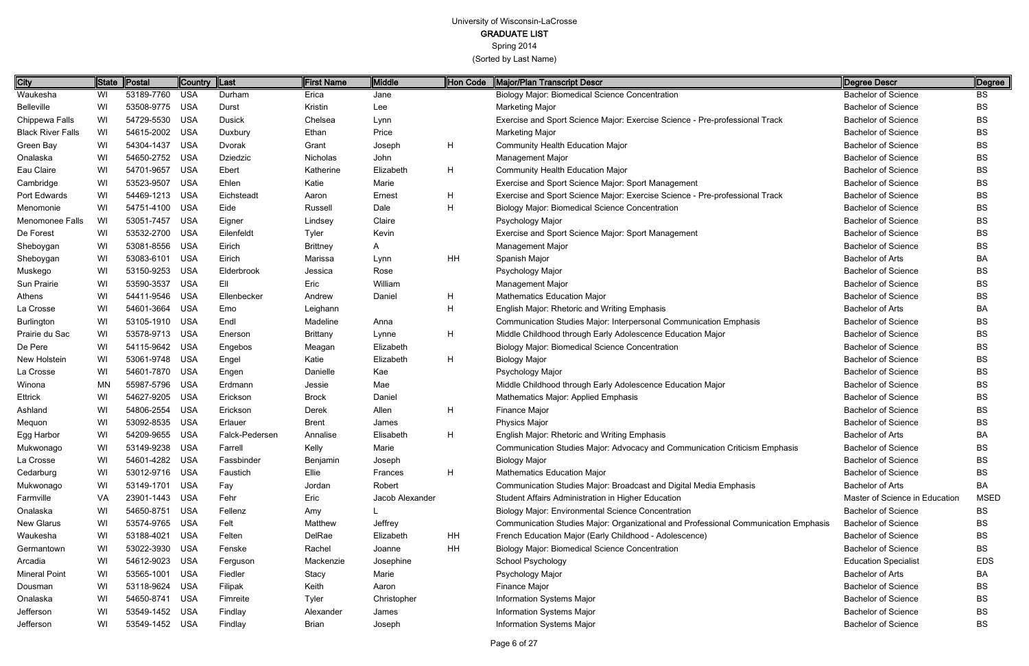Spring 2014

| Waukesha<br>Belleville<br>Chippewa Falls<br><b>Black River Falls</b><br>Green Bay<br>Onalaska<br>Eau Claire<br>Cambridge<br>Port Edwards | WI<br>WI<br>WI<br>WI<br>WI<br>WI<br>WI<br>WI<br>WI | 53189-7760 USA<br>53508-9775 USA<br>54729-5530 USA<br>54615-2002<br>54304-1437<br>54650-2752 USA<br>54701-9657<br>53523-9507 | USA<br>USA | Durham<br>Durst<br><b>Dusick</b><br>Duxbury<br>Dvorak | Erica<br>Kristin<br>Chelsea<br>Ethan | Jane<br>Lee<br>Lynn<br>Price |    | <b>Biology Major: Biomedical Science Concentration</b><br><b>Marketing Major</b>    | <b>Bachelor of Science</b><br><b>Bachelor of Science</b> | <b>BS</b>   |
|------------------------------------------------------------------------------------------------------------------------------------------|----------------------------------------------------|------------------------------------------------------------------------------------------------------------------------------|------------|-------------------------------------------------------|--------------------------------------|------------------------------|----|-------------------------------------------------------------------------------------|----------------------------------------------------------|-------------|
|                                                                                                                                          |                                                    |                                                                                                                              |            |                                                       |                                      |                              |    |                                                                                     |                                                          |             |
|                                                                                                                                          |                                                    |                                                                                                                              |            |                                                       |                                      |                              |    |                                                                                     |                                                          | <b>BS</b>   |
|                                                                                                                                          |                                                    |                                                                                                                              |            |                                                       |                                      |                              |    | Exercise and Sport Science Major: Exercise Science - Pre-professional Track         | <b>Bachelor of Science</b>                               | BS          |
|                                                                                                                                          |                                                    |                                                                                                                              |            |                                                       |                                      |                              |    | Marketing Major                                                                     | <b>Bachelor of Science</b>                               | <b>BS</b>   |
|                                                                                                                                          |                                                    |                                                                                                                              |            |                                                       | Grant                                | Joseph                       | H  | <b>Community Health Education Major</b>                                             | <b>Bachelor of Science</b>                               | <b>BS</b>   |
|                                                                                                                                          |                                                    |                                                                                                                              |            | Dziedzic                                              | Nicholas                             | John                         |    | <b>Management Major</b>                                                             | <b>Bachelor of Science</b>                               | <b>BS</b>   |
|                                                                                                                                          |                                                    |                                                                                                                              | USA        | Ebert                                                 | Katherine                            | Elizabeth                    | H  | <b>Community Health Education Major</b>                                             | <b>Bachelor of Science</b>                               | BS          |
|                                                                                                                                          |                                                    |                                                                                                                              | <b>USA</b> | Ehlen                                                 | Katie                                | Marie                        |    | Exercise and Sport Science Major: Sport Management                                  | <b>Bachelor of Science</b>                               | <b>BS</b>   |
|                                                                                                                                          |                                                    | 54469-1213 USA                                                                                                               |            | Eichsteadt                                            | Aaron                                | Ernest                       | H  | Exercise and Sport Science Major: Exercise Science - Pre-professional Track         | <b>Bachelor of Science</b>                               | <b>BS</b>   |
| Menomonie                                                                                                                                | WI                                                 | 54751-4100 USA                                                                                                               |            | Eide                                                  | Russell                              | Dale                         | H  | <b>Biology Major: Biomedical Science Concentration</b>                              | <b>Bachelor of Science</b>                               | <b>BS</b>   |
| Menomonee Falls                                                                                                                          | WI                                                 | 53051-7457                                                                                                                   | USA        | Eigner                                                | Lindsey                              | Claire                       |    | Psychology Major                                                                    | <b>Bachelor of Science</b>                               | BS          |
| De Forest                                                                                                                                | WI                                                 | 53532-2700                                                                                                                   | USA        | Eilenfeldt                                            | Tyler                                | Kevin                        |    | Exercise and Sport Science Major: Sport Management                                  | <b>Bachelor of Science</b>                               | BS          |
| Sheboygan                                                                                                                                | WI                                                 | 53081-8556                                                                                                                   | USA        | Eirich                                                | <b>Brittney</b>                      | A.                           |    | Management Major                                                                    | <b>Bachelor of Science</b>                               | BS          |
| Sheboygan                                                                                                                                | WI                                                 | 53083-6101 USA                                                                                                               |            | Eirich                                                | Marissa                              | Lynn                         | HH | Spanish Major                                                                       | <b>Bachelor of Arts</b>                                  | BA          |
| Muskego                                                                                                                                  | WI                                                 | 53150-9253 USA                                                                                                               |            | Elderbrook                                            | Jessica                              | Rose                         |    | Psychology Major                                                                    | <b>Bachelor of Science</b>                               | BS          |
| Sun Prairie                                                                                                                              | WI                                                 | 53590-3537                                                                                                                   | <b>USA</b> | Ell                                                   | Eric                                 | William                      |    | <b>Management Major</b>                                                             | <b>Bachelor of Science</b>                               | <b>BS</b>   |
| Athens                                                                                                                                   | WI                                                 | 54411-9546                                                                                                                   | USA        | Ellenbecker                                           | Andrew                               | Daniel                       | H  | <b>Mathematics Education Major</b>                                                  | <b>Bachelor of Science</b>                               | <b>BS</b>   |
| La Crosse                                                                                                                                | WI                                                 | 54601-3664 USA                                                                                                               |            | Emo                                                   | Leighann                             |                              | Н  | English Major: Rhetoric and Writing Emphasis                                        | <b>Bachelor of Arts</b>                                  | BA          |
| Burlington                                                                                                                               | WI                                                 | 53105-1910 USA                                                                                                               |            | Endl                                                  | Madeline                             | Anna                         |    | Communication Studies Major: Interpersonal Communication Emphasis                   | <b>Bachelor of Science</b>                               | BS          |
| Prairie du Sac                                                                                                                           | WI                                                 | 53578-9713 USA                                                                                                               |            | Enerson                                               | <b>Brittany</b>                      | Lynne                        | H  | Middle Childhood through Early Adolescence Education Major                          | <b>Bachelor of Science</b>                               | <b>BS</b>   |
| De Pere                                                                                                                                  | WI                                                 | 54115-9642 USA                                                                                                               |            | Engebos                                               | Meagan                               | Elizabeth                    |    | <b>Biology Major: Biomedical Science Concentration</b>                              | <b>Bachelor of Science</b>                               | BS          |
| New Holstein                                                                                                                             | WI                                                 | 53061-9748 USA                                                                                                               |            | Engel                                                 | Katie                                | Elizabeth                    | H  | <b>Biology Major</b>                                                                | <b>Bachelor of Science</b>                               | <b>BS</b>   |
| La Crosse                                                                                                                                | WI                                                 | 54601-7870 USA                                                                                                               |            | Engen                                                 | Danielle                             | Kae                          |    | Psychology Major                                                                    | <b>Bachelor of Science</b>                               | <b>BS</b>   |
| Winona                                                                                                                                   | MN                                                 | 55987-5796 USA                                                                                                               |            | Erdmann                                               | Jessie                               | Mae                          |    | Middle Childhood through Early Adolescence Education Major                          | <b>Bachelor of Science</b>                               | <b>BS</b>   |
| Ettrick                                                                                                                                  | WI                                                 | 54627-9205 USA                                                                                                               |            | Erickson                                              | <b>Brock</b>                         | Daniel                       |    | Mathematics Major: Applied Emphasis                                                 | <b>Bachelor of Science</b>                               | BS          |
| Ashland                                                                                                                                  | WI                                                 | 54806-2554 USA                                                                                                               |            | Erickson                                              | Derek                                | Allen                        | H  | Finance Major                                                                       | <b>Bachelor of Science</b>                               | <b>BS</b>   |
| Mequon                                                                                                                                   | WI                                                 | 53092-8535                                                                                                                   | <b>USA</b> | Erlauer                                               | <b>Brent</b>                         | James                        |    | <b>Physics Major</b>                                                                | <b>Bachelor of Science</b>                               | <b>BS</b>   |
| Egg Harbor                                                                                                                               | WI                                                 | 54209-9655                                                                                                                   | USA        | Falck-Pedersen                                        | Annalise                             | Elisabeth                    | H  | <b>English Major: Rhetoric and Writing Emphasis</b>                                 | <b>Bachelor of Arts</b>                                  | BA          |
| Mukwonago                                                                                                                                | WI                                                 | 53149-9238 USA                                                                                                               |            | Farrell                                               | Kelly                                | Marie                        |    | Communication Studies Major: Advocacy and Communication Criticism Emphasis          | <b>Bachelor of Science</b>                               | ВS          |
| La Crosse                                                                                                                                | WI                                                 | 54601-4282 USA                                                                                                               |            | Fassbinder                                            | Benjamin                             | Joseph                       |    | <b>Biology Major</b>                                                                | <b>Bachelor of Science</b>                               | BS          |
| Cedarburg                                                                                                                                | WI                                                 | 53012-9716 USA                                                                                                               |            | Faustich                                              | Ellie                                | Frances                      | H  | <b>Mathematics Education Major</b>                                                  | <b>Bachelor of Science</b>                               | BS          |
| Mukwonago                                                                                                                                | WI                                                 | 53149-1701 USA                                                                                                               |            | Fay                                                   | Jordan                               | Robert                       |    | Communication Studies Major: Broadcast and Digital Media Emphasis                   | <b>Bachelor of Arts</b>                                  | BA          |
| Farmville                                                                                                                                | VA                                                 | 23901-1443 USA                                                                                                               |            | Fehr                                                  | Eric                                 | Jacob Alexander              |    | Student Affairs Administration in Higher Education                                  | Master of Science in Education                           | <b>MSED</b> |
| Onalaska                                                                                                                                 | WI                                                 | 54650-8751 USA                                                                                                               |            | Fellenz                                               | Amy                                  |                              |    | <b>Biology Major: Environmental Science Concentration</b>                           | <b>Bachelor of Science</b>                               | BS          |
| New Glarus                                                                                                                               | WI                                                 | 53574-9765 USA                                                                                                               |            | Felt                                                  | Matthew                              | Jeffrey                      |    | Communication Studies Major: Organizational and Professional Communication Emphasis | <b>Bachelor of Science</b>                               | BS          |
| Waukesha                                                                                                                                 | WI                                                 | 53188-4021 USA                                                                                                               |            | Felten                                                | DelRae                               | Elizabeth                    | HH | French Education Major (Early Childhood - Adolescence)                              | <b>Bachelor of Science</b>                               | BS          |
| Germantown                                                                                                                               | WI                                                 | 53022-3930 USA                                                                                                               |            | Fenske                                                | Rachel                               | Joanne                       | HH | <b>Biology Major: Biomedical Science Concentration</b>                              | <b>Bachelor of Science</b>                               | BS          |
| Arcadia                                                                                                                                  | WI                                                 | 54612-9023 USA                                                                                                               |            | Ferguson                                              | Mackenzie                            | Josephine                    |    | School Psychology                                                                   | <b>Education Specialist</b>                              | <b>EDS</b>  |
| <b>Mineral Point</b>                                                                                                                     | WI                                                 | 53565-1001 USA                                                                                                               |            | Fiedler                                               | Stacy                                | Marie                        |    | Psychology Major                                                                    | <b>Bachelor of Arts</b>                                  | BA          |
| Dousman                                                                                                                                  | WI                                                 | 53118-9624 USA                                                                                                               |            | Filipak                                               | Keith                                | Aaron                        |    | Finance Major                                                                       | <b>Bachelor of Science</b>                               | BS          |
| Onalaska                                                                                                                                 | WI                                                 | 54650-8741 USA                                                                                                               |            | Fimreite                                              | Tyler                                | Christopher                  |    | Information Systems Major                                                           | <b>Bachelor of Science</b>                               | BS          |
| Jefferson                                                                                                                                | WI                                                 | 53549-1452 USA                                                                                                               |            | Findlay                                               | Alexander                            | James                        |    | Information Systems Major                                                           | <b>Bachelor of Science</b>                               | <b>BS</b>   |
| Jefferson                                                                                                                                | WI                                                 | 53549-1452 USA                                                                                                               |            | Findlay                                               | Brian                                | Joseph                       |    | Information Systems Major                                                           | <b>Bachelor of Science</b>                               | BS          |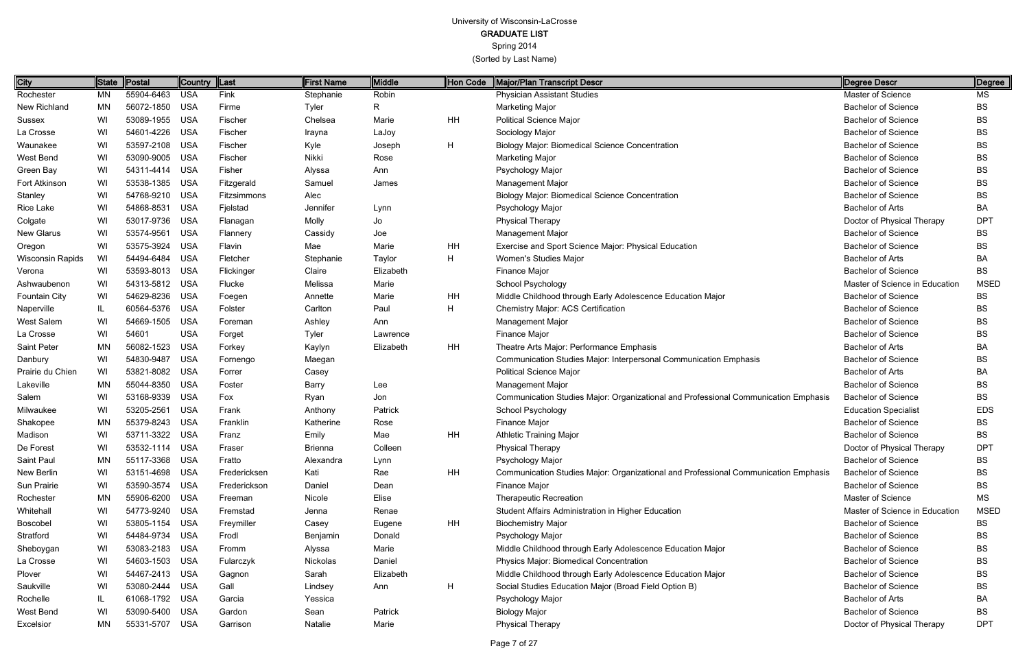Spring 2014

(Sorted by Last Name)

Page 7 of 27

| City                    | <b>State</b> | Postal         | Country  Last |              | <b>First Name</b> | <b>Middle</b> | Hon Code  | <b>Major/Plan Transcript Descr</b>                                                  | <b>Degree Descr</b>            | Degree      |
|-------------------------|--------------|----------------|---------------|--------------|-------------------|---------------|-----------|-------------------------------------------------------------------------------------|--------------------------------|-------------|
| Rochester               | MN           | 55904-6463     | <b>USA</b>    | Fink         | Stephanie         | Robin         |           | <b>Physician Assistant Studies</b>                                                  | Master of Science              | MS          |
| New Richland            | <b>MN</b>    | 56072-1850     | <b>USA</b>    | Firme        | Tyler             | R.            |           | <b>Marketing Major</b>                                                              | <b>Bachelor of Science</b>     | <b>BS</b>   |
| Sussex                  | WI           | 53089-1955     | <b>USA</b>    | Fischer      | Chelsea           | Marie         | <b>HH</b> | <b>Political Science Major</b>                                                      | <b>Bachelor of Science</b>     | BS          |
| La Crosse               | WI           | 54601-4226     | <b>USA</b>    | Fischer      | Irayna            | LaJoy         |           | Sociology Major                                                                     | <b>Bachelor of Science</b>     | BS          |
| Waunakee                | WI           | 53597-2108     | <b>USA</b>    | Fischer      | Kyle              | Joseph        | H         | <b>Biology Major: Biomedical Science Concentration</b>                              | <b>Bachelor of Science</b>     | BS          |
| West Bend               | WI           | 53090-9005     | <b>USA</b>    | Fischer      | Nikki             | Rose          |           | <b>Marketing Major</b>                                                              | <b>Bachelor of Science</b>     | BS          |
| Green Bay               | WI           | 54311-4414     | <b>USA</b>    | Fisher       | Alyssa            | Ann           |           | Psychology Major                                                                    | <b>Bachelor of Science</b>     | BS          |
| Fort Atkinson           | WI           | 53538-1385     | <b>USA</b>    | Fitzgerald   | Samuel            | James         |           | Management Major                                                                    | <b>Bachelor of Science</b>     | BS          |
| Stanley                 | WI           | 54768-9210     | <b>USA</b>    | Fitzsimmons  | Alec              |               |           | <b>Biology Major: Biomedical Science Concentration</b>                              | <b>Bachelor of Science</b>     | BS          |
| <b>Rice Lake</b>        | WI           | 54868-8531     | <b>USA</b>    | Fjelstad     | Jennifer          | Lynn          |           | Psychology Major                                                                    | <b>Bachelor of Arts</b>        | BA          |
| Colgate                 | WI           | 53017-9736     | <b>USA</b>    | Flanagan     | Molly             | Jo            |           | <b>Physical Therapy</b>                                                             | Doctor of Physical Therapy     | <b>DPT</b>  |
| <b>New Glarus</b>       | WI           | 53574-9561     | <b>USA</b>    | Flannery     | Cassidy           | Joe           |           | Management Major                                                                    | <b>Bachelor of Science</b>     | BS          |
| Oregon                  | WI           | 53575-3924     | <b>USA</b>    | Flavin       | Mae               | Marie         | HH        | Exercise and Sport Science Major: Physical Education                                | <b>Bachelor of Science</b>     | BS          |
| <b>Wisconsin Rapids</b> | WI           | 54494-6484     | <b>USA</b>    | Fletcher     | Stephanie         | Taylor        | Н         | Women's Studies Major                                                               | <b>Bachelor of Arts</b>        | BA          |
| Verona                  | WI           | 53593-8013     | <b>USA</b>    | Flickinger   | Claire            | Elizabeth     |           | Finance Major                                                                       | <b>Bachelor of Science</b>     | BS          |
| Ashwaubenon             | WI           | 54313-5812     | <b>USA</b>    | Flucke       | Melissa           | Marie         |           | School Psychology                                                                   | Master of Science in Education | <b>MSED</b> |
| <b>Fountain City</b>    | WI           | 54629-8236     | <b>USA</b>    | Foegen       | Annette           | Marie         | HH        | Middle Childhood through Early Adolescence Education Major                          | <b>Bachelor of Science</b>     | <b>BS</b>   |
| Naperville              | IL           | 60564-5376     | <b>USA</b>    | Folster      | Carlton           | Paul          | H         | <b>Chemistry Major: ACS Certification</b>                                           | <b>Bachelor of Science</b>     | <b>BS</b>   |
| West Salem              | WI           | 54669-1505     | <b>USA</b>    | Foreman      | Ashley            | Ann           |           | Management Major                                                                    | <b>Bachelor of Science</b>     | BS          |
| La Crosse               | WI           | 54601          | <b>USA</b>    | Forget       | Tyler             | Lawrence      |           | Finance Major                                                                       | <b>Bachelor of Science</b>     | <b>BS</b>   |
| Saint Peter             | <b>MN</b>    | 56082-1523     | <b>USA</b>    | Forkey       | Kaylyn            | Elizabeth     | HH        | Theatre Arts Major: Performance Emphasis                                            | <b>Bachelor of Arts</b>        | BA          |
| Danbury                 | WI           | 54830-9487     | <b>USA</b>    | Fornengo     | Maegan            |               |           | Communication Studies Major: Interpersonal Communication Emphasis                   | <b>Bachelor of Science</b>     | <b>BS</b>   |
| Prairie du Chien        | WI           | 53821-8082     | <b>USA</b>    | Forrer       | Casey             |               |           | <b>Political Science Major</b>                                                      | <b>Bachelor of Arts</b>        | BA          |
| Lakeville               | <b>MN</b>    | 55044-8350     | <b>USA</b>    | Foster       | Barry             | Lee           |           | Management Major                                                                    | <b>Bachelor of Science</b>     | BS          |
| Salem                   | WI           | 53168-9339     | <b>USA</b>    | Fox          | Ryan              | Jon           |           | Communication Studies Major: Organizational and Professional Communication Emphasis | <b>Bachelor of Science</b>     | BS          |
| Milwaukee               | WI           | 53205-2561     | <b>USA</b>    | Frank        | Anthony           | Patrick       |           | School Psychology                                                                   | <b>Education Specialist</b>    | <b>EDS</b>  |
| Shakopee                | <b>MN</b>    | 55379-8243     | <b>USA</b>    | Franklin     | Katherine         | Rose          |           | <b>Finance Major</b>                                                                | <b>Bachelor of Science</b>     | BS          |
| Madison                 | WI           | 53711-3322     | <b>USA</b>    | Franz        | Emily             | Mae           | HH        | <b>Athletic Training Major</b>                                                      | <b>Bachelor of Science</b>     | BS          |
| De Forest               | WI           | 53532-1114 USA |               | Fraser       | <b>Brienna</b>    | Colleen       |           | Physical Therapy                                                                    | Doctor of Physical Therapy     | <b>DPT</b>  |
| Saint Paul              | MN           | 55117-3368 USA |               | Fratto       | Alexandra         | Lynn          |           | Psychology Major                                                                    | <b>Bachelor of Science</b>     | <b>BS</b>   |
| New Berlin              | WI           | 53151-4698     | USA           | Fredericksen | Kati              | Rae           | HH        | Communication Studies Major: Organizational and Professional Communication Emphasis | <b>Bachelor of Science</b>     | BS          |
| Sun Prairie             | WI           | 53590-3574     | USA           | Frederickson | Daniel            | Dean          |           | Finance Major                                                                       | <b>Bachelor of Science</b>     | <b>BS</b>   |
| Rochester               | <b>MN</b>    | 55906-6200     | USA           | Freeman      | Nicole            | Elise         |           | <b>Therapeutic Recreation</b>                                                       | Master of Science              | MS          |
| Whitehall               | WI           | 54773-9240     | <b>USA</b>    | Fremstad     | Jenna             | Renae         |           | Student Affairs Administration in Higher Education                                  | Master of Science in Education | <b>MSED</b> |
| <b>Boscobel</b>         | WI           | 53805-1154     | USA           | Freymiller   | Casey             | Eugene        | HH        | <b>Biochemistry Major</b>                                                           | <b>Bachelor of Science</b>     | BS          |
| Stratford               | WI           | 54484-9734     | USA           | Frodl        | Benjamin          | Donald        |           | Psychology Major                                                                    | <b>Bachelor of Science</b>     | BS          |
| Sheboygan               | WI           | 53083-2183     | USA           | Fromm        | Alyssa            | Marie         |           | Middle Childhood through Early Adolescence Education Major                          | <b>Bachelor of Science</b>     | BS          |
| La Crosse               | WI           | 54603-1503     | USA           | Fularczyk    | Nickolas          | Daniel        |           | Physics Major: Biomedical Concentration                                             | <b>Bachelor of Science</b>     | BS          |
| Plover                  | WI           | 54467-2413 USA |               | Gagnon       | Sarah             | Elizabeth     |           | Middle Childhood through Early Adolescence Education Major                          | <b>Bachelor of Science</b>     | BS          |
| Saukville               | WI           | 53080-2444     | USA           | Gall         | Lindsey           | Ann           | H         | Social Studies Education Major (Broad Field Option B)                               | <b>Bachelor of Science</b>     | BS          |
| Rochelle                | IL           | 61068-1792 USA |               | Garcia       | Yessica           |               |           | Psychology Major                                                                    | <b>Bachelor of Arts</b>        | BA          |
| West Bend               | WI           | 53090-5400     | <b>USA</b>    | Gardon       | Sean              | Patrick       |           | <b>Biology Major</b>                                                                | <b>Bachelor of Science</b>     | BS          |
| Excelsior               | <b>MN</b>    | 55331-5707 USA |               | Garrison     | Natalie           | Marie         |           | <b>Physical Therapy</b>                                                             | Doctor of Physical Therapy     | <b>DPT</b>  |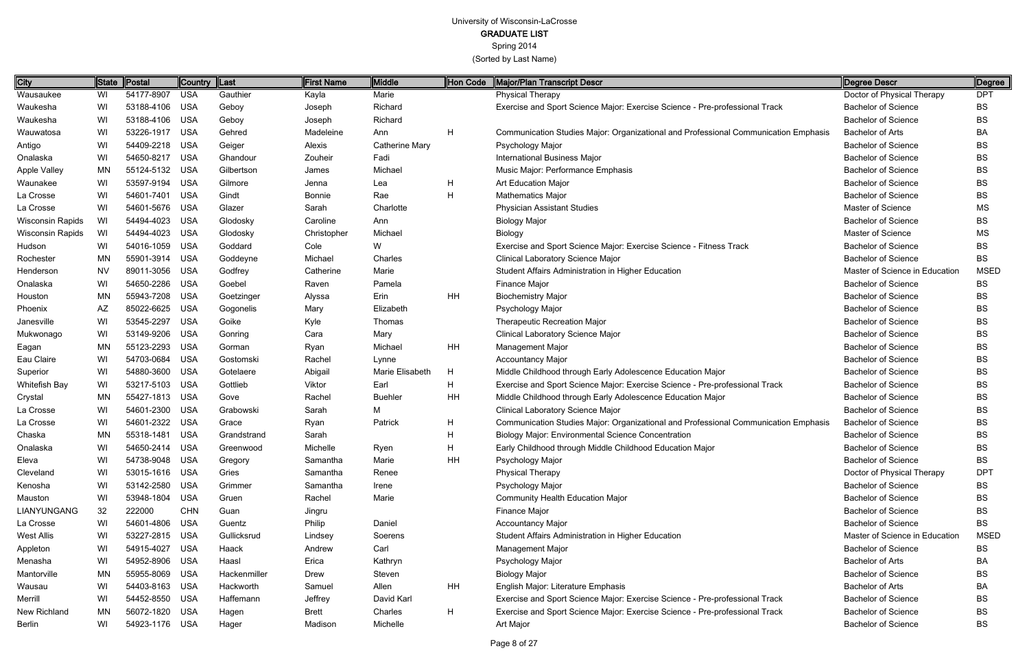Spring 2014

| City                | <b>State</b> | Postal         | Country  Last |              | <b>First Name</b> | Middle                | Hon Code | Major/Plan Transcript Descr                                                         | Degree Descr                   | Degree      |
|---------------------|--------------|----------------|---------------|--------------|-------------------|-----------------------|----------|-------------------------------------------------------------------------------------|--------------------------------|-------------|
| Wausaukee           | WI           | 54177-8907     | USA           | Gauthier     | Kayla             | Marie                 |          | <b>Physical Therapy</b>                                                             | Doctor of Physical Therapy     | <b>DPT</b>  |
| Waukesha            | WI           | 53188-4106 USA |               | Geboy        | Joseph            | Richard               |          | Exercise and Sport Science Major: Exercise Science - Pre-professional Track         | <b>Bachelor of Science</b>     | <b>BS</b>   |
| Waukesha            | WI           | 53188-4106 USA |               | Geboy        | Joseph            | Richard               |          |                                                                                     | <b>Bachelor of Science</b>     | BS          |
| Wauwatosa           | WI           | 53226-1917     | USA           | Gehred       | Madeleine         | Ann                   | H        | Communication Studies Major: Organizational and Professional Communication Emphasis | <b>Bachelor of Arts</b>        | BA          |
| Antigo              | WI           | 54409-2218 USA |               | Geiger       | Alexis            | <b>Catherine Mary</b> |          | Psychology Major                                                                    | <b>Bachelor of Science</b>     | BS          |
| Onalaska            | WI           | 54650-8217 USA |               | Ghandour     | Zouheir           | Fadi                  |          | International Business Major                                                        | <b>Bachelor of Science</b>     | BS          |
| <b>Apple Valley</b> | MN           | 55124-5132 USA |               | Gilbertson   | James             | Michael               |          | Music Major: Performance Emphasis                                                   | <b>Bachelor of Science</b>     | BS          |
| Waunakee            | WI           | 53597-9194     | <b>USA</b>    | Gilmore      | Jenna             | Lea                   | H        | <b>Art Education Major</b>                                                          | <b>Bachelor of Science</b>     | BS          |
| La Crosse           | WI           | 54601-7401 USA |               | Gindt        | Bonnie            | Rae                   | H        | <b>Mathematics Major</b>                                                            | <b>Bachelor of Science</b>     | BS          |
| La Crosse           | WI           | 54601-5676 USA |               | Glazer       | Sarah             | Charlotte             |          | <b>Physician Assistant Studies</b>                                                  | Master of Science              | МS          |
| Wisconsin Rapids    | WI           | 54494-4023 USA |               | Glodosky     | Caroline          | Ann                   |          | <b>Biology Major</b>                                                                | <b>Bachelor of Science</b>     | BS.         |
| Wisconsin Rapids    | WI           | 54494-4023     | USA           | Glodosky     | Christopher       | Michael               |          | Biology                                                                             | Master of Science              | МS          |
| Hudson              | WI           | 54016-1059 USA |               | Goddard      | Cole              | W                     |          | Exercise and Sport Science Major: Exercise Science - Fitness Track                  | <b>Bachelor of Science</b>     | BS          |
| Rochester           | MN           | 55901-3914 USA |               | Goddeyne     | Michael           | Charles               |          | Clinical Laboratory Science Major                                                   | <b>Bachelor of Science</b>     | <b>BS</b>   |
| Henderson           | <b>NV</b>    | 89011-3056 USA |               | Godfrey      | Catherine         | Marie                 |          | Student Affairs Administration in Higher Education                                  | Master of Science in Education | <b>MSED</b> |
| Onalaska            | WI           | 54650-2286 USA |               | Goebel       | Raven             | Pamela                |          | Finance Major                                                                       | <b>Bachelor of Science</b>     | <b>BS</b>   |
| Houston             | <b>MN</b>    | 55943-7208 USA |               | Goetzinger   | Alyssa            | Erin                  | HH       | <b>Biochemistry Major</b>                                                           | <b>Bachelor of Science</b>     | BS          |
| Phoenix             | AZ           | 85022-6625 USA |               | Gogonelis    | Mary              | Elizabeth             |          | Psychology Major                                                                    | <b>Bachelor of Science</b>     | BS          |
| Janesville          | WI           | 53545-2297 USA |               | Goike        | Kyle              | Thomas                |          | <b>Therapeutic Recreation Major</b>                                                 | <b>Bachelor of Science</b>     | BS          |
| Mukwonago           | WI           | 53149-9206     | USA           | Gonring      | Cara              | Mary                  |          | <b>Clinical Laboratory Science Major</b>                                            | <b>Bachelor of Science</b>     | BS          |
| Eagan               | <b>MN</b>    | 55123-2293 USA |               | Gorman       | Ryan              | Michael               | HH       | Management Major                                                                    | <b>Bachelor of Science</b>     | BS          |
| Eau Claire          | WI           | 54703-0684     | USA           | Gostomski    | Rachel            | Lynne                 |          | <b>Accountancy Major</b>                                                            | <b>Bachelor of Science</b>     | BS          |
| Superior            | WI           | 54880-3600 USA |               | Gotelaere    | Abigail           | Marie Elisabeth       | H        | Middle Childhood through Early Adolescence Education Major                          | <b>Bachelor of Science</b>     | BS          |
| Whitefish Bay       | WI           | 53217-5103 USA |               | Gottlieb     | Viktor            | Earl                  | H        | Exercise and Sport Science Major: Exercise Science - Pre-professional Track         | <b>Bachelor of Science</b>     | BS          |
| Crystal             | <b>MN</b>    | 55427-1813 USA |               | Gove         | Rachel            | <b>Buehler</b>        | HH       | Middle Childhood through Early Adolescence Education Major                          | <b>Bachelor of Science</b>     | BS          |
| La Crosse           | WI           | 54601-2300 USA |               | Grabowski    | Sarah             | М                     |          | Clinical Laboratory Science Major                                                   | <b>Bachelor of Science</b>     | BS          |
| La Crosse           | WI           | 54601-2322 USA |               | Grace        | Ryan              | Patrick               | H        | Communication Studies Major: Organizational and Professional Communication Emphasis | <b>Bachelor of Science</b>     | BS          |
| Chaska              | <b>MN</b>    | 55318-1481 USA |               | Grandstrand  | Sarah             |                       | H        | <b>Biology Major: Environmental Science Concentration</b>                           | <b>Bachelor of Science</b>     | BS          |
| Onalaska            | WI           | 54650-2414 USA |               | Greenwood    | Michelle          | Ryen                  | н        | Early Childhood through Middle Childhood Education Major                            | <b>Bachelor of Science</b>     | <b>BS</b>   |
| Eleva               | WI           | 54738-9048 USA |               | Gregory      | Samantha          | Marie                 | HH       | Psychology Major                                                                    | <b>Bachelor of Science</b>     | BS          |
| Cleveland           | WI           | 53015-1616 USA |               | Gries        | Samantha          | Renee                 |          | <b>Physical Therapy</b>                                                             | Doctor of Physical Therapy     | <b>DPT</b>  |
| Kenosha             | WI           | 53142-2580 USA |               | Grimmer      | Samantha          | Irene                 |          | Psychology Major                                                                    | <b>Bachelor of Science</b>     | BS          |
| Mauston             | WI           | 53948-1804 USA |               | Gruen        | Rachel            | Marie                 |          | <b>Community Health Education Major</b>                                             | <b>Bachelor of Science</b>     | BS          |
| LIANYUNGANG         | 32           | 222000         | <b>CHN</b>    | Guan         | Jingru            |                       |          | Finance Major                                                                       | <b>Bachelor of Science</b>     | BS          |
| La Crosse           | WI           | 54601-4806 USA |               | Guentz       | Philip            | Daniel                |          | <b>Accountancy Major</b>                                                            | <b>Bachelor of Science</b>     | BS.         |
| West Allis          | WI           | 53227-2815 USA |               | Gullicksrud  | Lindsey           | Soerens               |          | Student Affairs Administration in Higher Education                                  | Master of Science in Education | MSED        |
| Appleton            | WI           | 54915-4027 USA |               | Haack        | Andrew            | Carl                  |          | Management Major                                                                    | <b>Bachelor of Science</b>     | BS          |
| Menasha             | WI           | 54952-8906 USA |               | Haasl        | Erica             | Kathryn               |          | Psychology Major                                                                    | Bachelor of Arts               | BA          |
| Mantorville         | MN           | 55955-8069 USA |               | Hackenmiller | Drew              | Steven                |          | <b>Biology Major</b>                                                                | <b>Bachelor of Science</b>     | BS          |
| Wausau              | WI.          | 54403-8163 USA |               | Hackworth    | Samuel            | Allen                 | HH       | English Major: Literature Emphasis                                                  | <b>Bachelor of Arts</b>        | BA          |
| Merrill             | WI           | 54452-8550 USA |               | Haffemann    | Jeffrey           | David Karl            |          | Exercise and Sport Science Major: Exercise Science - Pre-professional Track         | <b>Bachelor of Science</b>     | BS          |
| New Richland        | MN           | 56072-1820 USA |               | Hagen        | <b>Brett</b>      | Charles               | H        | Exercise and Sport Science Major: Exercise Science - Pre-professional Track         | <b>Bachelor of Science</b>     | BS          |
| Berlin              | WI           | 54923-1176 USA |               | Hager        | Madison           | Michelle              |          | Art Major                                                                           | <b>Bachelor of Science</b>     | <b>BS</b>   |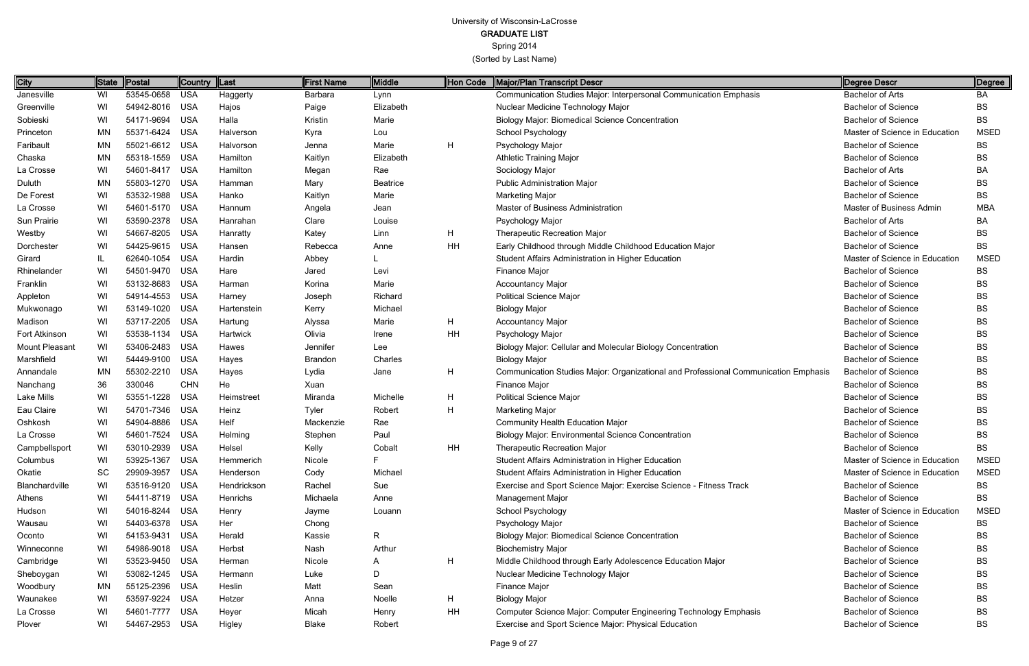Spring 2014

| City           | <b>State</b> | Postal         | Country    | $\ $ Last   | First Name     | <b>Middle</b>   | <b>Hon Code</b> | Major/Plan Transcript Descr                                                         | Degree Descr                   | Degree      |
|----------------|--------------|----------------|------------|-------------|----------------|-----------------|-----------------|-------------------------------------------------------------------------------------|--------------------------------|-------------|
| Janesville     | WI           | 53545-0658     | <b>USA</b> | Haggerty    | Barbara        | Lynn            |                 | Communication Studies Major: Interpersonal Communication Emphasis                   | <b>Bachelor of Arts</b>        | BA          |
| Greenville     | WI           | 54942-8016     | <b>USA</b> | Hajos       | Paige          | Elizabeth       |                 | Nuclear Medicine Technology Major                                                   | <b>Bachelor of Science</b>     | BS          |
| Sobieski       | WI           | 54171-9694     | USA        | Halla       | Kristin        | Marie           |                 | <b>Biology Major: Biomedical Science Concentration</b>                              | <b>Bachelor of Science</b>     | <b>BS</b>   |
| Princeton      | MN           | 55371-6424     | <b>USA</b> | Halverson   | Kyra           | Lou             |                 | School Psychology                                                                   | Master of Science in Education | <b>MSED</b> |
| Faribault      | <b>MN</b>    | 55021-6612 USA |            | Halvorson   | Jenna          | Marie           | H               | Psychology Major                                                                    | <b>Bachelor of Science</b>     | <b>BS</b>   |
| Chaska         | ΜN           | 55318-1559     | USA        | Hamilton    | Kaitlyn        | Elizabeth       |                 | <b>Athletic Training Major</b>                                                      | <b>Bachelor of Science</b>     | BS          |
| La Crosse      | WI           | 54601-8417 USA |            | Hamilton    | Megan          | Rae             |                 | Sociology Major                                                                     | <b>Bachelor of Arts</b>        | BA          |
| Duluth         | <b>MN</b>    | 55803-1270     | <b>USA</b> | Hamman      | Mary           | <b>Beatrice</b> |                 | <b>Public Administration Major</b>                                                  | <b>Bachelor of Science</b>     | BS          |
| De Forest      | WI           | 53532-1988     | USA        | Hanko       | Kaitlyn        | Marie           |                 | <b>Marketing Major</b>                                                              | <b>Bachelor of Science</b>     | BS          |
| La Crosse      | WI           | 54601-5170 USA |            | Hannum      | Angela         | Jean            |                 | Master of Business Administration                                                   | Master of Business Admin       | <b>MBA</b>  |
| Sun Prairie    | WI           | 53590-2378 USA |            | Hanrahan    | Clare          | Louise          |                 | Psychology Major                                                                    | <b>Bachelor of Arts</b>        | BA          |
| Westby         | WI           | 54667-8205     | <b>USA</b> | Hanratty    | Katey          | Linn            | н               | <b>Therapeutic Recreation Major</b>                                                 | <b>Bachelor of Science</b>     | <b>BS</b>   |
| Dorchester     | WI           | 54425-9615 USA |            | Hansen      | Rebecca        | Anne            | HH              | Early Childhood through Middle Childhood Education Major                            | <b>Bachelor of Science</b>     | BS          |
| Girard         | IL.          | 62640-1054     | <b>USA</b> | Hardin      | Abbey          |                 |                 | Student Affairs Administration in Higher Education                                  | Master of Science in Education | <b>MSED</b> |
| Rhinelander    | WI           | 54501-9470 USA |            | Hare        | Jared          | Levi            |                 | Finance Major                                                                       | <b>Bachelor of Science</b>     | BS          |
| Franklin       | WI           | 53132-8683     | <b>USA</b> | Harman      | Korina         | Marie           |                 | <b>Accountancy Major</b>                                                            | <b>Bachelor of Science</b>     | <b>BS</b>   |
| Appleton       | WI           | 54914-4553     | <b>USA</b> | Harney      | Joseph         | Richard         |                 | <b>Political Science Major</b>                                                      | <b>Bachelor of Science</b>     | <b>BS</b>   |
| Mukwonago      | WI           | 53149-1020     | <b>USA</b> | Hartenstein | Kerry          | Michael         |                 | <b>Biology Major</b>                                                                | <b>Bachelor of Science</b>     | <b>BS</b>   |
| Madison        | WI           | 53717-2205     | <b>USA</b> | Hartung     | Alyssa         | Marie           | H               | <b>Accountancy Major</b>                                                            | <b>Bachelor of Science</b>     | BS          |
| Fort Atkinson  | WI           | 53538-1134     | <b>USA</b> | Hartwick    | Olivia         | Irene           | HH              | Psychology Major                                                                    | <b>Bachelor of Science</b>     | <b>BS</b>   |
| Mount Pleasant | WI           | 53406-2483     | <b>USA</b> | Hawes       | Jennifer       | Lee             |                 | Biology Major: Cellular and Molecular Biology Concentration                         | <b>Bachelor of Science</b>     | <b>BS</b>   |
| Marshfield     | WI           | 54449-9100     | <b>USA</b> | Hayes       | <b>Brandon</b> | Charles         |                 | <b>Biology Major</b>                                                                | <b>Bachelor of Science</b>     | <b>BS</b>   |
| Annandale      | <b>MN</b>    | 55302-2210     | <b>USA</b> | Hayes       | Lydia          | Jane            | H               | Communication Studies Major: Organizational and Professional Communication Emphasis | <b>Bachelor of Science</b>     | <b>BS</b>   |
| Nanchang       | 36           | 330046         | <b>CHN</b> | He          | Xuan           |                 |                 | Finance Major                                                                       | <b>Bachelor of Science</b>     | <b>BS</b>   |
| Lake Mills     | WI           | 53551-1228     | <b>USA</b> | Heimstreet  | Miranda        | Michelle        | H               | <b>Political Science Major</b>                                                      | <b>Bachelor of Science</b>     | <b>BS</b>   |
| Eau Claire     | WI           | 54701-7346 USA |            | Heinz       | Tyler          | Robert          | H               | <b>Marketing Major</b>                                                              | <b>Bachelor of Science</b>     | <b>BS</b>   |
| Oshkosh        | WI           | 54904-8886     | <b>USA</b> | Helf        | Mackenzie      | Rae             |                 | <b>Community Health Education Major</b>                                             | <b>Bachelor of Science</b>     | <b>BS</b>   |
| La Crosse      | WI           | 54601-7524     | <b>USA</b> | Helming     | Stephen        | Paul            |                 | <b>Biology Major: Environmental Science Concentration</b>                           | <b>Bachelor of Science</b>     | <b>BS</b>   |
| Campbellsport  | WI           | 53010-2939     | <b>USA</b> | Helsel      | Kelly          | Cobalt          | HH              | Therapeutic Recreation Major                                                        | <b>Bachelor of Science</b>     | <b>BS</b>   |
| Columbus       | WI           | 53925-1367     | USA        | Hemmerich   | Nicole         |                 |                 | Student Affairs Administration in Higher Education                                  | Master of Science in Education | <b>MSED</b> |
| Okatie         | <b>SC</b>    | 29909-3957     | USA        | Henderson   | Cody           | Michael         |                 | Student Affairs Administration in Higher Education                                  | Master of Science in Education | <b>MSED</b> |
| Blanchardville | WI           | 53516-9120 USA |            | Hendrickson | Rachel         | Sue             |                 | Exercise and Sport Science Major: Exercise Science - Fitness Track                  | <b>Bachelor of Science</b>     | BS          |
| Athens         | WI           | 54411-8719 USA |            | Henrichs    | Michaela       | Anne            |                 | <b>Management Major</b>                                                             | <b>Bachelor of Science</b>     | <b>BS</b>   |
| Hudson         | WI           | 54016-8244 USA |            | Henry       | Jayme          | Louann          |                 | <b>School Psychology</b>                                                            | Master of Science in Education | <b>MSED</b> |
| Wausau         | WI           | 54403-6378 USA |            | Her         | Chong          |                 |                 | Psychology Major                                                                    | <b>Bachelor of Science</b>     | BS          |
| Oconto         | WI           | 54153-9431 USA |            | Herald      | Kassie         | R               |                 | <b>Biology Major: Biomedical Science Concentration</b>                              | <b>Bachelor of Science</b>     | BS          |
| Winneconne     | WI           | 54986-9018 USA |            | Herbst      | Nash           | Arthur          |                 | <b>Biochemistry Major</b>                                                           | <b>Bachelor of Science</b>     | <b>BS</b>   |
| Cambridge      | WI           | 53523-9450 USA |            | Herman      | Nicole         | A               | Н               | Middle Childhood through Early Adolescence Education Major                          | <b>Bachelor of Science</b>     | <b>BS</b>   |
| Sheboygan      | WI           | 53082-1245 USA |            | Hermann     | Luke           | D               |                 | Nuclear Medicine Technology Major                                                   | <b>Bachelor of Science</b>     | <b>BS</b>   |
| Woodbury       | ΜN           | 55125-2396 USA |            | Heslin      | Matt           | Sean            |                 | Finance Major                                                                       | <b>Bachelor of Science</b>     | <b>BS</b>   |
| Waunakee       | WI           | 53597-9224 USA |            | Hetzer      | Anna           | Noelle          | H               | <b>Biology Major</b>                                                                | <b>Bachelor of Science</b>     | BS          |
| La Crosse      | WI           | 54601-7777 USA |            | Heyer       | Micah          | Henry           | HH              | Computer Science Major: Computer Engineering Technology Emphasis                    | <b>Bachelor of Science</b>     | BS          |
| Plover         | WI           | 54467-2953 USA |            | Higley      | Blake          | Robert          |                 | Exercise and Sport Science Major: Physical Education                                | <b>Bachelor of Science</b>     | <b>BS</b>   |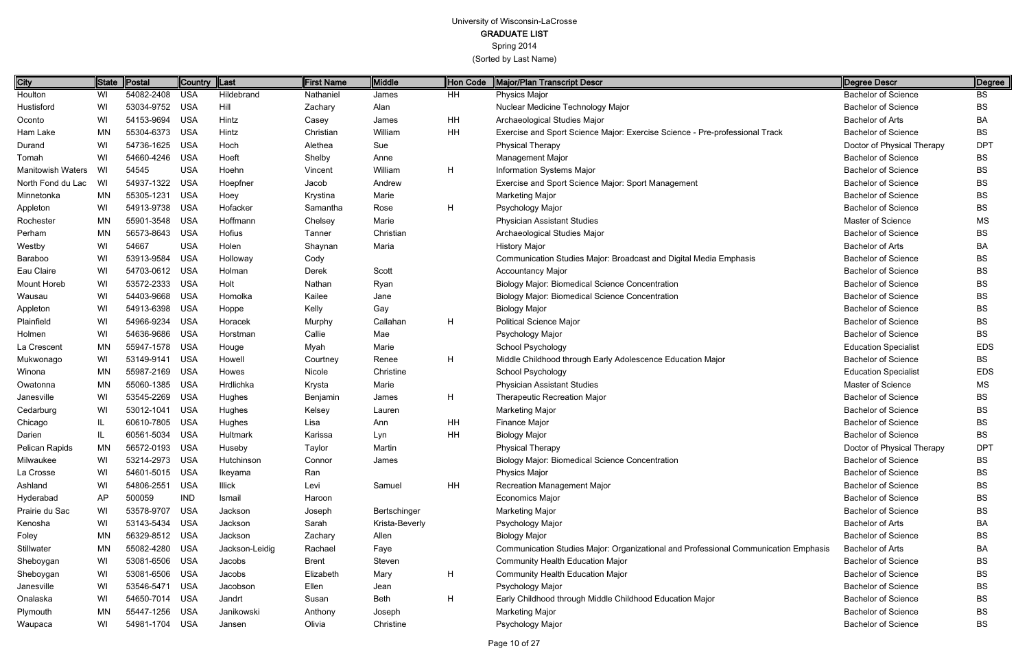GRADUATE LIST

Spring 2014

(Sorted by Last Name)

Page 10 of 27

| City                     | State        | Postal         | Country    | $\ $ Last      | <b>First Name</b> | Middle         | Hon Code  | Major/Plan Transcript Descr                                                         | <b>Degree Descr</b>         | Degree     |
|--------------------------|--------------|----------------|------------|----------------|-------------------|----------------|-----------|-------------------------------------------------------------------------------------|-----------------------------|------------|
| Houlton                  | WI           | 54082-2408     | <b>USA</b> | Hildebrand     | Nathaniel         | James          | HH        | Physics Major                                                                       | <b>Bachelor of Science</b>  | BS         |
| Hustisford               | WI           | 53034-9752     | <b>USA</b> | Hill           | Zachary           | Alan           |           | Nuclear Medicine Technology Major                                                   | <b>Bachelor of Science</b>  | <b>BS</b>  |
| Oconto                   | WI           | 54153-9694     | <b>USA</b> | Hintz          | Casey             | James          | <b>HH</b> | Archaeological Studies Major                                                        | <b>Bachelor of Arts</b>     | BA         |
| Ham Lake                 | <b>MN</b>    | 55304-6373     | <b>USA</b> | Hintz          | Christian         | William        | <b>HH</b> | Exercise and Sport Science Major: Exercise Science - Pre-professional Track         | <b>Bachelor of Science</b>  | BS         |
| Durand                   | WI           | 54736-1625     | <b>USA</b> | Hoch           | Alethea           | Sue            |           | <b>Physical Therapy</b>                                                             | Doctor of Physical Therapy  | <b>DPT</b> |
| Tomah                    | WI           | 54660-4246     | <b>USA</b> | Hoeft          | Shelby            | Anne           |           | Management Major                                                                    | <b>Bachelor of Science</b>  | BS         |
| <b>Manitowish Waters</b> | WI           | 54545          | <b>USA</b> | Hoehn          | Vincent           | William        | H         | Information Systems Major                                                           | <b>Bachelor of Science</b>  | BS         |
| North Fond du Lac        | WI           | 54937-1322     | <b>USA</b> | Hoepfner       | Jacob             | Andrew         |           | Exercise and Sport Science Major: Sport Management                                  | <b>Bachelor of Science</b>  | BS         |
| Minnetonka               | <b>MN</b>    | 55305-1231     | <b>USA</b> | Hoey           | Krystina          | Marie          |           | Marketing Major                                                                     | <b>Bachelor of Science</b>  | ВS         |
| Appleton                 | WI           | 54913-9738     | <b>USA</b> | Hofacker       | Samantha          | Rose           | H         | Psychology Major                                                                    | <b>Bachelor of Science</b>  | BS         |
| Rochester                | <b>MN</b>    | 55901-3548     | <b>USA</b> | Hoffmann       | Chelsey           | Marie          |           | <b>Physician Assistant Studies</b>                                                  | Master of Science           | <b>MS</b>  |
| Perham                   | <b>MN</b>    | 56573-8643     | <b>USA</b> | Hofius         | Tanner            | Christian      |           | Archaeological Studies Major                                                        | <b>Bachelor of Science</b>  | BS         |
| Westby                   | WI           | 54667          | <b>USA</b> | Holen          | Shaynan           | Maria          |           | <b>History Major</b>                                                                | Bachelor of Arts            | BA         |
| Baraboo                  | WI           | 53913-9584     | <b>USA</b> | Holloway       | Cody              |                |           | Communication Studies Major: Broadcast and Digital Media Emphasis                   | <b>Bachelor of Science</b>  | BS         |
| Eau Claire               | WI           | 54703-0612     | <b>USA</b> | Holman         | Derek             | Scott          |           | <b>Accountancy Major</b>                                                            | <b>Bachelor of Science</b>  | BS         |
| <b>Mount Horeb</b>       | WI           | 53572-2333     | <b>USA</b> | Holt           | Nathan            | Ryan           |           | <b>Biology Major: Biomedical Science Concentration</b>                              | <b>Bachelor of Science</b>  | BS         |
| Wausau                   | WI           | 54403-9668     | <b>USA</b> | Homolka        | Kailee            | Jane           |           | <b>Biology Major: Biomedical Science Concentration</b>                              | <b>Bachelor of Science</b>  | BS         |
| Appleton                 | WI           | 54913-6398     | <b>USA</b> | Hoppe          | Kelly             | Gay            |           | <b>Biology Major</b>                                                                | <b>Bachelor of Science</b>  | BS         |
| Plainfield               | WI           | 54966-9234     | <b>USA</b> | Horacek        | Murphy            | Callahan       | H         | <b>Political Science Major</b>                                                      | <b>Bachelor of Science</b>  | BS         |
| Holmen                   | WI           | 54636-9686     | <b>USA</b> | Horstman       | Callie            | Mae            |           | Psychology Major                                                                    | <b>Bachelor of Science</b>  | BS         |
| La Crescent              | <b>MN</b>    | 55947-1578     | <b>USA</b> | Houge          | Myah              | Marie          |           | School Psychology                                                                   | <b>Education Specialist</b> | <b>EDS</b> |
| Mukwonago                | WI           | 53149-9141     | <b>USA</b> | Howell         | Courtney          | Renee          | H         | Middle Childhood through Early Adolescence Education Major                          | <b>Bachelor of Science</b>  | <b>BS</b>  |
| Winona                   | <b>MN</b>    | 55987-2169     | <b>USA</b> | Howes          | Nicole            | Christine      |           | School Psychology                                                                   | <b>Education Specialist</b> | <b>EDS</b> |
| Owatonna                 | <b>MN</b>    | 55060-1385     | <b>USA</b> | Hrdlichka      | Krysta            | Marie          |           | <b>Physician Assistant Studies</b>                                                  | Master of Science           | <b>MS</b>  |
| Janesville               | WI           | 53545-2269     | <b>USA</b> | Hughes         | Benjamin          | James          | H         | <b>Therapeutic Recreation Major</b>                                                 | <b>Bachelor of Science</b>  | BS         |
| Cedarburg                | WI           | 53012-1041     | <b>USA</b> | Hughes         | Kelsey            | Lauren         |           | <b>Marketing Major</b>                                                              | <b>Bachelor of Science</b>  | BS         |
| Chicago                  | IL           | 60610-7805     | <b>USA</b> | Hughes         | Lisa              | Ann            | HH        | Finance Major                                                                       | <b>Bachelor of Science</b>  | BS         |
| Darien                   | $\mathsf{I}$ | 60561-5034     | <b>USA</b> | Hultmark       | Karissa           | Lyn            | HH        | <b>Biology Major</b>                                                                | <b>Bachelor of Science</b>  | BS         |
| Pelican Rapids           | <b>MN</b>    | 56572-0193     | <b>USA</b> | Huseby         | Taylor            | Martin         |           | <b>Physical Therapy</b>                                                             | Doctor of Physical Therapy  | <b>DPT</b> |
| Milwaukee                | WI           | 53214-2973 USA |            | Hutchinson     | Connor            | James          |           | Biology Major: Biomedical Science Concentration                                     | <b>Bachelor of Science</b>  | <b>BS</b>  |
| La Crosse                | WI           | 54601-5015 USA |            | Ikeyama        | Ran               |                |           | Physics Major                                                                       | <b>Bachelor of Science</b>  | BS         |
| Ashland                  | WI           | 54806-2551     | <b>USA</b> | <b>Illick</b>  | Levi              | Samuel         | <b>HH</b> | Recreation Management Major                                                         | <b>Bachelor of Science</b>  | BS         |
| Hyderabad                | AP           | 500059         | <b>IND</b> | Ismail         | Haroon            |                |           | Economics Major                                                                     | <b>Bachelor of Science</b>  | BS         |
| Prairie du Sac           | WI           | 53578-9707     | <b>USA</b> | Jackson        | Joseph            | Bertschinger   |           | <b>Marketing Major</b>                                                              | <b>Bachelor of Science</b>  | ВS         |
| Kenosha                  | WI           | 53143-5434     | USA        | Jackson        | Sarah             | Krista-Beverly |           | Psychology Major                                                                    | Bachelor of Arts            | ВA         |
| Foley                    | <b>MN</b>    | 56329-8512 USA |            | Jackson        | Zachary           | Allen          |           | <b>Biology Major</b>                                                                | <b>Bachelor of Science</b>  | ВS         |
| Stillwater               | MN           | 55082-4280     | USA        | Jackson-Leidig | Rachael           | Faye           |           | Communication Studies Major: Organizational and Professional Communication Emphasis | Bachelor of Arts            | ВA         |
| Sheboygan                | WI           | 53081-6506     | USA        | Jacobs         | <b>Brent</b>      | Steven         |           | <b>Community Health Education Major</b>                                             | <b>Bachelor of Science</b>  | ВS         |
| Sheboygan                | WI           | 53081-6506 USA |            | Jacobs         | Elizabeth         | Mary           | H         | <b>Community Health Education Major</b>                                             | <b>Bachelor of Science</b>  | ВS         |
| Janesville               | WI           | 53546-5471 USA |            | Jacobson       | Ellen             | Jean           |           | Psychology Major                                                                    | <b>Bachelor of Science</b>  | BS         |
| Onalaska                 | WI           | 54650-7014 USA |            | Jandrt         | Susan             | Beth           | H         | Early Childhood through Middle Childhood Education Major                            | <b>Bachelor of Science</b>  | ВS         |
| Plymouth                 | MN           | 55447-1256     | USA        | Janikowski     | Anthony           | Joseph         |           | Marketing Major                                                                     | <b>Bachelor of Science</b>  | <b>BS</b>  |
| Waupaca                  | WI           | 54981-1704 USA |            | Jansen         | Olivia            | Christine      |           | Psychology Major                                                                    | <b>Bachelor of Science</b>  | BS         |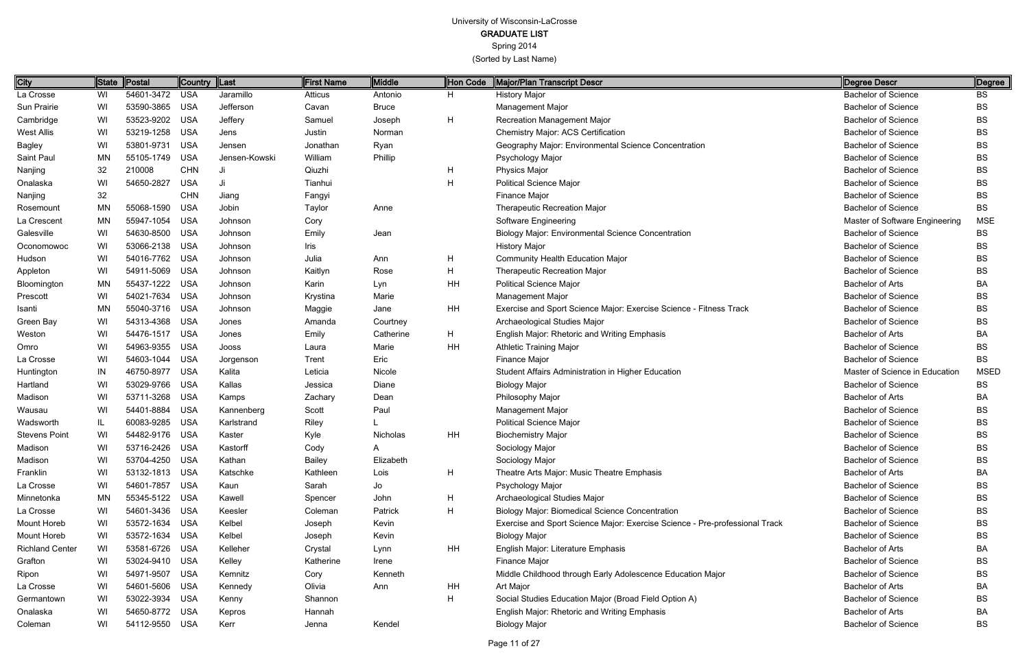GRADUATE LIST

Spring 2014

| <b>City</b>            | State     | <b>Postal</b>  | Country Last |               | <b>First Name</b> | Middle       | Hon Code | Major/Plan Transcript Descr                                                 | Degree Descr                   | Degree      |
|------------------------|-----------|----------------|--------------|---------------|-------------------|--------------|----------|-----------------------------------------------------------------------------|--------------------------------|-------------|
| La Crosse              | WI        | 54601-3472 USA |              | Jaramillo     | Atticus           | Antonio      | H        | <b>History Major</b>                                                        | <b>Bachelor of Science</b>     | BS          |
| Sun Prairie            | WI        | 53590-3865     | USA          | Jefferson     | Cavan             | <b>Bruce</b> |          | <b>Management Major</b>                                                     | <b>Bachelor of Science</b>     | <b>BS</b>   |
| Cambridge              | WI        | 53523-9202 USA |              | Jeffery       | Samuel            | Joseph       | Н        | <b>Recreation Management Major</b>                                          | <b>Bachelor of Science</b>     | <b>BS</b>   |
| West Allis             | WI        | 53219-1258     | USA          | Jens          | Justin            | Norman       |          | Chemistry Major: ACS Certification                                          | <b>Bachelor of Science</b>     | BS          |
| Bagley                 | WI        | 53801-9731     | <b>USA</b>   | Jensen        | Jonathan          | Ryan         |          | Geography Major: Environmental Science Concentration                        | <b>Bachelor of Science</b>     | <b>BS</b>   |
| Saint Paul             | <b>MN</b> | 55105-1749 USA |              | Jensen-Kowski | William           | Phillip      |          | Psychology Major                                                            | <b>Bachelor of Science</b>     | <b>BS</b>   |
| Nanjing                | 32        | 210008         | <b>CHN</b>   | Ji            | Qiuzhi            |              | H        | Physics Major                                                               | <b>Bachelor of Science</b>     | <b>BS</b>   |
| Onalaska               | WI        | 54650-2827     | <b>USA</b>   | Ji            | Tianhui           |              | H        | <b>Political Science Major</b>                                              | <b>Bachelor of Science</b>     | <b>BS</b>   |
| Nanjing                | 32        |                | <b>CHN</b>   | Jiang         | Fangyi            |              |          | <b>Finance Major</b>                                                        | <b>Bachelor of Science</b>     | <b>BS</b>   |
| Rosemount              | <b>MN</b> | 55068-1590     | <b>USA</b>   | Jobin         | Taylor            | Anne         |          | <b>Therapeutic Recreation Major</b>                                         | <b>Bachelor of Science</b>     | <b>BS</b>   |
| La Crescent            | <b>MN</b> | 55947-1054     | USA          | Johnson       | Cory              |              |          | <b>Software Engineering</b>                                                 | Master of Software Engineering | <b>MSE</b>  |
| Galesville             | WI        | 54630-8500     | USA          | Johnson       | Emily             | Jean         |          | <b>Biology Major: Environmental Science Concentration</b>                   | <b>Bachelor of Science</b>     | <b>BS</b>   |
| Oconomowoc             | WI        | 53066-2138 USA |              | Johnson       | Iris              |              |          | <b>History Major</b>                                                        | <b>Bachelor of Science</b>     | <b>BS</b>   |
| Hudson                 | WI        | 54016-7762 USA |              | Johnson       | Julia             | Ann          | H        | <b>Community Health Education Major</b>                                     | <b>Bachelor of Science</b>     | <b>BS</b>   |
| Appleton               | WI        | 54911-5069 USA |              | Johnson       | Kaitlyn           | Rose         | н        | <b>Therapeutic Recreation Major</b>                                         | <b>Bachelor of Science</b>     | <b>BS</b>   |
| Bloomington            | <b>MN</b> | 55437-1222     | USA          | Johnson       | Karin             | Lyn          | ΗH       | <b>Political Science Major</b>                                              | <b>Bachelor of Arts</b>        | BA          |
| Prescott               | WI        | 54021-7634 USA |              | Johnson       | Krystina          | Marie        |          | <b>Management Major</b>                                                     | <b>Bachelor of Science</b>     | <b>BS</b>   |
| Isanti                 | <b>MN</b> | 55040-3716 USA |              | Johnson       | Maggie            | Jane         | ΗH       | Exercise and Sport Science Major: Exercise Science - Fitness Track          | <b>Bachelor of Science</b>     | <b>BS</b>   |
| Green Bay              | WI        | 54313-4368 USA |              | Jones         | Amanda            | Courtney     |          | Archaeological Studies Major                                                | <b>Bachelor of Science</b>     | <b>BS</b>   |
| Weston                 | WI        | 54476-1517     | <b>USA</b>   | Jones         | Emily             | Catherine    | H        | <b>English Major: Rhetoric and Writing Emphasis</b>                         | Bachelor of Arts               | BA          |
| Omro                   | WI        | 54963-9355 USA |              | Jooss         | Laura             | Marie        | HH       | <b>Athletic Training Major</b>                                              | <b>Bachelor of Science</b>     | <b>BS</b>   |
| La Crosse              | WI        | 54603-1044     | USA          | Jorgenson     | Trent             | Eric         |          | Finance Major                                                               | <b>Bachelor of Science</b>     | <b>BS</b>   |
| Huntington             | IN        | 46750-8977     | <b>USA</b>   | Kalita        | Leticia           | Nicole       |          | Student Affairs Administration in Higher Education                          | Master of Science in Education | <b>MSED</b> |
| Hartland               | WI        | 53029-9766     | <b>USA</b>   | Kallas        | Jessica           | Diane        |          | <b>Biology Major</b>                                                        | <b>Bachelor of Science</b>     | <b>BS</b>   |
| Madison                | WI        | 53711-3268 USA |              | Kamps         | Zachary           | Dean         |          | Philosophy Major                                                            | <b>Bachelor of Arts</b>        | BA          |
| Wausau                 | WI        | 54401-8884     | USA          | Kannenberg    | Scott             | Paul         |          | Management Major                                                            | <b>Bachelor of Science</b>     | <b>BS</b>   |
| Wadsworth              | IL        | 60083-9285     | USA          | Karlstrand    | Riley             |              |          | <b>Political Science Major</b>                                              | <b>Bachelor of Science</b>     | <b>BS</b>   |
| <b>Stevens Point</b>   | WI        | 54482-9176 USA |              | Kaster        | Kyle              | Nicholas     | HH       | <b>Biochemistry Major</b>                                                   | <b>Bachelor of Science</b>     | <b>BS</b>   |
| Madison                | WI        | 53716-2426 USA |              | Kastorff      | Cody              |              |          | Sociology Major                                                             | <b>Bachelor of Science</b>     | <b>BS</b>   |
| Madison                | WI        | 53704-4250 USA |              | Kathan        | <b>Bailey</b>     | Elizabeth    |          | Sociology Major                                                             | <b>Bachelor of Science</b>     | <b>BS</b>   |
| Franklin               | WI        | 53132-1813 USA |              | Katschke      | Kathleen          | Lois         | H        | Theatre Arts Major: Music Theatre Emphasis                                  | Bachelor of Arts               | BA          |
| La Crosse              | WI        | 54601-7857 USA |              | Kaun          | Sarah             | Jo           |          | Psychology Major                                                            | <b>Bachelor of Science</b>     | <b>BS</b>   |
| Minnetonka             | MN        | 55345-5122 USA |              | Kawell        | Spencer           | John         | H        | Archaeological Studies Major                                                | <b>Bachelor of Science</b>     | BS          |
| La Crosse              | WI        | 54601-3436 USA |              | Keesler       | Coleman           | Patrick      | H        | <b>Biology Major: Biomedical Science Concentration</b>                      | <b>Bachelor of Science</b>     | BS          |
| Mount Horeb            | WI        | 53572-1634 USA |              | Kelbel        | Joseph            | Kevin        |          | Exercise and Sport Science Major: Exercise Science - Pre-professional Track | <b>Bachelor of Science</b>     | <b>BS</b>   |
| Mount Horeb            | WI.       | 53572-1634 USA |              | Kelbel        | Joseph            | Kevin        |          | <b>Biology Major</b>                                                        | <b>Bachelor of Science</b>     | <b>BS</b>   |
| <b>Richland Center</b> | WI        | 53581-6726 USA |              | Kelleher      | Crystal           | Lynn         | HH       | English Major: Literature Emphasis                                          | <b>Bachelor of Arts</b>        | BA          |
| Grafton                | WI        | 53024-9410 USA |              | Kelley        | Katherine         | Irene        |          | Finance Major                                                               | <b>Bachelor of Science</b>     | BS          |
| Ripon                  | WI        | 54971-9507 USA |              | Kemnitz       | Cory              | Kenneth      |          | Middle Childhood through Early Adolescence Education Major                  | <b>Bachelor of Science</b>     | <b>BS</b>   |
| La Crosse              | WI        | 54601-5606 USA |              | Kennedy       | Olivia            | Ann          | HH       | Art Major                                                                   | Bachelor of Arts               | BA          |
| Germantown             | WI        | 53022-3934 USA |              | Kenny         | Shannon           |              | H        | Social Studies Education Major (Broad Field Option A)                       | <b>Bachelor of Science</b>     | <b>BS</b>   |
| Onalaska               | WI        | 54650-8772 USA |              | Kepros        | Hannah            |              |          | <b>English Major: Rhetoric and Writing Emphasis</b>                         | Bachelor of Arts               | BA          |
| Coleman                | WI        | 54112-9550 USA |              | Kerr          | Jenna             | Kendel       |          | <b>Biology Major</b>                                                        | <b>Bachelor of Science</b>     | <b>BS</b>   |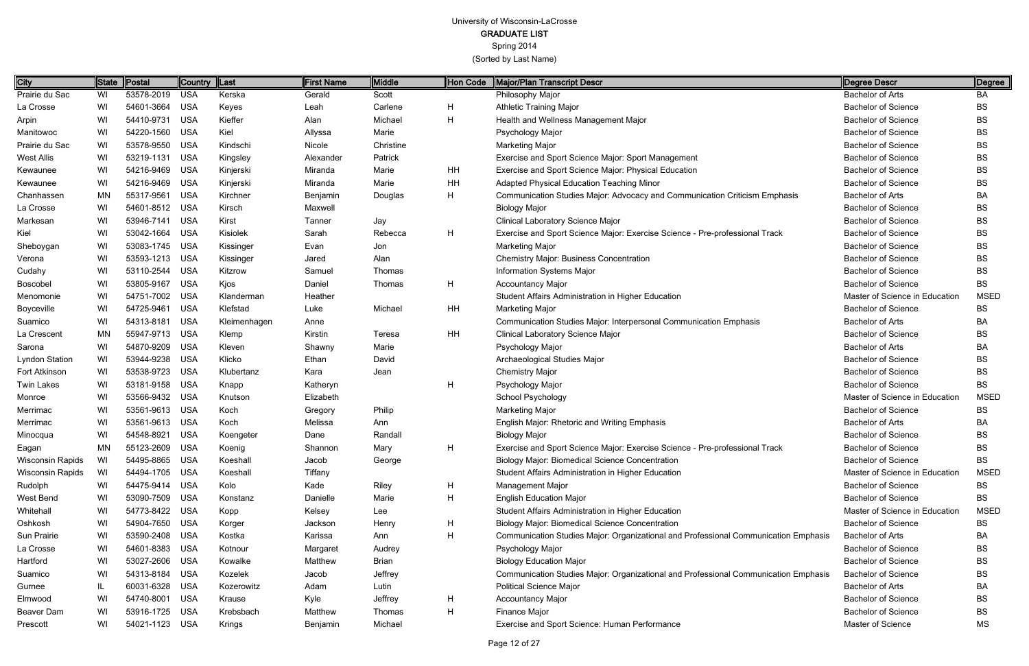GRADUATE LIST

Spring 2014

| <b>City</b>             | State     | Postal         | <b>Country</b> | $\ $ Last    | <b>First Name</b> | Middle       | Hon Code | Major/Plan Transcript Descr                                                         | Degree Descr                   | Degree      |
|-------------------------|-----------|----------------|----------------|--------------|-------------------|--------------|----------|-------------------------------------------------------------------------------------|--------------------------------|-------------|
| Prairie du Sac          | WI        | 53578-2019 USA |                | Kerska       | Gerald            | Scott        |          | Philosophy Major                                                                    | <b>Bachelor of Arts</b>        | BA          |
| La Crosse               | WI        | 54601-3664 USA |                | Keyes        | Leah              | Carlene      | H        | <b>Athletic Training Major</b>                                                      | <b>Bachelor of Science</b>     | BS          |
| Arpin                   | WI        | 54410-9731     | USA            | Kieffer      | Alan              | Michael      | H        | Health and Wellness Management Major                                                | <b>Bachelor of Science</b>     | BS          |
| Manitowoc               | WI        | 54220-1560     | <b>USA</b>     | Kiel         | Allyssa           | Marie        |          | Psychology Major                                                                    | <b>Bachelor of Science</b>     | BS          |
| Prairie du Sac          | WI        | 53578-9550     | <b>USA</b>     | Kindschi     | Nicole            | Christine    |          | Marketing Major                                                                     | <b>Bachelor of Science</b>     | BS          |
| West Allis              | WI        | 53219-1131     | <b>USA</b>     | Kingsley     | Alexander         | Patrick      |          | Exercise and Sport Science Major: Sport Management                                  | <b>Bachelor of Science</b>     | BS          |
| Kewaunee                | WI        | 54216-9469 USA |                | Kinjerski    | Miranda           | Marie        | HH       | Exercise and Sport Science Major: Physical Education                                | <b>Bachelor of Science</b>     | BS          |
| Kewaunee                | WI        | 54216-9469     | USA            | Kinjerski    | Miranda           | Marie        | HH       | Adapted Physical Education Teaching Minor                                           | <b>Bachelor of Science</b>     | BS          |
| Chanhassen              | <b>MN</b> | 55317-9561     | USA            | Kirchner     | Benjamin          | Douglas      | H        | Communication Studies Major: Advocacy and Communication Criticism Emphasis          | <b>Bachelor of Arts</b>        | ВA          |
| La Crosse               | WI        | 54601-8512 USA |                | Kirsch       | Maxwell           |              |          | <b>Biology Major</b>                                                                | <b>Bachelor of Science</b>     | BS          |
| Markesan                | WI        | 53946-7141 USA |                | Kirst        | Tanner            | Jay          |          | Clinical Laboratory Science Major                                                   | <b>Bachelor of Science</b>     | BS          |
| Kiel                    | WI        | 53042-1664 USA |                | Kisiolek     | Sarah             | Rebecca      | H        | Exercise and Sport Science Major: Exercise Science - Pre-professional Track         | <b>Bachelor of Science</b>     | BS          |
| Sheboygan               | WI        | 53083-1745 USA |                | Kissinger    | Evan              | Jon          |          | Marketing Major                                                                     | <b>Bachelor of Science</b>     | BS          |
| Verona                  | WI        | 53593-1213 USA |                | Kissinger    | Jared             | Alan         |          | <b>Chemistry Major: Business Concentration</b>                                      | <b>Bachelor of Science</b>     | BS          |
| Cudahy                  | WI        | 53110-2544 USA |                | Kitzrow      | Samuel            | Thomas       |          | Information Systems Major                                                           | <b>Bachelor of Science</b>     | BS          |
| Boscobel                | WI        | 53805-9167     | <b>USA</b>     | Kjos         | Daniel            | Thomas       | H        | <b>Accountancy Major</b>                                                            | <b>Bachelor of Science</b>     | <b>BS</b>   |
| Menomonie               | WI        | 54751-7002 USA |                | Klanderman   | Heather           |              |          | Student Affairs Administration in Higher Education                                  | Master of Science in Education | <b>MSED</b> |
| Boyceville              | WI        | 54725-9461     | <b>USA</b>     | Klefstad     | Luke              | Michael      | HH       | Marketing Major                                                                     | <b>Bachelor of Science</b>     | BS          |
| Suamico                 | WI        | 54313-8181     | <b>USA</b>     | Kleimenhagen | Anne              |              |          | Communication Studies Major: Interpersonal Communication Emphasis                   | <b>Bachelor of Arts</b>        | BA          |
| La Crescent             | MN        | 55947-9713 USA |                | Klemp        | Kirstin           | Teresa       | HH       | Clinical Laboratory Science Major                                                   | <b>Bachelor of Science</b>     | BS          |
| Sarona                  | WI        | 54870-9209 USA |                | Kleven       | Shawny            | Marie        |          | Psychology Major                                                                    | <b>Bachelor of Arts</b>        | BA          |
| Lyndon Station          | WI        | 53944-9238 USA |                | Klicko       | Ethan             | David        |          | Archaeological Studies Major                                                        | <b>Bachelor of Science</b>     | BS          |
| Fort Atkinson           | WI        | 53538-9723 USA |                | Klubertanz   | Kara              | Jean         |          | <b>Chemistry Major</b>                                                              | <b>Bachelor of Science</b>     | BS          |
| <b>Twin Lakes</b>       | WI        | 53181-9158 USA |                | Knapp        | Katheryn          |              | H        | Psychology Major                                                                    | <b>Bachelor of Science</b>     | <b>BS</b>   |
| Monroe                  | WI        | 53566-9432 USA |                | Knutson      | Elizabeth         |              |          | School Psychology                                                                   | Master of Science in Education | <b>MSED</b> |
| Merrimac                | WI        | 53561-9613 USA |                | Koch         | Gregory           | Philip       |          | <b>Marketing Major</b>                                                              | <b>Bachelor of Science</b>     | BS          |
| Merrimac                | WI        | 53561-9613 USA |                | Koch         | Melissa           | Ann          |          | English Major: Rhetoric and Writing Emphasis                                        | Bachelor of Arts               | BA          |
| Minocqua                | WI        | 54548-8921     | <b>USA</b>     | Koengeter    | Dane              | Randall      |          | <b>Biology Major</b>                                                                | <b>Bachelor of Science</b>     | BS          |
| Eagan                   | MN        | 55123-2609 USA |                | Koenig       | Shannon           | Mary         | н        | Exercise and Sport Science Major: Exercise Science - Pre-professional Track         | <b>Bachelor of Science</b>     | BS          |
| <b>Wisconsin Rapids</b> | WI.       | 54495-8865 USA |                | Koeshall     | Jacob             | George       |          | Biology Major: Biomedical Science Concentration                                     | <b>Bachelor of Science</b>     | BS          |
| Wisconsin Rapids        | WI        | 54494-1705 USA |                | Koeshall     | Tiffany           |              |          | Student Affairs Administration in Higher Education                                  | Master of Science in Education | <b>MSED</b> |
| Rudolph                 | WI        | 54475-9414 USA |                | Kolo         | Kade              | Riley        | H        | Management Major                                                                    | <b>Bachelor of Science</b>     | ВS          |
| West Bend               | WI        | 53090-7509 USA |                | Konstanz     | Danielle          | Marie        | H        | <b>English Education Major</b>                                                      | <b>Bachelor of Science</b>     | BS          |
| Whitehall               | WI        | 54773-8422 USA |                | Kopp         | Kelsey            | Lee          |          | Student Affairs Administration in Higher Education                                  | Master of Science in Education | <b>MSED</b> |
| Oshkosh                 | WI        | 54904-7650 USA |                | Korger       | Jackson           | Henry        | H        | <b>Biology Major: Biomedical Science Concentration</b>                              | <b>Bachelor of Science</b>     | BS          |
| Sun Prairie             | WI        | 53590-2408 USA |                | Kostka       | Karissa           | Ann          | H        | Communication Studies Major: Organizational and Professional Communication Emphasis | <b>Bachelor of Arts</b>        | ВA          |
| La Crosse               | WI        | 54601-8383 USA |                | Kotnour      | Margaret          | Audrey       |          | Psychology Major                                                                    | <b>Bachelor of Science</b>     | BS          |
| Hartford                | WI        | 53027-2606 USA |                | Kowalke      | Matthew           | <b>Brian</b> |          | <b>Biology Education Major</b>                                                      | <b>Bachelor of Science</b>     | ВS          |
| Suamico                 | WI        | 54313-8184 USA |                | Kozelek      | Jacob             | Jeffrey      |          | Communication Studies Major: Organizational and Professional Communication Emphasis | <b>Bachelor of Science</b>     | BS          |
| Gurnee                  | IL.       | 60031-6328 USA |                | Kozerowitz   | Adam              | Lutin        |          | <b>Political Science Major</b>                                                      | <b>Bachelor of Arts</b>        | ВA          |
| Elmwood                 | WI        | 54740-8001 USA |                | Krause       | Kyle              | Jeffrey      | H        | <b>Accountancy Major</b>                                                            | <b>Bachelor of Science</b>     | BS          |
| Beaver Dam              | WI        | 53916-1725 USA |                | Krebsbach    | Matthew           | Thomas       | H        | Finance Major                                                                       | <b>Bachelor of Science</b>     | ВS          |
| Prescott                | WI        | 54021-1123 USA |                | Krings       | Benjamin          | Michael      |          | Exercise and Sport Science: Human Performance                                       | Master of Science              | МS          |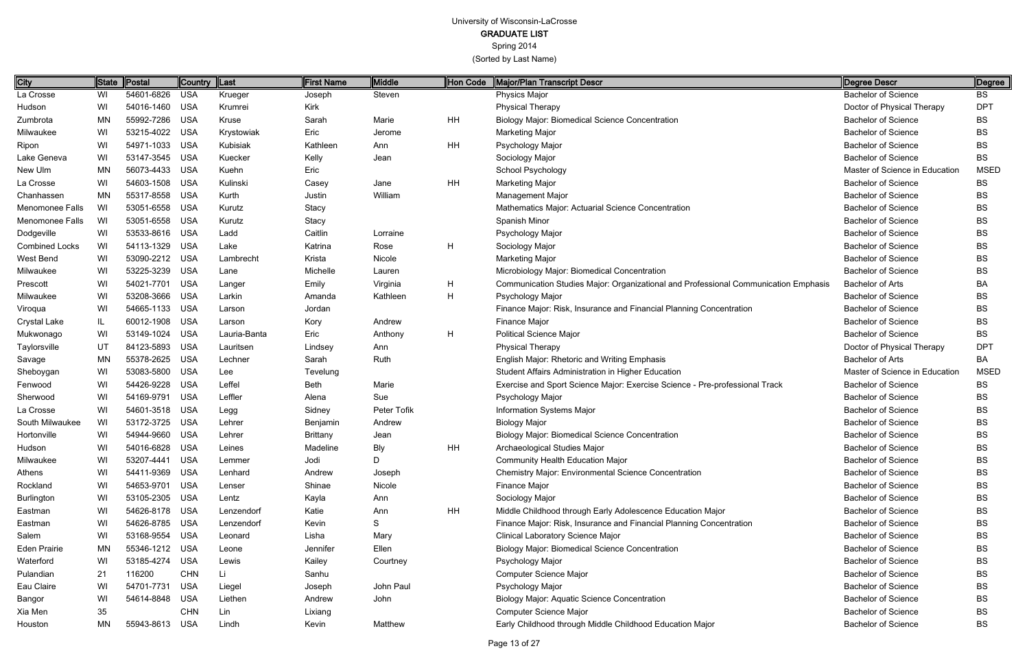Spring 2014

| <b>City</b>            | <b>State</b> | Postal         | Country    | $\ $ Last    | First Name      | Middle      | Hon Code  | Major/Plan Transcript Descr                                                         | Degree Descr                   | Degree      |
|------------------------|--------------|----------------|------------|--------------|-----------------|-------------|-----------|-------------------------------------------------------------------------------------|--------------------------------|-------------|
| La Crosse              | WI           | 54601-6826     | <b>USA</b> | Krueger      | Joseph          | Steven      |           | Physics Major                                                                       | <b>Bachelor of Science</b>     | BS.         |
| Hudson                 | WI           | 54016-1460     | <b>USA</b> | Krumrei      | Kirk            |             |           | <b>Physical Therapy</b>                                                             | Doctor of Physical Therapy     | <b>DPT</b>  |
| Zumbrota               | <b>MN</b>    | 55992-7286     | <b>USA</b> | Kruse        | Sarah           | Marie       | <b>HH</b> | <b>Biology Major: Biomedical Science Concentration</b>                              | <b>Bachelor of Science</b>     | BS          |
| Milwaukee              | WI           | 53215-4022     | <b>USA</b> | Krystowiak   | Eric            | Jerome      |           | Marketing Major                                                                     | <b>Bachelor of Science</b>     | <b>BS</b>   |
| Ripon                  | WI           | 54971-1033     | <b>USA</b> | Kubisiak     | Kathleen        | Ann         | HH        | Psychology Major                                                                    | <b>Bachelor of Science</b>     | <b>BS</b>   |
| Lake Geneva            | WI           | 53147-3545     | <b>USA</b> | Kuecker      | Kelly           | Jean        |           | Sociology Major                                                                     | <b>Bachelor of Science</b>     | <b>BS</b>   |
| New Ulm                | <b>MN</b>    | 56073-4433     | <b>USA</b> | Kuehn        | Eric            |             |           | School Psychology                                                                   | Master of Science in Education | <b>MSED</b> |
| La Crosse              | WI           | 54603-1508     | <b>USA</b> | Kulinski     | Casey           | Jane        | HH        | Marketing Major                                                                     | <b>Bachelor of Science</b>     | <b>BS</b>   |
| Chanhassen             | <b>MN</b>    | 55317-8558     | <b>USA</b> | Kurth        | Justin          | William     |           | <b>Management Major</b>                                                             | <b>Bachelor of Science</b>     | <b>BS</b>   |
| <b>Menomonee Falls</b> | WI           | 53051-6558     | <b>USA</b> | Kurutz       | Stacy           |             |           | Mathematics Major: Actuarial Science Concentration                                  | <b>Bachelor of Science</b>     | <b>BS</b>   |
| Menomonee Falls        | WI           | 53051-6558     | <b>USA</b> | Kurutz       | Stacy           |             |           | Spanish Minor                                                                       | <b>Bachelor of Science</b>     | <b>BS</b>   |
| Dodgeville             | WI           | 53533-8616     | <b>USA</b> | Ladd         | Caitlin         | Lorraine    |           | Psychology Major                                                                    | <b>Bachelor of Science</b>     | <b>BS</b>   |
| <b>Combined Locks</b>  | WI           | 54113-1329     | <b>USA</b> | Lake         | Katrina         | Rose        | H         | Sociology Major                                                                     | <b>Bachelor of Science</b>     | <b>BS</b>   |
| West Bend              | WI           | 53090-2212     | <b>USA</b> | Lambrecht    | Krista          | Nicole      |           | <b>Marketing Major</b>                                                              | <b>Bachelor of Science</b>     | <b>BS</b>   |
| Milwaukee              | WI           | 53225-3239     | <b>USA</b> | Lane         | Michelle        | Lauren      |           | Microbiology Major: Biomedical Concentration                                        | <b>Bachelor of Science</b>     | <b>BS</b>   |
| Prescott               | WI           | 54021-7701     | <b>USA</b> | Langer       | Emily           | Virginia    | H         | Communication Studies Major: Organizational and Professional Communication Emphasis | <b>Bachelor of Arts</b>        | BA          |
| Milwaukee              | WI           | 53208-3666     | <b>USA</b> | Larkin       | Amanda          | Kathleen    | H         | Psychology Major                                                                    | <b>Bachelor of Science</b>     | <b>BS</b>   |
| Viroqua                | WI           | 54665-1133     | <b>USA</b> | Larson       | Jordan          |             |           | Finance Major: Risk, Insurance and Financial Planning Concentration                 | <b>Bachelor of Science</b>     | <b>BS</b>   |
| <b>Crystal Lake</b>    | IL           | 60012-1908     | <b>USA</b> | Larson       | Kory            | Andrew      |           | Finance Major                                                                       | <b>Bachelor of Science</b>     | <b>BS</b>   |
| Mukwonago              | WI           | 53149-1024     | <b>USA</b> | Lauria-Banta | Eric            | Anthony     | H         | <b>Political Science Major</b>                                                      | <b>Bachelor of Science</b>     | <b>BS</b>   |
| Taylorsville           | UT           | 84123-5893     | <b>USA</b> | Lauritsen    | Lindsey         | Ann         |           | <b>Physical Therapy</b>                                                             | Doctor of Physical Therapy     | <b>DPT</b>  |
| Savage                 | MN           | 55378-2625     | <b>USA</b> | Lechner      | Sarah           | Ruth        |           | English Major: Rhetoric and Writing Emphasis                                        | <b>Bachelor of Arts</b>        | BA          |
| Sheboygan              | WI           | 53083-5800     | <b>USA</b> | Lee          | Tevelung        |             |           | Student Affairs Administration in Higher Education                                  | Master of Science in Education | <b>MSED</b> |
| Fenwood                | WI           | 54426-9228     | <b>USA</b> | Leffel       | Beth            | Marie       |           | Exercise and Sport Science Major: Exercise Science - Pre-professional Track         | <b>Bachelor of Science</b>     | <b>BS</b>   |
| Sherwood               | WI           | 54169-9791     | <b>USA</b> | Leffler      | Alena           | Sue         |           | Psychology Major                                                                    | <b>Bachelor of Science</b>     | <b>BS</b>   |
| La Crosse              | WI           | 54601-3518     | <b>USA</b> | Legg         | Sidney          | Peter Tofik |           | Information Systems Major                                                           | <b>Bachelor of Science</b>     | <b>BS</b>   |
| South Milwaukee        | WI           | 53172-3725     | <b>USA</b> | Lehrer       | Benjamin        | Andrew      |           | <b>Biology Major</b>                                                                | <b>Bachelor of Science</b>     | <b>BS</b>   |
| Hortonville            | WI           | 54944-9660     | <b>USA</b> | Lehrer       | <b>Brittany</b> | Jean        |           | <b>Biology Major: Biomedical Science Concentration</b>                              | <b>Bachelor of Science</b>     | <b>BS</b>   |
| Hudson                 | WI           | 54016-6828     | <b>USA</b> | Leines       | Madeline        | Bly         | HH        | Archaeological Studies Major                                                        | <b>Bachelor of Science</b>     | ВS          |
| Milwaukee              | WI           | 53207-4441 USA |            | Lemmer       | Jodi            | D           |           | <b>Community Health Education Major</b>                                             | <b>Bachelor of Science</b>     | <b>BS</b>   |
| Athens                 | WI           | 54411-9369     | <b>USA</b> | Lenhard      | Andrew          | Joseph      |           | <b>Chemistry Major: Environmental Science Concentration</b>                         | <b>Bachelor of Science</b>     | BS          |
| Rockland               | WI           | 54653-9701     | <b>USA</b> | Lenser       | Shinae          | Nicole      |           | Finance Major                                                                       | <b>Bachelor of Science</b>     | <b>BS</b>   |
| Burlington             | WI           | 53105-2305     | USA        | Lentz        | Kayla           | Ann         |           | Sociology Major                                                                     | <b>Bachelor of Science</b>     | BS          |
| Eastman                | WI           | 54626-8178     | USA        | Lenzendorf   | Katie           | Ann         | HH        | Middle Childhood through Early Adolescence Education Major                          | <b>Bachelor of Science</b>     | BS          |
| Eastman                | WI           | 54626-8785     | USA        | Lenzendorf   | Kevin           | S           |           | Finance Major: Risk, Insurance and Financial Planning Concentration                 | <b>Bachelor of Science</b>     | BS          |
| Salem                  | WI           | 53168-9554     | <b>USA</b> | Leonard      | Lisha           | Mary        |           | Clinical Laboratory Science Major                                                   | <b>Bachelor of Science</b>     | <b>BS</b>   |
| <b>Eden Prairie</b>    | MN           | 55346-1212 USA |            | Leone        | Jennifer        | Ellen       |           | <b>Biology Major: Biomedical Science Concentration</b>                              | <b>Bachelor of Science</b>     | BS          |
| Waterford              | WI           | 53185-4274     | <b>USA</b> | Lewis        | Kailey          | Courtney    |           | Psychology Major                                                                    | <b>Bachelor of Science</b>     | <b>BS</b>   |
| Pulandian              | 21           | 116200         | <b>CHN</b> | Li           | Sanhu           |             |           | <b>Computer Science Major</b>                                                       | <b>Bachelor of Science</b>     | BS          |
| Eau Claire             | WI           | 54701-7731     | <b>USA</b> | Liegel       | Joseph          | John Paul   |           | Psychology Major                                                                    | <b>Bachelor of Science</b>     | <b>BS</b>   |
| Bangor                 | WI           | 54614-8848     | <b>USA</b> | Liethen      | Andrew          | John        |           | <b>Biology Major: Aquatic Science Concentration</b>                                 | <b>Bachelor of Science</b>     | BS          |
| Xia Men                | 35           |                | <b>CHN</b> | Lin          | Lixiang         |             |           | Computer Science Major                                                              | <b>Bachelor of Science</b>     | BS          |
| Houston                | MN           | 55943-8613     | USA        | Lindh        | Kevin           | Matthew     |           | Early Childhood through Middle Childhood Education Major                            | <b>Bachelor of Science</b>     | BS          |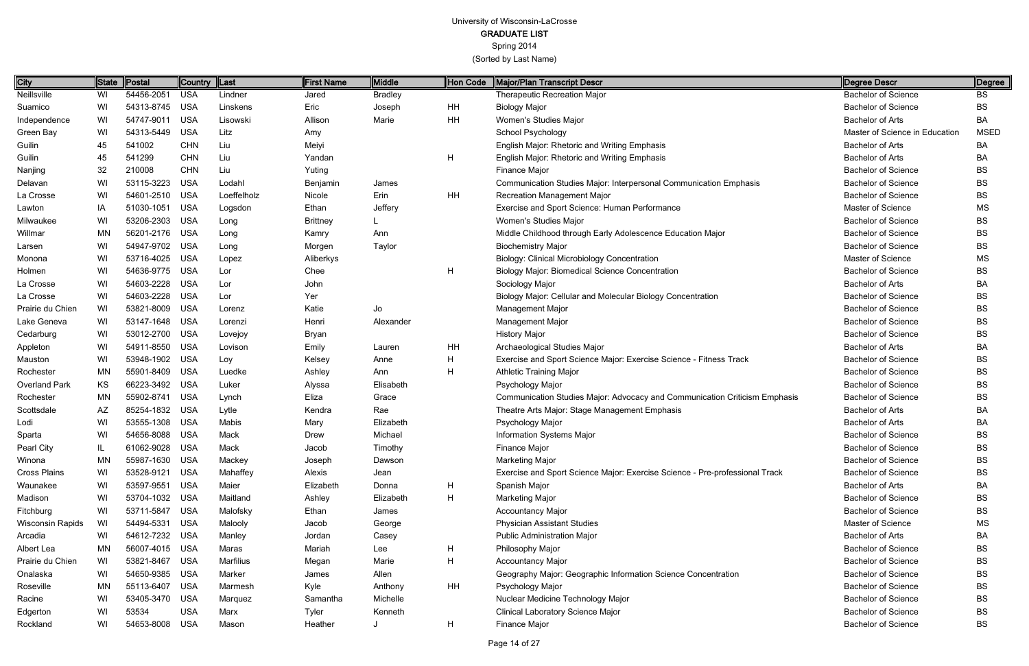Spring 2014

(Sorted by Last Name)

Page 14 of 27

| <b>City</b>             | <b>State</b> | <b>Postal</b>  | <b>Country</b> | Last        | <b>First Name</b> | <b>Middle</b>  | Hon Code  | Major/Plan Transcript Descr                                                 | Degree Descr                   | Degree      |
|-------------------------|--------------|----------------|----------------|-------------|-------------------|----------------|-----------|-----------------------------------------------------------------------------|--------------------------------|-------------|
| Neillsville             | WI           | 54456-2051     | <b>USA</b>     | Lindner     | Jared             | <b>Bradley</b> |           | <b>Therapeutic Recreation Major</b>                                         | <b>Bachelor of Science</b>     | BS          |
| Suamico                 | WI           | 54313-8745     | <b>USA</b>     | Linskens    | Eric              | Joseph         | HH        | <b>Biology Major</b>                                                        | <b>Bachelor of Science</b>     | <b>BS</b>   |
| Independence            | WI           | 54747-9011 USA |                | Lisowski    | Allison           | Marie          | HH        | Women's Studies Major                                                       | <b>Bachelor of Arts</b>        | BA          |
| Green Bay               | WI           | 54313-5449     | <b>USA</b>     | Litz        | Amy               |                |           | School Psychology                                                           | Master of Science in Education | <b>MSED</b> |
| Guilin                  | 45           | 541002         | <b>CHN</b>     | Liu         | Meiyi             |                |           | <b>English Major: Rhetoric and Writing Emphasis</b>                         | <b>Bachelor of Arts</b>        | BA          |
| Guilin                  | 45           | 541299         | <b>CHN</b>     | Liu         | Yandan            |                | H         | <b>English Major: Rhetoric and Writing Emphasis</b>                         | <b>Bachelor of Arts</b>        | BA          |
| Nanjing                 | 32           | 210008         | <b>CHN</b>     | Liu         | Yuting            |                |           | Finance Major                                                               | <b>Bachelor of Science</b>     | <b>BS</b>   |
| Delavan                 | WI           | 53115-3223     | <b>USA</b>     | Lodahl      | Benjamin          | James          |           | Communication Studies Major: Interpersonal Communication Emphasis           | <b>Bachelor of Science</b>     | <b>BS</b>   |
| La Crosse               | WI           | 54601-2510     | <b>USA</b>     | Loeffelholz | Nicole            | Erin           | <b>HH</b> | <b>Recreation Management Major</b>                                          | <b>Bachelor of Science</b>     | <b>BS</b>   |
| Lawton                  | IA           | 51030-1051     | <b>USA</b>     | Logsdon     | Ethan             | Jeffery        |           | Exercise and Sport Science: Human Performance                               | <b>Master of Science</b>       | <b>MS</b>   |
| Milwaukee               | WI           | 53206-2303 USA |                | Long        | <b>Brittney</b>   |                |           | Women's Studies Major                                                       | <b>Bachelor of Science</b>     | BS          |
| Willmar                 | MN           | 56201-2176     | <b>USA</b>     | Long        | Kamry             | Ann            |           | Middle Childhood through Early Adolescence Education Major                  | <b>Bachelor of Science</b>     | <b>BS</b>   |
| Larsen                  | WI           | 54947-9702 USA |                | Long        | Morgen            | Taylor         |           | <b>Biochemistry Major</b>                                                   | <b>Bachelor of Science</b>     | <b>BS</b>   |
| Monona                  | WI           | 53716-4025     | <b>USA</b>     | Lopez       | Aliberkys         |                |           | Biology: Clinical Microbiology Concentration                                | Master of Science              | <b>MS</b>   |
| Holmen                  | WI           | 54636-9775 USA |                | Lor         | Chee              |                | H         | <b>Biology Major: Biomedical Science Concentration</b>                      | <b>Bachelor of Science</b>     | BS          |
| La Crosse               | WI           | 54603-2228     | <b>USA</b>     | Lor         | John              |                |           | Sociology Major                                                             | <b>Bachelor of Arts</b>        | BA          |
| La Crosse               | WI           | 54603-2228     | <b>USA</b>     | Lor         | Yer               |                |           | Biology Major: Cellular and Molecular Biology Concentration                 | <b>Bachelor of Science</b>     | BS          |
| Prairie du Chien        | WI           | 53821-8009     | <b>USA</b>     | Lorenz      | Katie             | Jo             |           | <b>Management Major</b>                                                     | <b>Bachelor of Science</b>     | BS          |
| Lake Geneva             | WI           | 53147-1648 USA |                | Lorenzi     | Henri             | Alexander      |           | Management Major                                                            | <b>Bachelor of Science</b>     | BS          |
| Cedarburg               | WI           | 53012-2700     | <b>USA</b>     | Lovejoy     | Bryan             |                |           | <b>History Major</b>                                                        | <b>Bachelor of Science</b>     | <b>BS</b>   |
| Appleton                | WI           | 54911-8550     | <b>USA</b>     | Lovison     | Emily             | Lauren         | HH        | Archaeological Studies Major                                                | <b>Bachelor of Arts</b>        | BA          |
| Mauston                 | WI           | 53948-1902     | <b>USA</b>     | Loy         | Kelsey            | Anne           | Н         | Exercise and Sport Science Major: Exercise Science - Fitness Track          | <b>Bachelor of Science</b>     | BS          |
| Rochester               | MN           | 55901-8409     | <b>USA</b>     | Luedke      | Ashley            | Ann            | Н         | <b>Athletic Training Major</b>                                              | <b>Bachelor of Science</b>     | ВS          |
| Overland Park           | KS           | 66223-3492     | <b>USA</b>     | Luker       | Alyssa            | Elisabeth      |           | Psychology Major                                                            | <b>Bachelor of Science</b>     | BS          |
| Rochester               | MN           | 55902-8741 USA |                | Lynch       | Eliza             | Grace          |           | Communication Studies Major: Advocacy and Communication Criticism Emphasis  | <b>Bachelor of Science</b>     | BS          |
| Scottsdale              | AZ           | 85254-1832     | <b>USA</b>     | Lytle       | Kendra            | Rae            |           | Theatre Arts Major: Stage Management Emphasis                               | <b>Bachelor of Arts</b>        | BA          |
| Lodi                    | WI           | 53555-1308 USA |                | Mabis       | Mary              | Elizabeth      |           | Psychology Major                                                            | <b>Bachelor of Arts</b>        | BA          |
| Sparta                  | WI           | 54656-8088 USA |                | Mack        | Drew              | Michael        |           | Information Systems Major                                                   | <b>Bachelor of Science</b>     | ВS          |
| Pearl City              |              | 61062-9028 USA |                | Mack        | Jacob             | Timothy        |           | Finance Major                                                               | <b>Bachelor of Science</b>     | ВS          |
| Winona                  | MN           | 55987-1630 USA |                | Mackey      | Joseph            | Dawson         |           | <b>Marketing Major</b>                                                      | <b>Bachelor of Science</b>     | BS          |
| <b>Cross Plains</b>     | WI           | 53528-9121 USA |                | Mahaffey    | Alexis            | Jean           |           | Exercise and Sport Science Major: Exercise Science - Pre-professional Track | <b>Bachelor of Science</b>     | BS          |
| Waunakee                | WI           | 53597-9551 USA |                | Maier       | Elizabeth         | Donna          | H         | Spanish Major                                                               | <b>Bachelor of Arts</b>        | ВA          |
| Madison                 | WI           | 53704-1032 USA |                | Maitland    | Ashley            | Elizabeth      | H         | Marketing Major                                                             | <b>Bachelor of Science</b>     | BS          |
| Fitchburg               | WI           | 53711-5847 USA |                | Malofsky    | Ethan             | James          |           | <b>Accountancy Major</b>                                                    | <b>Bachelor of Science</b>     | BS          |
| <b>Wisconsin Rapids</b> | WI           | 54494-5331 USA |                | Malooly     | Jacob             | George         |           | <b>Physician Assistant Studies</b>                                          | Master of Science              | ΜS          |
| Arcadia                 | WI           | 54612-7232 USA |                | Manley      | Jordan            | Casey          |           | <b>Public Administration Major</b>                                          | <b>Bachelor of Arts</b>        | BA          |
| Albert Lea              | ΜN           | 56007-4015 USA |                | Maras       | Mariah            | Lee            | H         | Philosophy Major                                                            | <b>Bachelor of Science</b>     | BS          |
| Prairie du Chien        | WI           | 53821-8467     | USA            | Marfilius   | Megan             | Marie          | H         | <b>Accountancy Major</b>                                                    | <b>Bachelor of Science</b>     | BS          |
| Onalaska                | WI           | 54650-9385 USA |                | Marker      | James             | Allen          |           | Geography Major: Geographic Information Science Concentration               | <b>Bachelor of Science</b>     | BS          |
| Roseville               | ΜN           | 55113-6407     | USA            | Marmesh     | Kyle              | Anthony        | HH        | Psychology Major                                                            | <b>Bachelor of Science</b>     | BS          |
| Racine                  | WI           | 53405-3470 USA |                | Marquez     | Samantha          | Michelle       |           | Nuclear Medicine Technology Major                                           | <b>Bachelor of Science</b>     | BS          |
| Edgerton                | WI           | 53534          | <b>USA</b>     | Marx        | Tyler             | Kenneth        |           | <b>Clinical Laboratory Science Major</b>                                    | <b>Bachelor of Science</b>     | BS          |
| Rockland                | WI           | 54653-8008     | <b>USA</b>     | Mason       | Heather           |                | H         | Finance Major                                                               | <b>Bachelor of Science</b>     | <b>BS</b>   |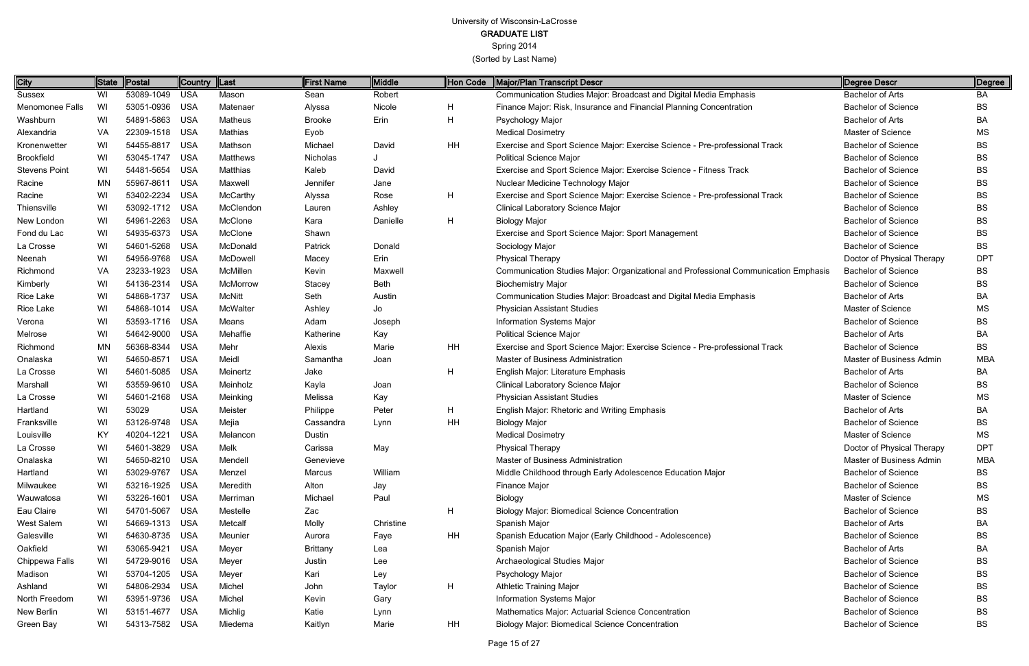Spring 2014

| <b>City</b>          | State | Postal         | <b>Country</b> | ∥Last         | First Name      | Middle      | Hon Code     | Major/Plan Transcript Descr                                                         | Degree Descr               | Degree     |
|----------------------|-------|----------------|----------------|---------------|-----------------|-------------|--------------|-------------------------------------------------------------------------------------|----------------------------|------------|
| Sussex               | WI    | 53089-1049 USA |                | Mason         | Sean            | Robert      |              | Communication Studies Major: Broadcast and Digital Media Emphasis                   | <b>Bachelor of Arts</b>    | BA         |
| Menomonee Falls      | WI    | 53051-0936     | <b>USA</b>     | Matenaer      | Alyssa          | Nicole      | H            | Finance Major: Risk, Insurance and Financial Planning Concentration                 | <b>Bachelor of Science</b> | <b>BS</b>  |
| Washburn             | WI    | 54891-5863 USA |                | Matheus       | <b>Brooke</b>   | Erin        | H            | Psychology Major                                                                    | <b>Bachelor of Arts</b>    | BA         |
| Alexandria           | VA    | 22309-1518 USA |                | Mathias       | Eyob            |             |              | <b>Medical Dosimetry</b>                                                            | Master of Science          | ΜS         |
| Kronenwetter         | WI    | 54455-8817 USA |                | Mathson       | Michael         | David       | HH           | Exercise and Sport Science Major: Exercise Science - Pre-professional Track         | <b>Bachelor of Science</b> | BS         |
| <b>Brookfield</b>    | WI    | 53045-1747     | USA            | Matthews      | Nicholas        |             |              | <b>Political Science Major</b>                                                      | <b>Bachelor of Science</b> | <b>BS</b>  |
| <b>Stevens Point</b> | WI    | 54481-5654 USA |                | Matthias      | Kaleb           | David       |              | Exercise and Sport Science Major: Exercise Science - Fitness Track                  | <b>Bachelor of Science</b> | BS         |
| Racine               | MN    | 55967-8611     | USA            | Maxwell       | Jennifer        | Jane        |              | Nuclear Medicine Technology Major                                                   | <b>Bachelor of Science</b> | <b>BS</b>  |
| Racine               | WI    | 53402-2234 USA |                | McCarthy      | Alyssa          | Rose        | $\mathsf{H}$ | Exercise and Sport Science Major: Exercise Science - Pre-professional Track         | <b>Bachelor of Science</b> | BS         |
| Thiensville          | WI    | 53092-1712 USA |                | McClendon     | Lauren          | Ashley      |              | Clinical Laboratory Science Major                                                   | <b>Bachelor of Science</b> | <b>BS</b>  |
| New London           | WI    | 54961-2263 USA |                | McClone       | Kara            | Danielle    | $\mathsf{H}$ | <b>Biology Major</b>                                                                | <b>Bachelor of Science</b> | BS         |
| Fond du Lac          | WI    | 54935-6373 USA |                | McClone       | Shawn           |             |              | Exercise and Sport Science Major: Sport Management                                  | <b>Bachelor of Science</b> | <b>BS</b>  |
| La Crosse            | WI    | 54601-5268 USA |                | McDonald      | Patrick         | Donald      |              | Sociology Major                                                                     | <b>Bachelor of Science</b> | <b>BS</b>  |
| Neenah               | WI    | 54956-9768 USA |                | McDowell      | Macey           | Erin        |              | <b>Physical Therapy</b>                                                             | Doctor of Physical Therapy | <b>DPT</b> |
| Richmond             | VA    | 23233-1923 USA |                | McMillen      | Kevin           | Maxwell     |              | Communication Studies Major: Organizational and Professional Communication Emphasis | <b>Bachelor of Science</b> | BS         |
| Kimberly             | WI    | 54136-2314 USA |                | McMorrow      | Stacey          | <b>Beth</b> |              | <b>Biochemistry Major</b>                                                           | <b>Bachelor of Science</b> | <b>BS</b>  |
| Rice Lake            | WI    | 54868-1737     | USA            | <b>McNitt</b> | Seth            | Austin      |              | Communication Studies Major: Broadcast and Digital Media Emphasis                   | <b>Bachelor of Arts</b>    | BA         |
| Rice Lake            | WI    | 54868-1014 USA |                | McWalter      | Ashley          | Jo          |              | <b>Physician Assistant Studies</b>                                                  | Master of Science          | MS         |
| Verona               | WI    | 53593-1716 USA |                | Means         | Adam            | Joseph      |              | <b>Information Systems Major</b>                                                    | <b>Bachelor of Science</b> | BS         |
| Melrose              | WI    | 54642-9000 USA |                | Mehaffie      | Katherine       | Kay         |              | <b>Political Science Major</b>                                                      | <b>Bachelor of Arts</b>    | BA         |
| Richmond             | MN    | 56368-8344 USA |                | Mehr          | Alexis          | Marie       | HH           | Exercise and Sport Science Major: Exercise Science - Pre-professional Track         | <b>Bachelor of Science</b> | <b>BS</b>  |
| Onalaska             | WI    | 54650-8571     | USA            | Meidl         | Samantha        | Joan        |              | Master of Business Administration                                                   | Master of Business Admin   | <b>MBA</b> |
| La Crosse            | WI    | 54601-5085 USA |                | Meinertz      | Jake            |             | $\mathsf{H}$ | English Major: Literature Emphasis                                                  | <b>Bachelor of Arts</b>    | BA         |
| Marshall             | WI    | 53559-9610 USA |                | Meinholz      | Kayla           | Joan        |              | Clinical Laboratory Science Major                                                   | <b>Bachelor of Science</b> | <b>BS</b>  |
| La Crosse            | WI    | 54601-2168 USA |                | Meinking      | Melissa         | Kay         |              | <b>Physician Assistant Studies</b>                                                  | Master of Science          | <b>MS</b>  |
| Hartland             | WI    | 53029          | <b>USA</b>     | Meister       | Philippe        | Peter       | H            | English Major: Rhetoric and Writing Emphasis                                        | <b>Bachelor of Arts</b>    | BA         |
| Franksville          | WI    | 53126-9748 USA |                | Mejia         | Cassandra       | Lynn        | HH           | <b>Biology Major</b>                                                                | <b>Bachelor of Science</b> | BS         |
| Louisville           | KY    | 40204-1221     | <b>USA</b>     | Melancon      | Dustin          |             |              | <b>Medical Dosimetry</b>                                                            | Master of Science          | MS         |
| La Crosse            | WI    | 54601-3829 USA |                | Melk          | Carissa         | May         |              | <b>Physical Therapy</b>                                                             | Doctor of Physical Therapy | DPT        |
| Onalaska             | WI    | 54650-8210 USA |                | Mendell       | Genevieve       |             |              | Master of Business Administration                                                   | Master of Business Admin   | <b>MBA</b> |
| Hartland             | WI    | 53029-9767 USA |                | Menzel        | Marcus          | William     |              | Middle Childhood through Early Adolescence Education Major                          | <b>Bachelor of Science</b> | BS         |
| Milwaukee            | WI    | 53216-1925 USA |                | Meredith      | Alton           | Jay         |              | Finance Major                                                                       | <b>Bachelor of Science</b> | BS         |
| Wauwatosa            | WI    | 53226-1601 USA |                | Merriman      | Michael         | Paul        |              | Biology                                                                             | Master of Science          | МS         |
| Eau Claire           | WI    | 54701-5067 USA |                | Mestelle      | Zac             |             | H            | <b>Biology Major: Biomedical Science Concentration</b>                              | <b>Bachelor of Science</b> | BS         |
| West Salem           | WI    | 54669-1313 USA |                | Metcalf       | Molly           | Christine   |              | Spanish Major                                                                       | Bachelor of Arts           | BA         |
| Galesville           | WI    | 54630-8735 USA |                | Meunier       | Aurora          | Faye        | HH           | Spanish Education Major (Early Childhood - Adolescence)                             | <b>Bachelor of Science</b> | BS         |
| Oakfield             | WI    | 53065-9421 USA |                | Meyer         | <b>Brittany</b> | Lea         |              | Spanish Major                                                                       | Bachelor of Arts           | BA         |
| Chippewa Falls       | WI    | 54729-9016 USA |                | Meyer         | Justin          | Lee         |              | Archaeological Studies Major                                                        | <b>Bachelor of Science</b> | BS         |
| Madison              | WI    | 53704-1205 USA |                | Meyer         | Kari            | Ley         |              | Psychology Major                                                                    | <b>Bachelor of Science</b> | BS         |
| Ashland              | WI    | 54806-2934 USA |                | Michel        | John            | Taylor      | $\mathsf{H}$ | <b>Athletic Training Major</b>                                                      | <b>Bachelor of Science</b> | BS         |
| North Freedom        | WI    | 53951-9736 USA |                | Michel        | Kevin           | Gary        |              | Information Systems Major                                                           | <b>Bachelor of Science</b> | BS         |
| New Berlin           | WI    | 53151-4677 USA |                | Michlig       | Katie           | Lynn        |              | Mathematics Major: Actuarial Science Concentration                                  | <b>Bachelor of Science</b> | BS         |
| Green Bay            | WI    | 54313-7582 USA |                | Miedema       | Kaitlyn         | Marie       | HH           | <b>Biology Major: Biomedical Science Concentration</b>                              | <b>Bachelor of Science</b> | <b>BS</b>  |
|                      |       |                |                |               |                 |             |              |                                                                                     |                            |            |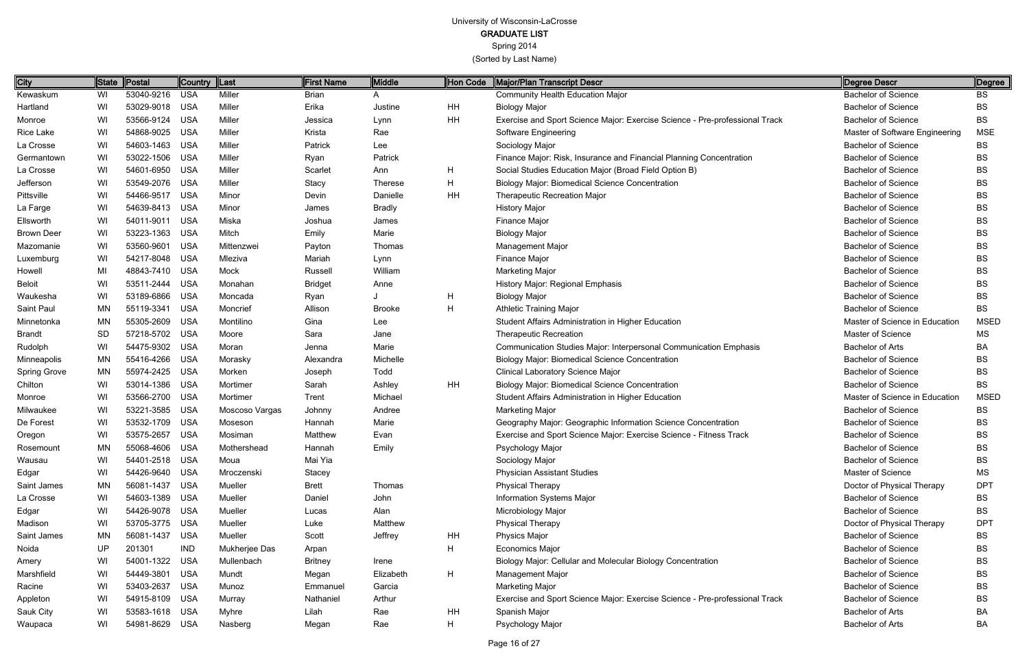GRADUATE LIST

Spring 2014

| City              |           |                | Country    | ∥Last          | First Name     | Middle        | Hon Code  | Major/Plan Transcript Descr                                                 | Degree Descr                   | Degree      |
|-------------------|-----------|----------------|------------|----------------|----------------|---------------|-----------|-----------------------------------------------------------------------------|--------------------------------|-------------|
| Kewaskum          | WI        | 53040-9216 USA |            | Miller         | <b>Brian</b>   |               |           | <b>Community Health Education Major</b>                                     | <b>Bachelor of Science</b>     | BS          |
| Hartland          | WI        | 53029-9018 USA |            | Miller         | Erika          | Justine       | HH        | <b>Biology Major</b>                                                        | <b>Bachelor of Science</b>     | <b>BS</b>   |
| Monroe            | WI        | 53566-9124 USA |            | Miller         | Jessica        | Lynn          | <b>HH</b> | Exercise and Sport Science Major: Exercise Science - Pre-professional Track | <b>Bachelor of Science</b>     | <b>BS</b>   |
| Rice Lake         | WI        | 54868-9025     | USA        | Miller         | Krista         | Rae           |           | Software Engineering                                                        | Master of Software Engineering | <b>MSE</b>  |
| La Crosse         | WI        | 54603-1463 USA |            | Miller         | Patrick        | Lee           |           | Sociology Major                                                             | <b>Bachelor of Science</b>     | BS          |
| Germantown        | WI        | 53022-1506 USA |            | Miller         | Ryan           | Patrick       |           | Finance Major: Risk, Insurance and Financial Planning Concentration         | <b>Bachelor of Science</b>     | <b>BS</b>   |
| La Crosse         | WI        | 54601-6950 USA |            | Miller         | Scarlet        | Ann           | H         | Social Studies Education Major (Broad Field Option B)                       | <b>Bachelor of Science</b>     | BS          |
| Jefferson         | WI        | 53549-2076 USA |            | Miller         | <b>Stacy</b>   | Therese       | Н         | <b>Biology Major: Biomedical Science Concentration</b>                      | <b>Bachelor of Science</b>     | <b>BS</b>   |
| Pittsville        | WI        | 54466-9517 USA |            | Minor          | Devin          | Danielle      | HH        | <b>Therapeutic Recreation Major</b>                                         | <b>Bachelor of Science</b>     | <b>BS</b>   |
| La Farge          | WI        | 54639-8413 USA |            | Minor          | James          | <b>Bradly</b> |           | <b>History Major</b>                                                        | <b>Bachelor of Science</b>     | <b>BS</b>   |
| Ellsworth         | WI        | 54011-9011 USA |            | Miska          | Joshua         | James         |           | Finance Major                                                               | <b>Bachelor of Science</b>     | BS          |
| <b>Brown Deer</b> | WI        | 53223-1363 USA |            | Mitch          | Emily          | Marie         |           | <b>Biology Major</b>                                                        | <b>Bachelor of Science</b>     | <b>BS</b>   |
| Mazomanie         | WI        | 53560-9601     | <b>USA</b> | Mittenzwei     | Payton         | Thomas        |           | <b>Management Major</b>                                                     | <b>Bachelor of Science</b>     | <b>BS</b>   |
| Luxemburg         | WI        | 54217-8048 USA |            | Mleziva        | Mariah         | Lynn          |           | Finance Major                                                               | <b>Bachelor of Science</b>     | <b>BS</b>   |
| Howell            | MI        | 48843-7410 USA |            | Mock           | Russell        | William       |           | <b>Marketing Major</b>                                                      | <b>Bachelor of Science</b>     | <b>BS</b>   |
| <b>Beloit</b>     | WI        | 53511-2444     | USA        | Monahan        | <b>Bridget</b> | Anne          |           | History Major: Regional Emphasis                                            | <b>Bachelor of Science</b>     | <b>BS</b>   |
| Waukesha          | WI        | 53189-6866 USA |            | Moncada        | Ryan           |               | H.        | <b>Biology Major</b>                                                        | <b>Bachelor of Science</b>     | <b>BS</b>   |
| Saint Paul        | MN        | 55119-3341     | <b>USA</b> | Moncrief       | Allison        | <b>Brooke</b> | H         | <b>Athletic Training Major</b>                                              | <b>Bachelor of Science</b>     | <b>BS</b>   |
| Minnetonka        | <b>MN</b> | 55305-2609 USA |            | Montilino      | Gina           | Lee           |           | Student Affairs Administration in Higher Education                          | Master of Science in Education | <b>MSED</b> |
| <b>Brandt</b>     | <b>SD</b> | 57218-5702 USA |            | Moore          | Sara           | Jane          |           | <b>Therapeutic Recreation</b>                                               | Master of Science              | MS          |
| Rudolph           | WI        | 54475-9302 USA |            | Moran          | Jenna          | Marie         |           | Communication Studies Major: Interpersonal Communication Emphasis           | <b>Bachelor of Arts</b>        | BA          |
| Minneapolis       | MN        | 55416-4266 USA |            | Morasky        | Alexandra      | Michelle      |           | <b>Biology Major: Biomedical Science Concentration</b>                      | <b>Bachelor of Science</b>     | <b>BS</b>   |
| Spring Grove      | MN        | 55974-2425 USA |            | Morken         | Joseph         | Todd          |           | <b>Clinical Laboratory Science Major</b>                                    | <b>Bachelor of Science</b>     | BS          |
| Chilton           | WI        | 53014-1386     | USA        | Mortimer       | Sarah          | Ashley        | HH        | <b>Biology Major: Biomedical Science Concentration</b>                      | <b>Bachelor of Science</b>     | BS          |
| Monroe            | WI        | 53566-2700 USA |            | Mortimer       | Trent          | Michael       |           | Student Affairs Administration in Higher Education                          | Master of Science in Education | <b>MSED</b> |
| Milwaukee         | WI        | 53221-3585 USA |            | Moscoso Vargas | Johnny         | Andree        |           | <b>Marketing Major</b>                                                      | <b>Bachelor of Science</b>     | <b>BS</b>   |
| De Forest         | WI        | 53532-1709 USA |            | Moseson        | Hannah         | Marie         |           | Geography Major: Geographic Information Science Concentration               | <b>Bachelor of Science</b>     | BS          |
| Oregon            | WI        | 53575-2657     | USA        | Mosiman        | Matthew        | Evan          |           | Exercise and Sport Science Major: Exercise Science - Fitness Track          | <b>Bachelor of Science</b>     | <b>BS</b>   |
| Rosemount         | MN.       | 55068-4606 USA |            | Mothershead    | Hannah         | Emily         |           | Psychology Major                                                            | <b>Bachelor of Science</b>     | <b>BS</b>   |
| Wausau            | WI        | 54401-2518 USA |            | Moua           | Mai Yia        |               |           | Sociology Major                                                             | <b>Bachelor of Science</b>     | BS          |
| Edgar             | WI        | 54426-9640 USA |            | Mroczenski     | Stacey         |               |           | <b>Physician Assistant Studies</b>                                          | Master of Science              | <b>MS</b>   |
| Saint James       | MN        | 56081-1437 USA |            | Mueller        | <b>Brett</b>   | Thomas        |           | <b>Physical Therapy</b>                                                     | Doctor of Physical Therapy     | <b>DPT</b>  |
| La Crosse         | WI        | 54603-1389 USA |            | Mueller        | Daniel         | John          |           | Information Systems Major                                                   | <b>Bachelor of Science</b>     | BS          |
| Edgar             | WI        | 54426-9078 USA |            | Mueller        | Lucas          | Alan          |           | Microbiology Major                                                          | <b>Bachelor of Science</b>     | <b>BS</b>   |
| Madison           | WI        | 53705-3775 USA |            | Mueller        | Luke           | Matthew       |           | <b>Physical Therapy</b>                                                     | Doctor of Physical Therapy     | <b>DPT</b>  |
| Saint James       | ΜN        | 56081-1437 USA |            | Mueller        | Scott          | Jeffrey       | HH        | <b>Physics Major</b>                                                        | <b>Bachelor of Science</b>     | BS          |
| Noida             | UP        | 201301         | <b>IND</b> | Mukherjee Das  | Arpan          |               | H         | <b>Economics Major</b>                                                      | <b>Bachelor of Science</b>     | <b>BS</b>   |
| Amery             | WI        | 54001-1322 USA |            | Mullenbach     | <b>Britney</b> | Irene         |           | Biology Major: Cellular and Molecular Biology Concentration                 | <b>Bachelor of Science</b>     | BS          |
| Marshfield        | WI        | 54449-3801 USA |            | Mundt          | Megan          | Elizabeth     | H         | Management Major                                                            | <b>Bachelor of Science</b>     | BS          |
| Racine            | WI        | 53403-2637 USA |            | Munoz          | Emmanuel       | Garcia        |           | <b>Marketing Major</b>                                                      | <b>Bachelor of Science</b>     | BS          |
| Appleton          | WI        | 54915-8109 USA |            | Murray         | Nathaniel      | Arthur        |           | Exercise and Sport Science Major: Exercise Science - Pre-professional Track | <b>Bachelor of Science</b>     | BS          |
| Sauk City         | WI        | 53583-1618 USA |            | <b>Myhre</b>   | Lilah          | Rae           | HH        | Spanish Major                                                               | <b>Bachelor of Arts</b>        | BA          |
| Waupaca           | WI        | 54981-8629 USA |            | Nasberg        | Megan          | Rae           | H         | Psychology Major                                                            | <b>Bachelor of Arts</b>        | BA          |
|                   |           |                |            |                |                |               |           |                                                                             |                                |             |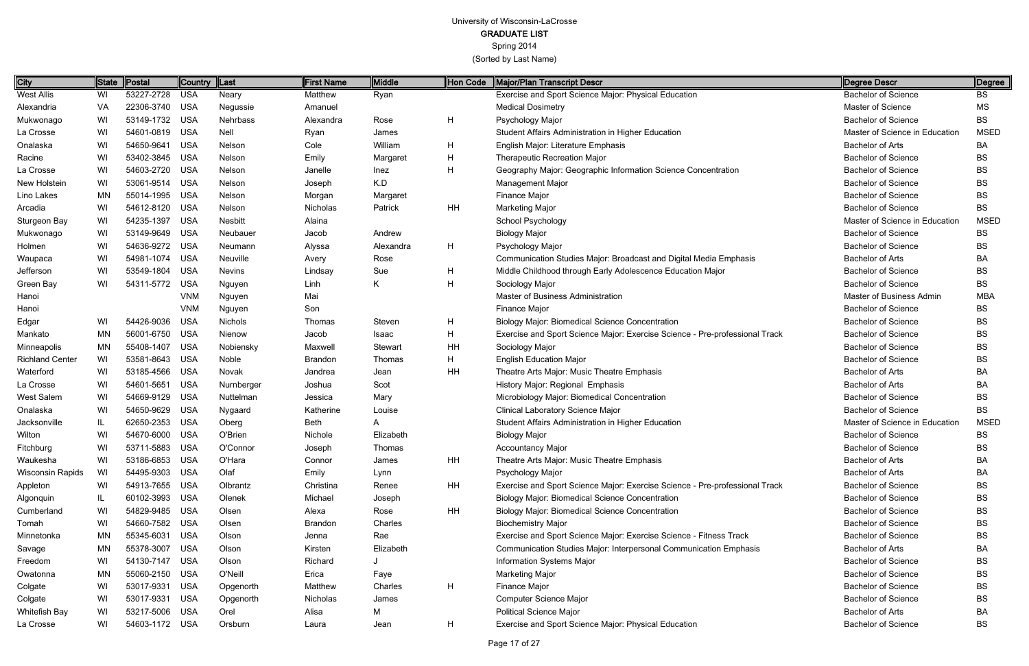Spring 2014

| City                    | State     | Postal         | <b>Country</b> | $\ $ Last      | <b>First Name</b> | Middle         | Hon Code  | Major/Plan Transcript Descr                                                 | Degree Descr                   | Degree      |
|-------------------------|-----------|----------------|----------------|----------------|-------------------|----------------|-----------|-----------------------------------------------------------------------------|--------------------------------|-------------|
| <b>West Allis</b>       | WI        | 53227-2728 USA |                | Neary          | Matthew           | Ryan           |           | Exercise and Sport Science Major: Physical Education                        | <b>Bachelor of Science</b>     | <b>BS</b>   |
| Alexandria              | VA        | 22306-3740 USA |                | Negussie       | Amanuel           |                |           | <b>Medical Dosimetry</b>                                                    | Master of Science              | <b>MS</b>   |
| Mukwonago               | WI        | 53149-1732 USA |                | Nehrbass       | Alexandra         | Rose           | H         | Psychology Major                                                            | <b>Bachelor of Science</b>     | <b>BS</b>   |
| La Crosse               | WI        | 54601-0819 USA |                | Nell           | Ryan              | James          |           | Student Affairs Administration in Higher Education                          | Master of Science in Education | <b>MSED</b> |
| Onalaska                | WI        | 54650-9641 USA |                | Nelson         | Cole              | William        | H         | English Major: Literature Emphasis                                          | <b>Bachelor of Arts</b>        | BA          |
| Racine                  | WI        | 53402-3845 USA |                | Nelson         | Emily             | Margaret       | H         | <b>Therapeutic Recreation Major</b>                                         | <b>Bachelor of Science</b>     | <b>BS</b>   |
| La Crosse               | WI        | 54603-2720 USA |                | Nelson         | Janelle           | Inez           | H         | Geography Major: Geographic Information Science Concentration               | <b>Bachelor of Science</b>     | BS          |
| New Holstein            | WI        | 53061-9514 USA |                | Nelson         | Joseph            | K.D            |           | <b>Management Major</b>                                                     | <b>Bachelor of Science</b>     | <b>BS</b>   |
| Lino Lakes              | <b>MN</b> | 55014-1995 USA |                | Nelson         | Morgan            | Margaret       |           | Finance Major                                                               | <b>Bachelor of Science</b>     | BS          |
| Arcadia                 | WI        | 54612-8120 USA |                | Nelson         | Nicholas          | Patrick        | <b>HH</b> | Marketing Major                                                             | <b>Bachelor of Science</b>     | <b>BS</b>   |
| Sturgeon Bay            | WI        | 54235-1397     | <b>USA</b>     | <b>Nesbitt</b> | Alaina            |                |           | School Psychology                                                           | Master of Science in Education | <b>MSED</b> |
| Mukwonago               | WI        | 53149-9649     | USA            | Neubauer       | Jacob             | Andrew         |           | <b>Biology Major</b>                                                        | <b>Bachelor of Science</b>     | <b>BS</b>   |
| Holmen                  | WI        | 54636-9272 USA |                | Neumann        | Alyssa            | Alexandra      | H         | Psychology Major                                                            | <b>Bachelor of Science</b>     | BS          |
| Waupaca                 | WI        | 54981-1074 USA |                | Neuville       | Avery             | Rose           |           | Communication Studies Major: Broadcast and Digital Media Emphasis           | <b>Bachelor of Arts</b>        | BA          |
| Jefferson               | WI        | 53549-1804 USA |                | <b>Nevins</b>  | Lindsay           | Sue            | H         | Middle Childhood through Early Adolescence Education Major                  | <b>Bachelor of Science</b>     | BS          |
| Green Bay               | WI        | 54311-5772     | <b>USA</b>     | Nguyen         | Linh              | K.             | H         | Sociology Major                                                             | <b>Bachelor of Science</b>     | <b>BS</b>   |
| Hanoi                   |           |                | <b>VNM</b>     | Nguyen         | Mai               |                |           | Master of Business Administration                                           | Master of Business Admin       | <b>MBA</b>  |
| Hanoi                   |           |                | <b>VNM</b>     | Nguyen         | Son               |                |           | Finance Major                                                               | <b>Bachelor of Science</b>     | <b>BS</b>   |
| Edgar                   | WI        | 54426-9036     | <b>USA</b>     | Nichols        | Thomas            | Steven         | H         | <b>Biology Major: Biomedical Science Concentration</b>                      | <b>Bachelor of Science</b>     | BS          |
| Mankato                 | <b>MN</b> | 56001-6750     | <b>USA</b>     | Nienow         | Jacob             | Isaac          | H         | Exercise and Sport Science Major: Exercise Science - Pre-professional Track | <b>Bachelor of Science</b>     | <b>BS</b>   |
| <b>Minneapolis</b>      | MN        | 55408-1407     | USA            | Nobiensky      | Maxwell           | <b>Stewart</b> | HH        | Sociology Major                                                             | <b>Bachelor of Science</b>     | BS          |
| <b>Richland Center</b>  | WI        | 53581-8643 USA |                | Noble          | <b>Brandon</b>    | Thomas         | Η         | <b>English Education Major</b>                                              | <b>Bachelor of Science</b>     | <b>BS</b>   |
| Waterford               | WI        | 53185-4566 USA |                | Novak          | Jandrea           | Jean           | HH        | Theatre Arts Major: Music Theatre Emphasis                                  | <b>Bachelor of Arts</b>        | BA          |
| La Crosse               | WI        | 54601-5651     | <b>USA</b>     | Nurnberger     | Joshua            | Scot           |           | History Major: Regional Emphasis                                            | <b>Bachelor of Arts</b>        | BA          |
| West Salem              | WI        | 54669-9129 USA |                | Nuttelman      | Jessica           | Mary           |           | Microbiology Major: Biomedical Concentration                                | <b>Bachelor of Science</b>     | <b>BS</b>   |
| Onalaska                | WI        | 54650-9629 USA |                | Nygaard        | Katherine         | Louise         |           | <b>Clinical Laboratory Science Major</b>                                    | <b>Bachelor of Science</b>     | <b>BS</b>   |
| Jacksonville            | IL.       | 62650-2353 USA |                | Oberg          | Beth              | A              |           | Student Affairs Administration in Higher Education                          | Master of Science in Education | <b>MSED</b> |
| Wilton                  | WI        | 54670-6000     | USA            | O'Brien        | Nichole           | Elizabeth      |           | <b>Biology Major</b>                                                        | <b>Bachelor of Science</b>     | <b>BS</b>   |
| Fitchburg               | WI        | 53711-5883 USA |                | O'Connor       | Joseph            | Thomas         |           | <b>Accountancy Major</b>                                                    | <b>Bachelor of Science</b>     | BS.         |
| Waukesha                | WI        | 53186-6853 USA |                | O'Hara         | Connor            | James          | HH        | Theatre Arts Major: Music Theatre Emphasis                                  | <b>Bachelor of Arts</b>        | BA          |
| <b>Wisconsin Rapids</b> | WI        | 54495-9303 USA |                | Olaf           | Emily             | Lynn           |           | Psychology Major                                                            | <b>Bachelor of Arts</b>        | BA          |
| Appleton                | WI        | 54913-7655 USA |                | Olbrantz       | Christina         | Renee          | HH        | Exercise and Sport Science Major: Exercise Science - Pre-professional Track | <b>Bachelor of Science</b>     | BS          |
| Algonquin               | IL.       | 60102-3993 USA |                | Olenek         | Michael           | Joseph         |           | <b>Biology Major: Biomedical Science Concentration</b>                      | <b>Bachelor of Science</b>     | BS          |
| Cumberland              | WI        | 54829-9485 USA |                | Olsen          | Alexa             | Rose           | HH        | <b>Biology Major: Biomedical Science Concentration</b>                      | <b>Bachelor of Science</b>     | BS          |
| Tomah                   | WI        | 54660-7582 USA |                | Olsen          | <b>Brandon</b>    | Charles        |           | <b>Biochemistry Major</b>                                                   | <b>Bachelor of Science</b>     | BS          |
| Minnetonka              | MN        | 55345-6031 USA |                | Olson          | Jenna             | Rae            |           | Exercise and Sport Science Major: Exercise Science - Fitness Track          | <b>Bachelor of Science</b>     | BS          |
| Savage                  | MN        | 55378-3007 USA |                | Olson          | Kirsten           | Elizabeth      |           | Communication Studies Major: Interpersonal Communication Emphasis           | <b>Bachelor of Arts</b>        | BA          |
| Freedom                 | WI        | 54130-7147 USA |                | Olson          | Richard           |                |           | Information Systems Major                                                   | <b>Bachelor of Science</b>     | BS          |
| Owatonna                | MN        | 55060-2150 USA |                | O'Neill        | Erica             | Faye           |           | <b>Marketing Major</b>                                                      | <b>Bachelor of Science</b>     | BS          |
| Colgate                 | WI        | 53017-9331 USA |                | Opgenorth      | Matthew           | Charles        | H         | Finance Major                                                               | <b>Bachelor of Science</b>     | BS          |
| Colgate                 | WI        | 53017-9331 USA |                | Opgenorth      | Nicholas          | James          |           | Computer Science Major                                                      | <b>Bachelor of Science</b>     | BS          |
| <b>Whitefish Bay</b>    | WI        | 53217-5006 USA |                | Orel           | Alisa             | м              |           | <b>Political Science Major</b>                                              | <b>Bachelor of Arts</b>        | BA          |
| La Crosse               | WI        | 54603-1172 USA |                | Orsburn        | Laura             | Jean           | H         | Exercise and Sport Science Major: Physical Education                        | <b>Bachelor of Science</b>     | BS          |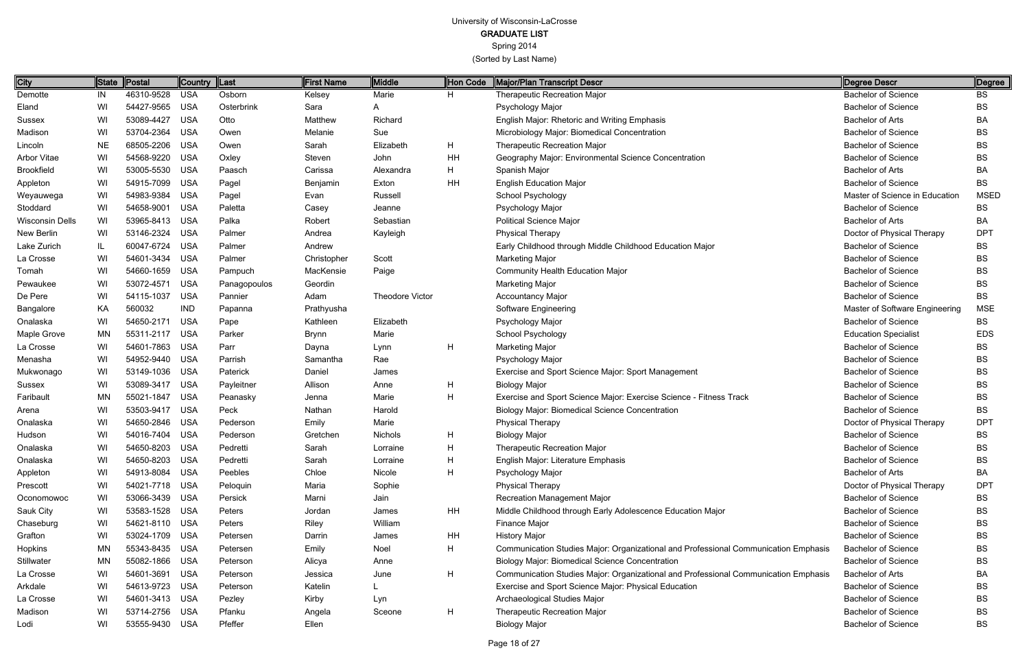Spring 2014

| <b>City</b>        |           | State   Postal | Country  Last |              | <b>First Name</b> | Middle                 | Hon Code | Major/Plan Transcript Descr                                                         | Degree Descr                   | Degree      |
|--------------------|-----------|----------------|---------------|--------------|-------------------|------------------------|----------|-------------------------------------------------------------------------------------|--------------------------------|-------------|
| Demotte            | IN        | 46310-9528     | USA           | Osborn       | Kelsey            | Marie                  | H.       | <b>Therapeutic Recreation Major</b>                                                 | Bachelor of Science            | BS          |
| Eland              | WI        | 54427-9565 USA |               | Osterbrink   | Sara              | A                      |          | Psychology Major                                                                    | <b>Bachelor of Science</b>     | <b>BS</b>   |
| Sussex             | WI        | 53089-4427     | USA           | Otto         | Matthew           | Richard                |          | English Major: Rhetoric and Writing Emphasis                                        | <b>Bachelor of Arts</b>        | BA          |
| Madison            | WI        | 53704-2364     | <b>USA</b>    | Owen         | Melanie           | Sue                    |          | Microbiology Major: Biomedical Concentration                                        | <b>Bachelor of Science</b>     | <b>BS</b>   |
| Lincoln            | <b>NE</b> | 68505-2206     | <b>USA</b>    | Owen         | Sarah             | Elizabeth              | H.       | <b>Therapeutic Recreation Major</b>                                                 | <b>Bachelor of Science</b>     | <b>BS</b>   |
| <b>Arbor Vitae</b> | WI        | 54568-9220     | USA           | Oxley        | Steven            | John                   | HH       | Geography Major: Environmental Science Concentration                                | <b>Bachelor of Science</b>     | <b>BS</b>   |
| <b>Brookfield</b>  | WI        | 53005-5530 USA |               | Paasch       | Carissa           | Alexandra              | H.       | Spanish Major                                                                       | <b>Bachelor of Arts</b>        | BA          |
| Appleton           | WI        | 54915-7099     | USA           | Pagel        | Benjamin          | Exton                  | HH       | <b>English Education Major</b>                                                      | <b>Bachelor of Science</b>     | <b>BS</b>   |
| Weyauwega          | WI        | 54983-9384     | <b>USA</b>    | Pagel        | Evan              | Russell                |          | School Psychology                                                                   | Master of Science in Education | <b>MSED</b> |
| Stoddard           | WI        | 54658-9001     | <b>USA</b>    | Paletta      | Casey             | Jeanne                 |          | Psychology Major                                                                    | <b>Bachelor of Science</b>     | BS          |
| Wisconsin Dells    | WI        | 53965-8413 USA |               | Palka        | Robert            | Sebastian              |          | <b>Political Science Major</b>                                                      | <b>Bachelor of Arts</b>        | BA          |
| New Berlin         | WI        | 53146-2324     | <b>USA</b>    | Palmer       | Andrea            | Kayleigh               |          | <b>Physical Therapy</b>                                                             | Doctor of Physical Therapy     | <b>DPT</b>  |
| Lake Zurich        | IL        | 60047-6724     | <b>USA</b>    | Palmer       | Andrew            |                        |          | Early Childhood through Middle Childhood Education Major                            | <b>Bachelor of Science</b>     | <b>BS</b>   |
| La Crosse          | WI        | 54601-3434     | <b>USA</b>    | Palmer       | Christopher       | Scott                  |          | <b>Marketing Major</b>                                                              | <b>Bachelor of Science</b>     | <b>BS</b>   |
| Tomah              | WI        | 54660-1659 USA |               | Pampuch      | MacKensie         | Paige                  |          | <b>Community Health Education Major</b>                                             | <b>Bachelor of Science</b>     | <b>BS</b>   |
| Pewaukee           | WI        | 53072-4571     | <b>USA</b>    | Panagopoulos | Geordin           |                        |          | <b>Marketing Major</b>                                                              | <b>Bachelor of Science</b>     | <b>BS</b>   |
| De Pere            | WI        | 54115-1037     | <b>USA</b>    | Pannier      | Adam              | <b>Theodore Victor</b> |          | <b>Accountancy Major</b>                                                            | <b>Bachelor of Science</b>     | BS          |
| Bangalore          | KA        | 560032         | <b>IND</b>    | Papanna      | Prathyusha        |                        |          | Software Engineering                                                                | Master of Software Engineering | <b>MSE</b>  |
| Onalaska           | WI        | 54650-2171 USA |               | Pape         | Kathleen          | Elizabeth              |          | Psychology Major                                                                    | <b>Bachelor of Science</b>     | <b>BS</b>   |
| Maple Grove        | MN        | 55311-2117     | <b>USA</b>    | Parker       | Brynn             | Marie                  |          | School Psychology                                                                   | <b>Education Specialist</b>    | <b>EDS</b>  |
| La Crosse          | WI        | 54601-7863 USA |               | Parr         | Dayna             | Lynn                   | H        | <b>Marketing Major</b>                                                              | <b>Bachelor of Science</b>     | <b>BS</b>   |
| Menasha            | WI        | 54952-9440 USA |               | Parrish      | Samantha          | Rae                    |          | Psychology Major                                                                    | <b>Bachelor of Science</b>     | <b>BS</b>   |
| Mukwonago          | WI        | 53149-1036 USA |               | Paterick     | Daniel            | James                  |          | Exercise and Sport Science Major: Sport Management                                  | <b>Bachelor of Science</b>     | <b>BS</b>   |
| Sussex             | WI        | 53089-3417     | <b>USA</b>    | Payleitner   | Allison           | Anne                   | H        | <b>Biology Major</b>                                                                | <b>Bachelor of Science</b>     | <b>BS</b>   |
| Faribault          | ΜN        | 55021-1847     | <b>USA</b>    | Peanasky     | Jenna             | Marie                  | H        | Exercise and Sport Science Major: Exercise Science - Fitness Track                  | <b>Bachelor of Science</b>     | <b>BS</b>   |
| Arena              | WI        | 53503-9417     | <b>USA</b>    | Peck         | Nathan            | Harold                 |          | <b>Biology Major: Biomedical Science Concentration</b>                              | <b>Bachelor of Science</b>     | BS          |
| Onalaska           | WI        | 54650-2846 USA |               | Pederson     | Emily             | Marie                  |          | <b>Physical Therapy</b>                                                             | Doctor of Physical Therapy     | <b>DPT</b>  |
| Hudson             | WI        | 54016-7404     | USA           | Pederson     | Gretchen          | Nichols                | H        | <b>Biology Major</b>                                                                | <b>Bachelor of Science</b>     | BS          |
| Onalaska           | WI        | 54650-8203 USA |               | Pedretti     | Sarah             | Lorraine               | н        | <b>Therapeutic Recreation Major</b>                                                 | <b>Bachelor of Science</b>     | BS          |
| Onalaska           | WI        | 54650-8203 USA |               | Pedretti     | Sarah             | Lorraine               | Н.       | English Major: Literature Emphasis                                                  | <b>Bachelor of Science</b>     | <b>BS</b>   |
| Appleton           | WI        | 54913-8084 USA |               | Peebles      | Chloe             | Nicole                 | H.       | Psychology Major                                                                    | <b>Bachelor of Arts</b>        | BA          |
| Prescott           | WI        | 54021-7718 USA |               | Peloquin     | Maria             | Sophie                 |          | <b>Physical Therapy</b>                                                             | Doctor of Physical Therapy     | <b>DPT</b>  |
| Oconomowoc         | WI        | 53066-3439 USA |               | Persick      | Marni             | Jain                   |          | Recreation Management Major                                                         | <b>Bachelor of Science</b>     | <b>BS</b>   |
| Sauk City          | WI        | 53583-1528 USA |               | Peters       | Jordan            | James                  | HH       | Middle Childhood through Early Adolescence Education Major                          | <b>Bachelor of Science</b>     | <b>BS</b>   |
| Chaseburg          | WI        | 54621-8110 USA |               | Peters       | Riley             | William                |          | Finance Major                                                                       | <b>Bachelor of Science</b>     | BS.         |
| Grafton            | WI        | 53024-1709 USA |               | Petersen     | Darrin            | James                  | HH       | <b>History Major</b>                                                                | <b>Bachelor of Science</b>     | <b>BS</b>   |
| Hopkins            | ΜN        | 55343-8435 USA |               | Petersen     | Emily             | Noel                   | H        | Communication Studies Major: Organizational and Professional Communication Emphasis | <b>Bachelor of Science</b>     | BS.         |
| Stillwater         | MN        | 55082-1866 USA |               | Peterson     | Alicya            | Anne                   |          | <b>Biology Major: Biomedical Science Concentration</b>                              | <b>Bachelor of Science</b>     | BS          |
| La Crosse          | WI        | 54601-3691 USA |               | Peterson     | Jessica           | June                   | H        | Communication Studies Major: Organizational and Professional Communication Emphasis | <b>Bachelor of Arts</b>        | BA          |
| Arkdale            | WI        | 54613-9723 USA |               | Peterson     | Katelin           |                        |          | Exercise and Sport Science Major: Physical Education                                | <b>Bachelor of Science</b>     | BS.         |
| La Crosse          | WI        | 54601-3413 USA |               | Pezley       | Kirby             | Lyn                    |          | Archaeological Studies Major                                                        | <b>Bachelor of Science</b>     | BS.         |
| Madison            | WI        | 53714-2756 USA |               | Pfanku       | Angela            | Sceone                 | H        | <b>Therapeutic Recreation Major</b>                                                 | <b>Bachelor of Science</b>     | BS          |
| Lodi               | WI        | 53555-9430 USA |               | Pfeffer      | Ellen             |                        |          | <b>Biology Major</b>                                                                | <b>Bachelor of Science</b>     | BS          |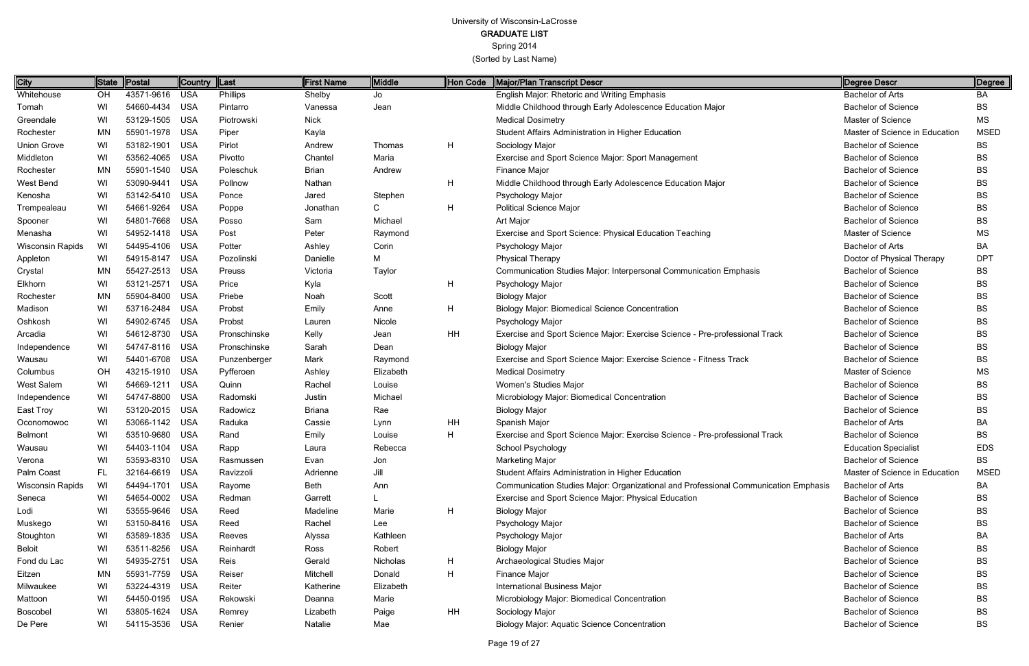Spring 2014

| City                    | ∥State    | Postal         | Country  Last |              | First Name    | Middle      | Hon Code | Major/Plan Transcript Descr                                                         | Degree Descr                   | ∥Degree     |
|-------------------------|-----------|----------------|---------------|--------------|---------------|-------------|----------|-------------------------------------------------------------------------------------|--------------------------------|-------------|
| Whitehouse              | OH        | 43571-9616     | USA           | Phillips     | Shelby        | Jo          |          | English Major: Rhetoric and Writing Emphasis                                        | <b>Bachelor of Arts</b>        | BA          |
| Tomah                   | WI        | 54660-4434     | USA           | Pintarro     | Vanessa       | Jean        |          | Middle Childhood through Early Adolescence Education Major                          | <b>Bachelor of Science</b>     | <b>BS</b>   |
| Greendale               | WI        | 53129-1505 USA |               | Piotrowski   | <b>Nick</b>   |             |          | <b>Medical Dosimetry</b>                                                            | <b>Master of Science</b>       | <b>MS</b>   |
| Rochester               | <b>MN</b> | 55901-1978 USA |               | Piper        | Kayla         |             |          | Student Affairs Administration in Higher Education                                  | Master of Science in Education | <b>MSED</b> |
| <b>Union Grove</b>      | WI        | 53182-1901 USA |               | Pirlot       | Andrew        | Thomas      | H        | Sociology Major                                                                     | <b>Bachelor of Science</b>     | <b>BS</b>   |
| Middleton               | WI        | 53562-4065 USA |               | Pivotto      | Chantel       | Maria       |          | Exercise and Sport Science Major: Sport Management                                  | <b>Bachelor of Science</b>     | <b>BS</b>   |
| Rochester               | <b>MN</b> | 55901-1540 USA |               | Poleschuk    | <b>Brian</b>  | Andrew      |          | Finance Major                                                                       | <b>Bachelor of Science</b>     | BS          |
| West Bend               | WI        | 53090-9441     | USA           | Pollnow      | Nathan        |             | H        | Middle Childhood through Early Adolescence Education Major                          | <b>Bachelor of Science</b>     | <b>BS</b>   |
| Kenosha                 | WI        | 53142-5410 USA |               | Ponce        | Jared         | Stephen     |          | Psychology Major                                                                    | <b>Bachelor of Science</b>     | <b>BS</b>   |
| Trempealeau             | WI        | 54661-9264     | USA           | Poppe        | Jonathan      | $\mathsf C$ | H        | <b>Political Science Major</b>                                                      | <b>Bachelor of Science</b>     | <b>BS</b>   |
| Spooner                 | WI        | 54801-7668 USA |               | Posso        | Sam           | Michael     |          | Art Major                                                                           | <b>Bachelor of Science</b>     | BS          |
| Menasha                 | WI        | 54952-1418 USA |               | Post         | Peter         | Raymond     |          | Exercise and Sport Science: Physical Education Teaching                             | Master of Science              | MS          |
| <b>Wisconsin Rapids</b> | WI        | 54495-4106 USA |               | Potter       | Ashley        | Corin       |          | Psychology Major                                                                    | <b>Bachelor of Arts</b>        | BA          |
| Appleton                | WI        | 54915-8147 USA |               | Pozolinski   | Danielle      | Μ           |          | <b>Physical Therapy</b>                                                             | Doctor of Physical Therapy     | <b>DPT</b>  |
| Crystal                 | <b>MN</b> | 55427-2513 USA |               | Preuss       | Victoria      | Taylor      |          | Communication Studies Major: Interpersonal Communication Emphasis                   | <b>Bachelor of Science</b>     | BS          |
| Elkhorn                 | WI        | 53121-2571     | USA           | Price        | Kyla          |             | H        | Psychology Major                                                                    | <b>Bachelor of Science</b>     | BS          |
| Rochester               | <b>MN</b> | 55904-8400 USA |               | Priebe       | Noah          | Scott       |          | <b>Biology Major</b>                                                                | <b>Bachelor of Science</b>     | BS          |
| Madison                 | WI        | 53716-2484     | USA           | Probst       | Emily         | Anne        | H        | <b>Biology Major: Biomedical Science Concentration</b>                              | <b>Bachelor of Science</b>     | BS          |
| Oshkosh                 | WI        | 54902-6745 USA |               | Probst       | Lauren        | Nicole      |          | Psychology Major                                                                    | <b>Bachelor of Science</b>     | BS          |
| Arcadia                 | WI        | 54612-8730 USA |               | Pronschinske | Kelly         | Jean        | HH       | Exercise and Sport Science Major: Exercise Science - Pre-professional Track         | <b>Bachelor of Science</b>     | <b>BS</b>   |
| Independence            | WI        | 54747-8116 USA |               | Pronschinske | Sarah         | Dean        |          | <b>Biology Major</b>                                                                | <b>Bachelor of Science</b>     | BS          |
| Wausau                  | WI        | 54401-6708 USA |               | Punzenberger | Mark          | Raymond     |          | Exercise and Sport Science Major: Exercise Science - Fitness Track                  | <b>Bachelor of Science</b>     | <b>BS</b>   |
| Columbus                | OH        | 43215-1910 USA |               | Pyfferoen    | Ashley        | Elizabeth   |          | <b>Medical Dosimetry</b>                                                            | Master of Science              | MS          |
| West Salem              | WI        | 54669-1211 USA |               | Quinn        | Rachel        | Louise      |          | Women's Studies Major                                                               | <b>Bachelor of Science</b>     | BS          |
| Independence            | WI        | 54747-8800 USA |               | Radomski     | Justin        | Michael     |          | Microbiology Major: Biomedical Concentration                                        | <b>Bachelor of Science</b>     | BS          |
| East Troy               | WI        | 53120-2015 USA |               | Radowicz     | <b>Briana</b> | Rae         |          | <b>Biology Major</b>                                                                | <b>Bachelor of Science</b>     | <b>BS</b>   |
| Oconomowoc              | WI        | 53066-1142 USA |               | Raduka       | Cassie        | Lynn        | HH       | Spanish Major                                                                       | <b>Bachelor of Arts</b>        | BA          |
| Belmont                 | WI        | 53510-9680 USA |               | Rand         | Emily         | Louise      | H        | Exercise and Sport Science Major: Exercise Science - Pre-professional Track         | <b>Bachelor of Science</b>     | BS          |
| Wausau                  | WI        | 54403-1104 USA |               | Rapp         | Laura         | Rebecca     |          | School Psychology                                                                   | <b>Education Specialist</b>    | <b>EDS</b>  |
| Verona                  | WI        | 53593-8310 USA |               | Rasmussen    | Evan          | Jon         |          | <b>Marketing Major</b>                                                              | <b>Bachelor of Science</b>     | <b>BS</b>   |
| Palm Coast              | FL.       | 32164-6619 USA |               | Ravizzoli    | Adrienne      | Jill        |          | Student Affairs Administration in Higher Education                                  | Master of Science in Education | <b>MSED</b> |
| Wisconsin Rapids        | WI        | 54494-1701 USA |               | Rayome       | Beth          | Ann         |          | Communication Studies Major: Organizational and Professional Communication Emphasis | <b>Bachelor of Arts</b>        | BA          |
| Seneca                  | WI        | 54654-0002 USA |               | Redman       | Garrett       |             |          | Exercise and Sport Science Major: Physical Education                                | <b>Bachelor of Science</b>     | BS          |
| Lodi                    | WI        | 53555-9646 USA |               | Reed         | Madeline      | Marie       | H        | <b>Biology Major</b>                                                                | <b>Bachelor of Science</b>     | BS          |
| Muskego                 | WI        | 53150-8416 USA |               | Reed         | Rachel        | Lee         |          | Psychology Major                                                                    | <b>Bachelor of Science</b>     | BS          |
| Stoughton               | WI        | 53589-1835 USA |               | Reeves       | Alyssa        | Kathleen    |          | Psychology Major                                                                    | <b>Bachelor of Arts</b>        | BA          |
| <b>Beloit</b>           | WI        | 53511-8256 USA |               | Reinhardt    | Ross          | Robert      |          | <b>Biology Major</b>                                                                | <b>Bachelor of Science</b>     | BS          |
| Fond du Lac             | WI        | 54935-2751 USA |               | Reis         | Gerald        | Nicholas    | H        | Archaeological Studies Major                                                        | <b>Bachelor of Science</b>     | BS          |
| Eitzen                  | MN        | 55931-7759 USA |               | Reiser       | Mitchell      | Donald      | H        | Finance Major                                                                       | <b>Bachelor of Science</b>     | BS          |
| Milwaukee               | WI        | 53224-4319 USA |               | Reiter       | Katherine     | Elizabeth   |          | <b>International Business Major</b>                                                 | <b>Bachelor of Science</b>     | BS          |
| Mattoon                 | WI        | 54450-0195 USA |               | Rekowski     | Deanna        | Marie       |          | Microbiology Major: Biomedical Concentration                                        | <b>Bachelor of Science</b>     | BS          |
| Boscobel                | WI        | 53805-1624 USA |               | Remrey       | Lizabeth      | Paige       | HH       | Sociology Major                                                                     | <b>Bachelor of Science</b>     | BS          |
| De Pere                 | WI        | 54115-3536 USA |               | Renier       | Natalie       | Mae         |          | <b>Biology Major: Aquatic Science Concentration</b>                                 | <b>Bachelor of Science</b>     | BS          |
|                         |           |                |               |              |               |             |          |                                                                                     |                                |             |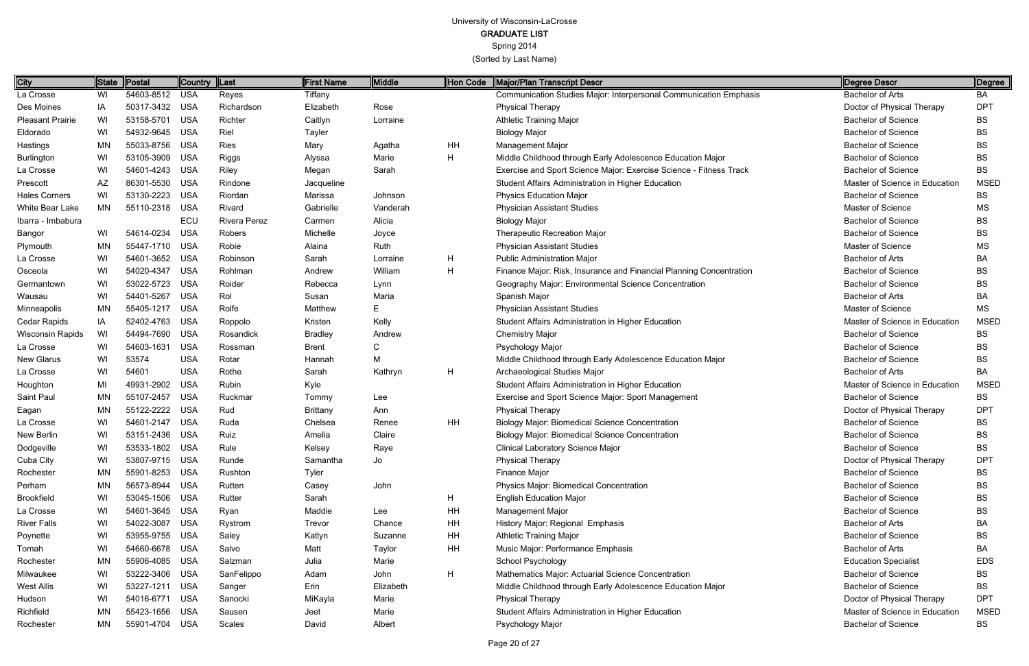Spring 2014

(Sorted by Last Name)

Page 20 of 27

| City                    | ∥State    | Postal         | <b>Country</b> | $\ $ Last    | <b>First Name</b> | <b>Middle</b> | Hon Code | Major/Plan Transcript Descr                                         | Degree Descr                   | Degree      |
|-------------------------|-----------|----------------|----------------|--------------|-------------------|---------------|----------|---------------------------------------------------------------------|--------------------------------|-------------|
| La Crosse               | WI        | 54603-8512 USA |                | Reyes        | Tiffany           |               |          | Communication Studies Major: Interpersonal Communication Emphasis   | <b>Bachelor of Arts</b>        | BA          |
| Des Moines              | IA        | 50317-3432 USA |                | Richardson   | Elizabeth         | Rose          |          | <b>Physical Therapy</b>                                             | Doctor of Physical Therapy     | <b>DPT</b>  |
| <b>Pleasant Prairie</b> | WI        | 53158-5701     | USA            | Richter      | Caitlyn           | Lorraine      |          | <b>Athletic Training Major</b>                                      | <b>Bachelor of Science</b>     | <b>BS</b>   |
| Eldorado                | WI        | 54932-9645     | USA            | Riel         | Tayler            |               |          | <b>Biology Major</b>                                                | <b>Bachelor of Science</b>     | <b>BS</b>   |
| Hastings                | <b>MN</b> | 55033-8756 USA |                | <b>Ries</b>  | Mary              | Agatha        | HH       | <b>Management Major</b>                                             | <b>Bachelor of Science</b>     | <b>BS</b>   |
| Burlington              | WI        | 53105-3909     | USA            | Riggs        | Alyssa            | Marie         | H        | Middle Childhood through Early Adolescence Education Major          | <b>Bachelor of Science</b>     | <b>BS</b>   |
| La Crosse               | WI        | 54601-4243 USA |                | Riley        | Megan             | Sarah         |          | Exercise and Sport Science Major: Exercise Science - Fitness Track  | <b>Bachelor of Science</b>     | <b>BS</b>   |
| Prescott                | AZ        | 86301-5530     | USA            | Rindone      | Jacqueline        |               |          | Student Affairs Administration in Higher Education                  | Master of Science in Education | <b>MSED</b> |
| <b>Hales Corners</b>    | WI        | 53130-2223     | USA            | Riordan      | Marissa           | Johnson       |          | <b>Physics Education Major</b>                                      | <b>Bachelor of Science</b>     | BS          |
| White Bear Lake         | <b>MN</b> | 55110-2318 USA |                | Rivard       | Gabrielle         | Vanderah      |          | <b>Physician Assistant Studies</b>                                  | <b>Master of Science</b>       | MS          |
| Ibarra - Imbabura       |           |                | ECU            | Rivera Perez | Carmen            | Alicia        |          | <b>Biology Major</b>                                                | <b>Bachelor of Science</b>     | <b>BS</b>   |
| Bangor                  | WI        | 54614-0234     | USA            | Robers       | Michelle          | Joyce         |          | Therapeutic Recreation Major                                        | <b>Bachelor of Science</b>     | <b>BS</b>   |
| Plymouth                | MN        | 55447-1710 USA |                | Robie        | Alaina            | Ruth          |          | <b>Physician Assistant Studies</b>                                  | <b>Master of Science</b>       | <b>MS</b>   |
| La Crosse               | WI        | 54601-3652 USA |                | Robinson     | Sarah             | Lorraine      | H        | <b>Public Administration Major</b>                                  | Bachelor of Arts               | BA          |
| Osceola                 | WI        | 54020-4347     | USA            | Rohlman      | Andrew            | William       | H        | Finance Major: Risk, Insurance and Financial Planning Concentration | <b>Bachelor of Science</b>     | <b>BS</b>   |
| Germantown              | WI        | 53022-5723     | USA            | Roider       | Rebecca           | Lynn          |          | Geography Major: Environmental Science Concentration                | <b>Bachelor of Science</b>     | <b>BS</b>   |
| Wausau                  | WI        | 54401-5267     | USA            | Rol          | Susan             | Maria         |          | Spanish Major                                                       | <b>Bachelor of Arts</b>        | BA          |
| Minneapolis             | MN        | 55405-1217     | USA            | Rolfe        | Matthew           | Е             |          | <b>Physician Assistant Studies</b>                                  | Master of Science              | <b>MS</b>   |
| Cedar Rapids            | IA        | 52402-4763 USA |                | Roppolo      | Kristen           | Kelly         |          | Student Affairs Administration in Higher Education                  | Master of Science in Education | <b>MSED</b> |
| Wisconsin Rapids        | WI        | 54494-7690     | <b>USA</b>     | Rosandick    | <b>Bradley</b>    | Andrew        |          | <b>Chemistry Major</b>                                              | <b>Bachelor of Science</b>     | <b>BS</b>   |
| La Crosse               | WI        | 54603-1631     | USA            | Rossman      | <b>Brent</b>      |               |          | Psychology Major                                                    | <b>Bachelor of Science</b>     | <b>BS</b>   |
| New Glarus              | WI        | 53574          | <b>USA</b>     | Rotar        | Hannah            | М             |          | Middle Childhood through Early Adolescence Education Major          | <b>Bachelor of Science</b>     | <b>BS</b>   |
| La Crosse               | WI        | 54601          | <b>USA</b>     | Rothe        | Sarah             | Kathryn       | H        | Archaeological Studies Major                                        | <b>Bachelor of Arts</b>        | BA          |
| Houghton                | MI        | 49931-2902     | USA            | Rubin        | Kyle              |               |          | Student Affairs Administration in Higher Education                  | Master of Science in Education | <b>MSED</b> |
| Saint Paul              | <b>MN</b> | 55107-2457     | USA            | Ruckmar      | Tommy             | Lee           |          | Exercise and Sport Science Major: Sport Management                  | <b>Bachelor of Science</b>     | BS          |
| Eagan                   | MN        | 55122-2222     | USA            | Rud          | <b>Brittany</b>   | Ann           |          | <b>Physical Therapy</b>                                             | Doctor of Physical Therapy     | <b>DPT</b>  |
| La Crosse               | WI        | 54601-2147     | USA            | Ruda         | Chelsea           | Renee         | HH       | <b>Biology Major: Biomedical Science Concentration</b>              | <b>Bachelor of Science</b>     | <b>BS</b>   |
| New Berlin              | WI        | 53151-2436     | USA            | Ruiz         | Amelia            | Claire        |          | <b>Biology Major: Biomedical Science Concentration</b>              | <b>Bachelor of Science</b>     | <b>BS</b>   |
| Dodgeville              | WI        | 53533-1802 USA |                | Rule         | Kelsey            | Raye          |          | <b>Clinical Laboratory Science Major</b>                            | Bachelor of Science            | <b>BS</b>   |
| Cuba City               | WI        | 53807-9715 USA |                | Runde        | Samantha          | Jo            |          | <b>Physical Therapy</b>                                             | Doctor of Physical Therapy     | <b>DPT</b>  |
| Rochester               | MN        | 55901-8253 USA |                | Rushton      | Tyler             |               |          | Finance Major                                                       | <b>Bachelor of Science</b>     | <b>BS</b>   |
| Perham                  | MN        | 56573-8944 USA |                | Rutten       | Casey             | John          |          | Physics Major: Biomedical Concentration                             | <b>Bachelor of Science</b>     | <b>BS</b>   |
| <b>Brookfield</b>       | WI        | 53045-1506 USA |                | Rutter       | Sarah             |               | H        | <b>English Education Major</b>                                      | <b>Bachelor of Science</b>     | <b>BS</b>   |
| La Crosse               | WI        | 54601-3645 USA |                | Ryan         | Maddie            | Lee           | HH       | Management Major                                                    | <b>Bachelor of Science</b>     | <b>BS</b>   |
| <b>River Falls</b>      | WI        | 54022-3087 USA |                | Rystrom      | Trevor            | Chance        | HH       | History Major: Regional Emphasis                                    | Bachelor of Arts               | BA          |
| Poynette                | WI        | 53955-9755 USA |                | Saley        | Katlyn            | Suzanne       | HH       | <b>Athletic Training Major</b>                                      | <b>Bachelor of Science</b>     | <b>BS</b>   |
| Tomah                   | WI        | 54660-6678 USA |                | Salvo        | Matt              | Taylor        | HH       | Music Major: Performance Emphasis                                   | <b>Bachelor of Arts</b>        | BA          |
| Rochester               | MN        | 55906-4085 USA |                | Salzman      | Julia             | Marie         |          | School Psychology                                                   | <b>Education Specialist</b>    | <b>EDS</b>  |
| Milwaukee               | WI        | 53222-3406 USA |                | SanFelippo   | Adam              | John          | H        | Mathematics Major: Actuarial Science Concentration                  | <b>Bachelor of Science</b>     | <b>BS</b>   |
| West Allis              | WI        | 53227-1211 USA |                | Sanger       | Erin              | Elizabeth     |          | Middle Childhood through Early Adolescence Education Major          | <b>Bachelor of Science</b>     | <b>BS</b>   |
| Hudson                  | WI        | 54016-6771 USA |                | Sanocki      | MiKayla           | Marie         |          | <b>Physical Therapy</b>                                             | Doctor of Physical Therapy     | <b>DPT</b>  |
| Richfield               | MN        | 55423-1656 USA |                | Sausen       | Jeet              | Marie         |          | Student Affairs Administration in Higher Education                  | Master of Science in Education | <b>MSED</b> |
| Rochester               | ΜN        | 55901-4704 USA |                | Scales       | David             | Albert        |          | Psychology Major                                                    | <b>Bachelor of Science</b>     | BS          |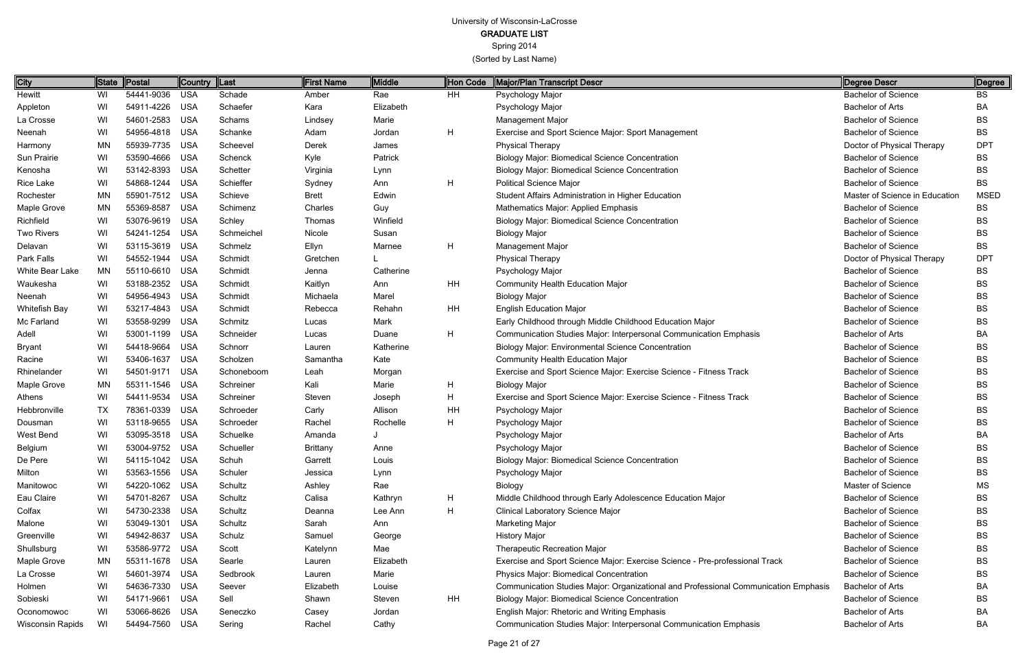Spring 2014

| <b>City</b>             |           | State Postal   | Country  Last |            | First Name      | Middle    | Hon Code | Major/Plan Transcript Descr                                                         | Degree Descr                   | Degree      |
|-------------------------|-----------|----------------|---------------|------------|-----------------|-----------|----------|-------------------------------------------------------------------------------------|--------------------------------|-------------|
| Hewitt                  | WI        | 54441-9036 USA |               | Schade     | Amber           | Rae       | HH       | Psychology Major                                                                    | <b>Bachelor of Science</b>     | BS          |
| Appleton                | WI        | 54911-4226 USA |               | Schaefer   | Kara            | Elizabeth |          | Psychology Major                                                                    | <b>Bachelor of Arts</b>        | BA          |
| La Crosse               | WI        | 54601-2583 USA |               | Schams     | Lindsey         | Marie     |          | <b>Management Major</b>                                                             | <b>Bachelor of Science</b>     | BS          |
| Neenah                  | WI        | 54956-4818 USA |               | Schanke    | Adam            | Jordan    | H        | Exercise and Sport Science Major: Sport Management                                  | <b>Bachelor of Science</b>     | <b>BS</b>   |
| Harmony                 | <b>MN</b> | 55939-7735 USA |               | Scheevel   | Derek           | James     |          | <b>Physical Therapy</b>                                                             | Doctor of Physical Therapy     | <b>DPT</b>  |
| Sun Prairie             | WI        | 53590-4666 USA |               | Schenck    | Kyle            | Patrick   |          | <b>Biology Major: Biomedical Science Concentration</b>                              | <b>Bachelor of Science</b>     | <b>BS</b>   |
| Kenosha                 | WI        | 53142-8393 USA |               | Schetter   | Virginia        | Lynn      |          | <b>Biology Major: Biomedical Science Concentration</b>                              | <b>Bachelor of Science</b>     | BS          |
| Rice Lake               | WI        | 54868-1244 USA |               | Schieffer  | Sydney          | Ann       | H        | <b>Political Science Major</b>                                                      | <b>Bachelor of Science</b>     | <b>BS</b>   |
| Rochester               | <b>MN</b> | 55901-7512 USA |               | Schieve    | <b>Brett</b>    | Edwin     |          | Student Affairs Administration in Higher Education                                  | Master of Science in Education | <b>MSED</b> |
| Maple Grove             | MN        | 55369-8587     | USA           | Schimenz   | Charles         | Guy       |          | Mathematics Major: Applied Emphasis                                                 | <b>Bachelor of Science</b>     | <b>BS</b>   |
| Richfield               | WI        | 53076-9619 USA |               | Schley     | Thomas          | Winfield  |          | <b>Biology Major: Biomedical Science Concentration</b>                              | <b>Bachelor of Science</b>     | BS          |
| <b>Two Rivers</b>       | WI        | 54241-1254 USA |               | Schmeichel | Nicole          | Susan     |          | <b>Biology Major</b>                                                                | <b>Bachelor of Science</b>     | <b>BS</b>   |
| Delavan                 | WI        | 53115-3619 USA |               | Schmelz    | Ellyn           | Marnee    | H        | <b>Management Major</b>                                                             | <b>Bachelor of Science</b>     | <b>BS</b>   |
| Park Falls              | WI        | 54552-1944 USA |               | Schmidt    | Gretchen        |           |          | <b>Physical Therapy</b>                                                             | Doctor of Physical Therapy     | <b>DPT</b>  |
| White Bear Lake         | MN        | 55110-6610 USA |               | Schmidt    | Jenna           | Catherine |          | Psychology Major                                                                    | <b>Bachelor of Science</b>     | BS          |
| Waukesha                | WI        | 53188-2352 USA |               | Schmidt    | Kaitlyn         | Ann       | HH       | <b>Community Health Education Major</b>                                             | <b>Bachelor of Science</b>     | <b>BS</b>   |
| Neenah                  | WI        | 54956-4943 USA |               | Schmidt    | Michaela        | Marel     |          | <b>Biology Major</b>                                                                | <b>Bachelor of Science</b>     | BS          |
| Whitefish Bay           | WI        | 53217-4843 USA |               | Schmidt    | Rebecca         | Rehahn    | HH       | <b>English Education Major</b>                                                      | <b>Bachelor of Science</b>     | <b>BS</b>   |
| Mc Farland              | WI        | 53558-9299 USA |               | Schmitz    | Lucas           | Mark      |          | Early Childhood through Middle Childhood Education Major                            | <b>Bachelor of Science</b>     | BS          |
| Adell                   | WI        | 53001-1199 USA |               | Schneider  | Lucas           | Duane     | H        | Communication Studies Major: Interpersonal Communication Emphasis                   | <b>Bachelor of Arts</b>        | BA          |
| <b>Bryant</b>           | WI        | 54418-9664 USA |               | Schnorr    | Lauren          | Katherine |          | <b>Biology Major: Environmental Science Concentration</b>                           | <b>Bachelor of Science</b>     | BS          |
| Racine                  | WI        | 53406-1637     | <b>USA</b>    | Scholzen   | Samantha        | Kate      |          | <b>Community Health Education Major</b>                                             | <b>Bachelor of Science</b>     | <b>BS</b>   |
| Rhinelander             | WI        | 54501-9171 USA |               | Schoneboom | Leah            | Morgan    |          | Exercise and Sport Science Major: Exercise Science - Fitness Track                  | <b>Bachelor of Science</b>     | BS          |
| Maple Grove             | <b>MN</b> | 55311-1546 USA |               | Schreiner  | Kali            | Marie     | H        | <b>Biology Major</b>                                                                | <b>Bachelor of Science</b>     | <b>BS</b>   |
| Athens                  | WI        | 54411-9534 USA |               | Schreiner  | Steven          | Joseph    | н        | Exercise and Sport Science Major: Exercise Science - Fitness Track                  | <b>Bachelor of Science</b>     | BS          |
| Hebbronville            | TX        | 78361-0339 USA |               | Schroeder  | Carly           | Allison   | HH       | Psychology Major                                                                    | <b>Bachelor of Science</b>     | <b>BS</b>   |
| Dousman                 | WI        | 53118-9655 USA |               | Schroeder  | Rachel          | Rochelle  | н        | Psychology Major                                                                    | <b>Bachelor of Science</b>     | ВS          |
| West Bend               | WI        | 53095-3518 USA |               | Schuelke   | Amanda          |           |          | Psychology Major                                                                    | <b>Bachelor of Arts</b>        | ΒA          |
| Belgium                 | WI        | 53004-9752 USA |               | Schueller  | <b>Brittany</b> | Anne      |          | Psychology Major                                                                    | <b>Bachelor of Science</b>     | BS          |
| De Pere                 | WI        | 54115-1042 USA |               | Schuh      | Garrett         | Louis     |          | <b>Biology Major: Biomedical Science Concentration</b>                              | <b>Bachelor of Science</b>     | BS          |
| Milton                  | WI        | 53563-1556 USA |               | Schuler    | Jessica         | Lynn      |          | Psychology Major                                                                    | <b>Bachelor of Science</b>     | BS.         |
| Manitowoc               | WI        | 54220-1062 USA |               | Schultz    | Ashley          | Rae       |          | Biology                                                                             | <b>Master of Science</b>       | МS          |
| Eau Claire              | WI        | 54701-8267 USA |               | Schultz    | Calisa          | Kathryn   | H.       | Middle Childhood through Early Adolescence Education Major                          | <b>Bachelor of Science</b>     | BS          |
| Colfax                  | WI        | 54730-2338 USA |               | Schultz    | Deanna          | Lee Ann   | H        | <b>Clinical Laboratory Science Major</b>                                            | <b>Bachelor of Science</b>     | BS          |
| Malone                  | WI        | 53049-1301 USA |               | Schultz    | Sarah           | Ann       |          | Marketing Major                                                                     | <b>Bachelor of Science</b>     | BS.         |
| Greenville              | WI        | 54942-8637 USA |               | Schulz     | Samuel          | George    |          | <b>History Major</b>                                                                | <b>Bachelor of Science</b>     | BS          |
| Shullsburg              | WI        | 53586-9772 USA |               | Scott      | Katelynn        | Mae       |          | Therapeutic Recreation Major                                                        | <b>Bachelor of Science</b>     | BS          |
| Maple Grove             | MN        | 55311-1678 USA |               | Searle     | Lauren          | Elizabeth |          | Exercise and Sport Science Major: Exercise Science - Pre-professional Track         | <b>Bachelor of Science</b>     | BS          |
| La Crosse               | WI        | 54601-3974 USA |               | Sedbrook   | Lauren          | Marie     |          | Physics Major: Biomedical Concentration                                             | <b>Bachelor of Science</b>     | BS.         |
| Holmen                  | WI        | 54636-7330 USA |               | Seever     | Elizabeth       | Louise    |          | Communication Studies Major: Organizational and Professional Communication Emphasis | <b>Bachelor of Arts</b>        | BA          |
| Sobieski                | WI        | 54171-9661 USA |               | Sell       | Shawn           | Steven    | HH       | <b>Biology Major: Biomedical Science Concentration</b>                              | <b>Bachelor of Science</b>     | BS          |
| Oconomowoc              | WI        | 53066-8626 USA |               | Seneczko   | Casey           | Jordan    |          | English Major: Rhetoric and Writing Emphasis                                        | <b>Bachelor of Arts</b>        | BA          |
| <b>Wisconsin Rapids</b> | WI        | 54494-7560 USA |               | Sering     | Rachel          | Cathy     |          | Communication Studies Major: Interpersonal Communication Emphasis                   | <b>Bachelor of Arts</b>        | BA          |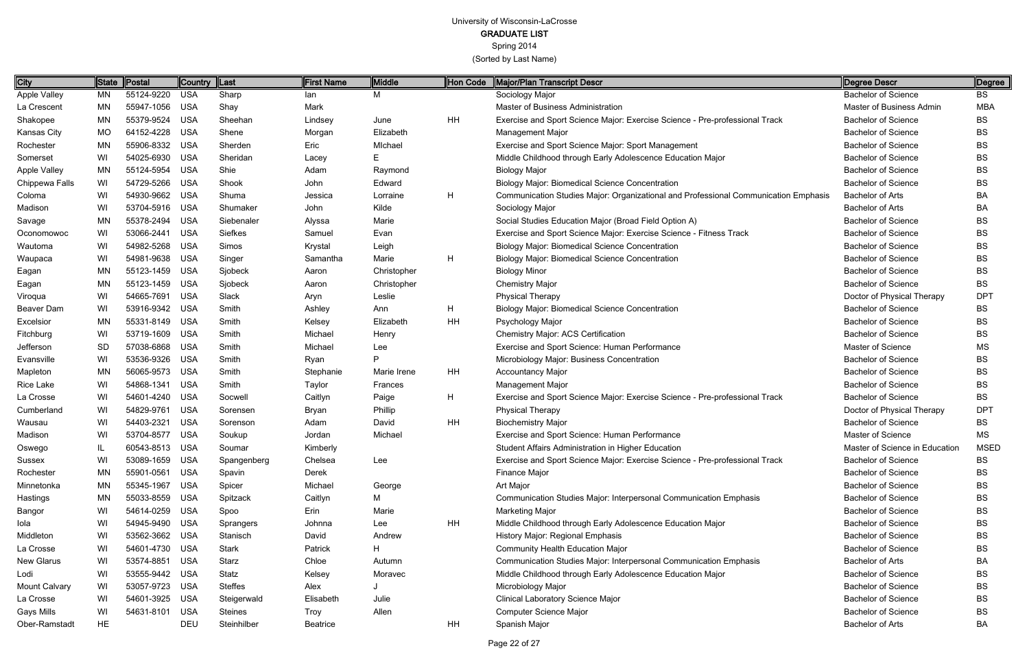GRADUATE LIST

Spring 2014

| City                 | <b>State</b> | Postal         | Country  Last |                | <b>First Name</b> | Middle      | Hon Code | Major/Plan Transcript Descr                                                         | Degree Descr                   | Degree      |
|----------------------|--------------|----------------|---------------|----------------|-------------------|-------------|----------|-------------------------------------------------------------------------------------|--------------------------------|-------------|
| <b>Apple Valley</b>  | ΜN           | 55124-9220     | <b>USA</b>    | Sharp          | lan               | М           |          | Sociology Major                                                                     | <b>Bachelor of Science</b>     | BS          |
| La Crescent          | <b>MN</b>    | 55947-1056     | USA           | Shay           | Mark              |             |          | <b>Master of Business Administration</b>                                            | Master of Business Admin       | <b>MBA</b>  |
| Shakopee             | <b>MN</b>    | 55379-9524     | <b>USA</b>    | Sheehan        | Lindsey           | June        | HH       | Exercise and Sport Science Major: Exercise Science - Pre-professional Track         | <b>Bachelor of Science</b>     | BS          |
| Kansas City          | <b>MO</b>    | 64152-4228     | USA           | Shene          | Morgan            | Elizabeth   |          | Management Major                                                                    | <b>Bachelor of Science</b>     | ВS          |
| Rochester            | <b>MN</b>    | 55906-8332 USA |               | Sherden        | Eric              | Michael     |          | Exercise and Sport Science Major: Sport Management                                  | <b>Bachelor of Science</b>     | ВS          |
| Somerset             | WI           | 54025-6930     | USA           | Sheridan       | Lacey             | E.          |          | Middle Childhood through Early Adolescence Education Major                          | <b>Bachelor of Science</b>     | BS          |
| Apple Valley         | <b>MN</b>    | 55124-5954     | USA           | Shie           | Adam              | Raymond     |          | <b>Biology Major</b>                                                                | <b>Bachelor of Science</b>     | BS          |
| Chippewa Falls       | WI           | 54729-5266 USA |               | Shook          | John              | Edward      |          | <b>Biology Major: Biomedical Science Concentration</b>                              | <b>Bachelor of Science</b>     | ВS          |
| Coloma               | WI           | 54930-9662 USA |               | Shuma          | Jessica           | Lorraine    | H        | Communication Studies Major: Organizational and Professional Communication Emphasis | <b>Bachelor of Arts</b>        | BA          |
| Madison              | WI           | 53704-5916 USA |               | Shumaker       | John              | Kilde       |          | Sociology Major                                                                     | <b>Bachelor of Arts</b>        | ВA          |
| Savage               | <b>MN</b>    | 55378-2494 USA |               | Siebenaler     | Alyssa            | Marie       |          | Social Studies Education Major (Broad Field Option A)                               | <b>Bachelor of Science</b>     | BS          |
| Oconomowoc           | WI           | 53066-2441 USA |               | Siefkes        | Samuel            | Evan        |          | Exercise and Sport Science Major: Exercise Science - Fitness Track                  | <b>Bachelor of Science</b>     | ВS          |
| Wautoma              | WI           | 54982-5268 USA |               | Simos          | Krystal           | Leigh       |          | <b>Biology Major: Biomedical Science Concentration</b>                              | <b>Bachelor of Science</b>     | ВS          |
| Waupaca              | WI           | 54981-9638 USA |               | Singer         | Samantha          | Marie       | H        | <b>Biology Major: Biomedical Science Concentration</b>                              | <b>Bachelor of Science</b>     | BS          |
| Eagan                | <b>MN</b>    | 55123-1459 USA |               | Sjobeck        | Aaron             | Christopher |          | <b>Biology Minor</b>                                                                | <b>Bachelor of Science</b>     | BS          |
| Eagan                | <b>MN</b>    | 55123-1459 USA |               | Sjobeck        | Aaron             | Christopher |          | <b>Chemistry Major</b>                                                              | <b>Bachelor of Science</b>     | BS          |
| Viroqua              | WI           | 54665-7691 USA |               | Slack          | Aryn              | Leslie      |          | <b>Physical Therapy</b>                                                             | Doctor of Physical Therapy     | <b>DPT</b>  |
| Beaver Dam           | WI           | 53916-9342 USA |               | Smith          | Ashley            | Ann         | H        | <b>Biology Major: Biomedical Science Concentration</b>                              | <b>Bachelor of Science</b>     | BS          |
| Excelsior            | <b>MN</b>    | 55331-8149 USA |               | Smith          | Kelsey            | Elizabeth   | HH       | Psychology Major                                                                    | <b>Bachelor of Science</b>     | ВS          |
| Fitchburg            | WI           | 53719-1609 USA |               | Smith          | Michael           | Henry       |          | <b>Chemistry Major: ACS Certification</b>                                           | <b>Bachelor of Science</b>     | BS          |
| Jefferson            | SD           | 57038-6868 USA |               | Smith          | Michael           | Lee         |          | Exercise and Sport Science: Human Performance                                       | Master of Science              | <b>MS</b>   |
| Evansville           | WI           | 53536-9326 USA |               | Smith          | Ryan              | P           |          | Microbiology Major: Business Concentration                                          | <b>Bachelor of Science</b>     | BS          |
| Mapleton             | <b>MN</b>    | 56065-9573 USA |               | Smith          | Stephanie         | Marie Irene | HH       | <b>Accountancy Major</b>                                                            | <b>Bachelor of Science</b>     | ВS          |
| Rice Lake            | WI           | 54868-1341     | USA           | Smith          | Taylor            | Frances     |          | Management Major                                                                    | <b>Bachelor of Science</b>     | BS          |
| La Crosse            | WI           | 54601-4240 USA |               | Socwell        | Caitlyn           | Paige       | H        | Exercise and Sport Science Major: Exercise Science - Pre-professional Track         | <b>Bachelor of Science</b>     | BS          |
| Cumberland           | WI           | 54829-9761 USA |               | Sorensen       | Bryan             | Phillip     |          | <b>Physical Therapy</b>                                                             | Doctor of Physical Therapy     | <b>DPT</b>  |
| Wausau               | WI           | 54403-2321     | USA           | Sorenson       | Adam              | David       | HH       | <b>Biochemistry Major</b>                                                           | <b>Bachelor of Science</b>     | BS          |
| Madison              | WI           | 53704-8577     | USA           | Soukup         | Jordan            | Michael     |          | Exercise and Sport Science: Human Performance                                       | Master of Science              | МS          |
| Oswego               |              | 60543-8513 USA |               | Soumar         | Kimberly          |             |          | Student Affairs Administration in Higher Education                                  | Master of Science in Education | <b>MSED</b> |
| <b>Sussex</b>        | WI           | 53089-1659 USA |               | Spangenberg    | Chelsea           | Lee         |          | Exercise and Sport Science Major: Exercise Science - Pre-professional Track         | <b>Bachelor of Science</b>     | <b>BS</b>   |
| Rochester            | MN           | 55901-0561 USA |               | Spavin         | Derek             |             |          | Finance Major                                                                       | <b>Bachelor of Science</b>     | ВS          |
| Minnetonka           | <b>MN</b>    | 55345-1967 USA |               | Spicer         | Michael           | George      |          | Art Major                                                                           | <b>Bachelor of Science</b>     | BS          |
| Hastings             | <b>MN</b>    | 55033-8559 USA |               | Spitzack       | Caitlyn           | М           |          | Communication Studies Major: Interpersonal Communication Emphasis                   | <b>Bachelor of Science</b>     | ВS          |
| Bangor               | WI           | 54614-0259 USA |               | Spoo           | Erin              | Marie       |          | Marketing Major                                                                     | <b>Bachelor of Science</b>     | BS          |
| lola                 | WI           | 54945-9490 USA |               | Sprangers      | Johnna            | Lee         | HH       | Middle Childhood through Early Adolescence Education Major                          | <b>Bachelor of Science</b>     | BS          |
| Middleton            | WI           | 53562-3662 USA |               | Stanisch       | David             | Andrew      |          | History Major: Regional Emphasis                                                    | <b>Bachelor of Science</b>     | BS          |
| La Crosse            | WI           | 54601-4730 USA |               | <b>Stark</b>   | Patrick           | H.          |          | <b>Community Health Education Major</b>                                             | <b>Bachelor of Science</b>     | ВS          |
| <b>New Glarus</b>    | WI           | 53574-8851 USA |               | Starz          | Chloe             | Autumn      |          | Communication Studies Major: Interpersonal Communication Emphasis                   | Bachelor of Arts               | ΒA          |
| Lodi                 | WI           | 53555-9442 USA |               | Statz          | Kelsey            | Moravec     |          | Middle Childhood through Early Adolescence Education Major                          | <b>Bachelor of Science</b>     | BS          |
| <b>Mount Calvary</b> | WI           | 53057-9723 USA |               | <b>Steffes</b> | Alex              |             |          | Microbiology Major                                                                  | <b>Bachelor of Science</b>     | BS          |
| La Crosse            | WI           | 54601-3925 USA |               | Steigerwald    | Elisabeth         | Julie       |          | <b>Clinical Laboratory Science Major</b>                                            | <b>Bachelor of Science</b>     | ВS          |
| Gays Mills           | WI           | 54631-8101 USA |               | <b>Steines</b> | <b>Troy</b>       | Allen       |          | <b>Computer Science Major</b>                                                       | <b>Bachelor of Science</b>     | BS          |
| Ober-Ramstadt        | <b>HE</b>    |                | DEU           | Steinhilber    | Beatrice          |             | HH       | Spanish Major                                                                       | Bachelor of Arts               | BA          |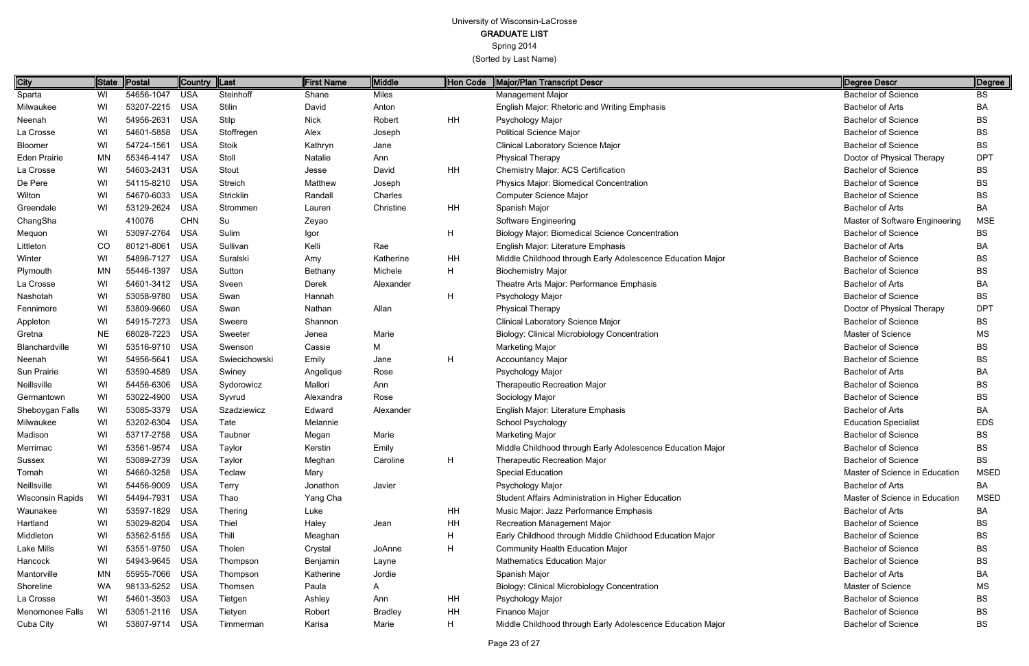Spring 2014

| Degree Descr                   | Degree      |
|--------------------------------|-------------|
| <b>Bachelor of Science</b>     | <b>BS</b>   |
| <b>Bachelor of Arts</b>        | BA          |
| <b>Bachelor of Science</b>     | <b>BS</b>   |
| <b>Bachelor of Science</b>     | <b>BS</b>   |
| <b>Bachelor of Science</b>     | <b>BS</b>   |
| Doctor of Physical Therapy     | <b>DPT</b>  |
| <b>Bachelor of Science</b>     | <b>BS</b>   |
| <b>Bachelor of Science</b>     | <b>BS</b>   |
| <b>Bachelor of Science</b>     | <b>BS</b>   |
| <b>Bachelor of Arts</b>        | BA          |
| Master of Software Engineering | MSE         |
| <b>Bachelor of Science</b>     | <b>BS</b>   |
| <b>Bachelor of Arts</b>        | BA          |
| <b>Bachelor of Science</b>     | <b>BS</b>   |
| <b>Bachelor of Science</b>     | <b>BS</b>   |
| <b>Bachelor of Arts</b>        | BA          |
| <b>Bachelor of Science</b>     | BS          |
| Doctor of Physical Therapy     | <b>DPT</b>  |
| <b>Bachelor of Science</b>     | <b>BS</b>   |
| Master of Science              | <b>MS</b>   |
| <b>Bachelor of Science</b>     | BS          |
| <b>Bachelor of Science</b>     | BS          |
| <b>Bachelor of Arts</b>        | BA          |
| <b>Bachelor of Science</b>     | <b>BS</b>   |
| <b>Bachelor of Science</b>     | BS          |
| <b>Bachelor of Arts</b>        | BA          |
| <b>Education Specialist</b>    | <b>EDS</b>  |
| <b>Bachelor of Science</b>     | BS          |
| <b>Bachelor of Science</b>     | BS          |
| <b>Bachelor of Science</b>     | BS          |
| Master of Science in Education | <b>MSED</b> |
| <b>Bachelor of Arts</b>        | BA.         |
| Master of Science in Education | <b>MSED</b> |
| <b>Bachelor of Arts</b>        | BA.         |
| Bachelor of Science            | <b>BS</b>   |
| Bachelor of Science            | <b>BS</b>   |
| Bachelor of Science            | <b>BS</b>   |
| <b>Bachelor of Science</b>     | <b>BS</b>   |
| <b>Bachelor of Arts</b>        | BA.         |
| Master of Science              | MS          |
| Bachelor of Science            | BS          |
| <b>Bachelor of Science</b>     | BS          |
| <b>Bachelor of Science</b>     | BS          |

| <b>City</b>             | State     | Postal         | Country  Last |               | <b>First Name</b> | Middle         | Hon Code       | Major/Plan Transcript Descr                                | Degree Descr                   | Degree      |
|-------------------------|-----------|----------------|---------------|---------------|-------------------|----------------|----------------|------------------------------------------------------------|--------------------------------|-------------|
| Sparta                  | WI        | 54656-1047     | <b>USA</b>    | Steinhoff     | Shane             | <b>Miles</b>   |                | Management Major                                           | <b>Bachelor of Science</b>     | <b>BS</b>   |
| Milwaukee               | WI        | 53207-2215     | <b>USA</b>    | Stilin        | David             | Anton          |                | <b>English Major: Rhetoric and Writing Emphasis</b>        | <b>Bachelor of Arts</b>        | BA          |
| Neenah                  | WI        | 54956-2631     | <b>USA</b>    | Stilp         | <b>Nick</b>       | Robert         | <b>HH</b>      | Psychology Major                                           | <b>Bachelor of Science</b>     | BS          |
| La Crosse               | WI        | 54601-5858     | <b>USA</b>    | Stoffregen    | Alex              | Joseph         |                | <b>Political Science Major</b>                             | <b>Bachelor of Science</b>     | <b>BS</b>   |
| Bloomer                 | WI        | 54724-1561     | <b>USA</b>    | Stoik         | Kathryn           | Jane           |                | <b>Clinical Laboratory Science Major</b>                   | <b>Bachelor of Science</b>     | <b>BS</b>   |
| <b>Eden Prairie</b>     | <b>MN</b> | 55346-4147     | <b>USA</b>    | Stoll         | Natalie           | Ann            |                | <b>Physical Therapy</b>                                    | Doctor of Physical Therapy     | <b>DPT</b>  |
| La Crosse               | WI        | 54603-2431     | <b>USA</b>    | Stout         | Jesse             | David          | <b>HH</b>      | Chemistry Major: ACS Certification                         | <b>Bachelor of Science</b>     | <b>BS</b>   |
| De Pere                 | WI        | 54115-8210     | <b>USA</b>    | Streich       | Matthew           | Joseph         |                | Physics Major: Biomedical Concentration                    | <b>Bachelor of Science</b>     | <b>BS</b>   |
| Wilton                  | WI        | 54670-6033     | <b>USA</b>    | Stricklin     | Randall           | Charles        |                | Computer Science Major                                     | <b>Bachelor of Science</b>     | <b>BS</b>   |
| Greendale               | WI        | 53129-2624     | <b>USA</b>    | Strommen      | Lauren            | Christine      | <b>HH</b>      | Spanish Major                                              | <b>Bachelor of Arts</b>        | BA          |
| ChangSha                |           | 410076         | <b>CHN</b>    | Su            | Zeyao             |                |                | Software Engineering                                       | Master of Software Engineering | <b>MSE</b>  |
| Mequon                  | WI        | 53097-2764     | <b>USA</b>    | Sulim         | Igor              |                | $\overline{H}$ | <b>Biology Major: Biomedical Science Concentration</b>     | <b>Bachelor of Science</b>     | BS          |
| Littleton               | CO        | 80121-8061     | <b>USA</b>    | Sullivan      | Kelli             | Rae            |                | English Major: Literature Emphasis                         | <b>Bachelor of Arts</b>        | BA          |
| Winter                  | WI        | 54896-7127     | <b>USA</b>    | Suralski      | Amy               | Katherine      | <b>HH</b>      | Middle Childhood through Early Adolescence Education Major | <b>Bachelor of Science</b>     | ВS          |
| Plymouth                | ΜN        | 55446-1397     | <b>USA</b>    | Sutton        | Bethany           | Michele        | H              | <b>Biochemistry Major</b>                                  | <b>Bachelor of Science</b>     | <b>BS</b>   |
| La Crosse               | WI        | 54601-3412     | <b>USA</b>    | Sveen         | Derek             | Alexander      |                | Theatre Arts Major: Performance Emphasis                   | <b>Bachelor of Arts</b>        | BA          |
| Nashotah                | WI        | 53058-9780     | <b>USA</b>    | Swan          | Hannah            |                | H              | Psychology Major                                           | <b>Bachelor of Science</b>     | <b>BS</b>   |
| Fennimore               | WI        | 53809-9660     | <b>USA</b>    | Swan          | Nathan            | Allan          |                | <b>Physical Therapy</b>                                    | Doctor of Physical Therapy     | <b>DPT</b>  |
| Appleton                | WI        | 54915-7273     | <b>USA</b>    | Sweere        | Shannon           |                |                | Clinical Laboratory Science Major                          | <b>Bachelor of Science</b>     | <b>BS</b>   |
| Gretna                  | NE.       | 68028-7223     | <b>USA</b>    | Sweeter       | Jenea             | Marie          |                | <b>Biology: Clinical Microbiology Concentration</b>        | Master of Science              | MS          |
| Blanchardville          | WI        | 53516-9710     | <b>USA</b>    | Swenson       | Cassie            | Μ              |                | <b>Marketing Major</b>                                     | <b>Bachelor of Science</b>     | <b>BS</b>   |
| Neenah                  | WI        | 54956-5641     | <b>USA</b>    | Swiecichowski | Emily             | Jane           | H              | <b>Accountancy Major</b>                                   | <b>Bachelor of Science</b>     | <b>BS</b>   |
| Sun Prairie             | WI        | 53590-4589     | <b>USA</b>    | Swiney        | Angelique         | Rose           |                | Psychology Major                                           | Bachelor of Arts               | BA          |
| Neillsville             | WI        | 54456-6306     | <b>USA</b>    | Sydorowicz    | Mallori           | Ann            |                | Therapeutic Recreation Major                               | <b>Bachelor of Science</b>     | <b>BS</b>   |
| Germantown              | WI        | 53022-4900     | <b>USA</b>    | Syvrud        | Alexandra         | Rose           |                | Sociology Major                                            | <b>Bachelor of Science</b>     | <b>BS</b>   |
| Sheboygan Falls         | WI        | 53085-3379     | <b>USA</b>    | Szadziewicz   | Edward            | Alexander      |                | English Major: Literature Emphasis                         | <b>Bachelor of Arts</b>        | BA          |
| Milwaukee               | WI        | 53202-6304     | <b>USA</b>    | Tate          | Melannie          |                |                | School Psychology                                          | <b>Education Specialist</b>    | <b>EDS</b>  |
| Madison                 | WI        | 53717-2758     | <b>USA</b>    | Taubner       | Megan             | Marie          |                | Marketing Major                                            | <b>Bachelor of Science</b>     | <b>BS</b>   |
| Merrimac                | WI        | 53561-9574 USA |               | <b>Taylor</b> | Kerstin           | Emily          |                | Middle Childhood through Early Adolescence Education Major | <b>Bachelor of Science</b>     | BS          |
| Sussex                  | WI        | 53089-2739 USA |               | Taylor        | Meghan            | Caroline       | H              | <b>Therapeutic Recreation Major</b>                        | <b>Bachelor of Science</b>     | BS          |
| Tomah                   | WI        | 54660-3258     | <b>USA</b>    | Teclaw        | Mary              |                |                | Special Education                                          | Master of Science in Education | <b>MSED</b> |
| Neillsville             | WI        | 54456-9009     | <b>USA</b>    | Terry         | Jonathon          | Javier         |                | Psychology Major                                           | <b>Bachelor of Arts</b>        | BA          |
| <b>Wisconsin Rapids</b> | WI        | 54494-7931     | <b>USA</b>    | Thao          | Yang Cha          |                |                | Student Affairs Administration in Higher Education         | Master of Science in Education | <b>MSED</b> |
| Waunakee                | WI        | 53597-1829     | <b>USA</b>    | Thering       | Luke              |                | <b>HH</b>      | Music Major: Jazz Performance Emphasis                     | <b>Bachelor of Arts</b>        | BA          |
| Hartland                | WI        | 53029-8204     | <b>USA</b>    | Thiel         | Haley             | Jean           | HH             | Recreation Management Major                                | <b>Bachelor of Science</b>     | BS          |
| Middleton               | WI        | 53562-5155     | USA           | Thill         | Meaghan           |                | H              | Early Childhood through Middle Childhood Education Major   | <b>Bachelor of Science</b>     | BS          |
| Lake Mills              | WI        | 53551-9750     | <b>USA</b>    | Tholen        | Crystal           | JoAnne         | H              | Community Health Education Major                           | <b>Bachelor of Science</b>     | BS          |
| Hancock                 | WI        | 54943-9645     | <b>USA</b>    | Thompson      | Benjamin          | Layne          |                | <b>Mathematics Education Major</b>                         | <b>Bachelor of Science</b>     | <b>BS</b>   |
| Mantorville             | ΜN        | 55955-7066     | USA           | Thompson      | Katherine         | Jordie         |                | Spanish Major                                              | <b>Bachelor of Arts</b>        | BA          |
| Shoreline               | WA        | 98133-5252     | <b>USA</b>    | Thomsen       | Paula             | A              |                | Biology: Clinical Microbiology Concentration               | Master of Science              | MS.         |
| La Crosse               | WI        | 54601-3503     | <b>USA</b>    | Tietgen       | Ashley            | Ann            | HH             | Psychology Major                                           | <b>Bachelor of Science</b>     | BS          |
| Menomonee Falls         | WI        | 53051-2116     | USA           | Tietyen       | Robert            | <b>Bradley</b> | <b>HH</b>      | Finance Major                                              | <b>Bachelor of Science</b>     | BS          |
| Cuba City               | WI        | 53807-9714 USA |               | Timmerman     | Karisa            | Marie          | H              | Middle Childhood through Early Adolescence Education Major | <b>Bachelor of Science</b>     | BS          |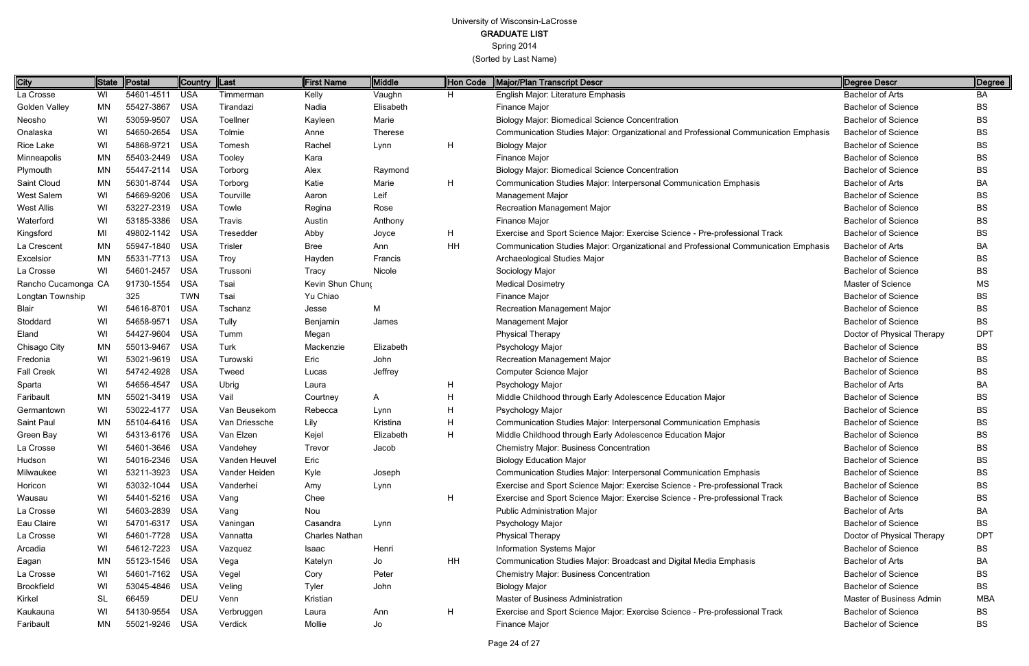### GRADUATE LIST

Spring 2014

| City                | State     | Postal         | Country  Last |               | <b>First Name</b>     | Middle         | Hon Code | Major/Plan Transcript Descr                                                         | Degree Descr               | Degree     |
|---------------------|-----------|----------------|---------------|---------------|-----------------------|----------------|----------|-------------------------------------------------------------------------------------|----------------------------|------------|
| La Crosse           | WI        | 54601-4511     | USA           | Timmerman     | Kelly                 | Vaughn         | H.       | English Major: Literature Emphasis                                                  | <b>Bachelor of Arts</b>    | BA         |
| Golden Valley       | <b>MN</b> | 55427-3867     | USA           | Tirandazi     | Nadia                 | Elisabeth      |          | Finance Major                                                                       | <b>Bachelor of Science</b> | <b>BS</b>  |
| Neosho              | WI        | 53059-9507     | USA           | Toellner      | Kayleen               | Marie          |          | <b>Biology Major: Biomedical Science Concentration</b>                              | <b>Bachelor of Science</b> | <b>BS</b>  |
| Onalaska            | WI        | 54650-2654     | <b>USA</b>    | Tolmie        | Anne                  | <b>Therese</b> |          | Communication Studies Major: Organizational and Professional Communication Emphasis | <b>Bachelor of Science</b> | BS         |
| Rice Lake           | WI        | 54868-9721     | USA           | Tomesh        | Rachel                | Lynn           | H        | <b>Biology Major</b>                                                                | <b>Bachelor of Science</b> | BS         |
| Minneapolis         | <b>MN</b> | 55403-2449 USA |               | Tooley        | Kara                  |                |          | Finance Major                                                                       | <b>Bachelor of Science</b> | <b>BS</b>  |
| Plymouth            | <b>MN</b> | 55447-2114 USA |               | Torborg       | Alex                  | Raymond        |          | <b>Biology Major: Biomedical Science Concentration</b>                              | <b>Bachelor of Science</b> | BS         |
| Saint Cloud         | MN        | 56301-8744     | <b>USA</b>    | Torborg       | Katie                 | Marie          | H        | Communication Studies Major: Interpersonal Communication Emphasis                   | <b>Bachelor of Arts</b>    | BA         |
| West Salem          | WI        | 54669-9206 USA |               | Tourville     | Aaron                 | Leif           |          | <b>Management Major</b>                                                             | <b>Bachelor of Science</b> | BS         |
| West Allis          | WI        | 53227-2319 USA |               | Towle         | Regina                | Rose           |          | <b>Recreation Management Major</b>                                                  | <b>Bachelor of Science</b> | BS         |
| Waterford           | WI        | 53185-3386 USA |               | Travis        | Austin                | Anthony        |          | Finance Major                                                                       | <b>Bachelor of Science</b> | BS         |
| Kingsford           | MI        | 49802-1142 USA |               | Tresedder     | Abby                  | Joyce          | H        | Exercise and Sport Science Major: Exercise Science - Pre-professional Track         | <b>Bachelor of Science</b> | <b>BS</b>  |
| La Crescent         | <b>MN</b> | 55947-1840 USA |               | Trisler       | <b>Bree</b>           | Ann            | HH       | Communication Studies Major: Organizational and Professional Communication Emphasis | <b>Bachelor of Arts</b>    | BA         |
| Excelsior           | MN        | 55331-7713 USA |               | <b>Troy</b>   | Hayden                | Francis        |          | Archaeological Studies Major                                                        | <b>Bachelor of Science</b> | BS         |
| La Crosse           | WI        | 54601-2457 USA |               | Trussoni      | Tracy                 | Nicole         |          | Sociology Major                                                                     | <b>Bachelor of Science</b> | BS         |
| Rancho Cucamonga CA |           | 91730-1554     | <b>USA</b>    | Tsai          | Kevin Shun Chung      |                |          | <b>Medical Dosimetry</b>                                                            | Master of Science          | МS         |
| Longtan Township    |           | 325            | <b>TWN</b>    | Tsai          | Yu Chiao              |                |          | Finance Major                                                                       | <b>Bachelor of Science</b> | BS         |
| Blair               | WI        | 54616-8701     | USA           | Tschanz       | Jesse                 | M              |          | <b>Recreation Management Major</b>                                                  | <b>Bachelor of Science</b> | BS         |
| Stoddard            | WI        | 54658-9571 USA |               | Tully         | Benjamin              | James          |          | <b>Management Major</b>                                                             | <b>Bachelor of Science</b> | BS         |
| Eland               | WI        | 54427-9604     | <b>USA</b>    | Tumm          | Megan                 |                |          | <b>Physical Therapy</b>                                                             | Doctor of Physical Therapy | <b>DPT</b> |
| Chisago City        | <b>MN</b> | 55013-9467 USA |               | <b>Turk</b>   | Mackenzie             | Elizabeth      |          | Psychology Major                                                                    | <b>Bachelor of Science</b> | BS         |
| Fredonia            | WI        | 53021-9619 USA |               | Turowski      | Eric                  | John           |          | <b>Recreation Management Major</b>                                                  | <b>Bachelor of Science</b> | BS         |
| <b>Fall Creek</b>   | WI        | 54742-4928 USA |               | Tweed         | Lucas                 | Jeffrey        |          | Computer Science Major                                                              | <b>Bachelor of Science</b> | BS         |
| Sparta              | WI        | 54656-4547     | <b>USA</b>    | Ubrig         | Laura                 |                | H        | Psychology Major                                                                    | <b>Bachelor of Arts</b>    | BA         |
| Faribault           | <b>MN</b> | 55021-3419 USA |               | Vail          | Courtney              | A              | H        | Middle Childhood through Early Adolescence Education Major                          | <b>Bachelor of Science</b> | BS         |
| Germantown          | WI        | 53022-4177 USA |               | Van Beusekom  | Rebecca               | Lynn           | H        | Psychology Major                                                                    | <b>Bachelor of Science</b> | BS         |
| Saint Paul          | MN        | 55104-6416 USA |               | Van Driessche | Lily                  | Kristina       | H        | Communication Studies Major: Interpersonal Communication Emphasis                   | <b>Bachelor of Science</b> | BS         |
| Green Bay           | WI        | 54313-6176 USA |               | Van Elzen     | Kejel                 | Elizabeth      | H        | Middle Childhood through Early Adolescence Education Major                          | <b>Bachelor of Science</b> | BS         |
| La Crosse           | WI        | 54601-3646 USA |               | Vandehey      | Trevor                | Jacob          |          | <b>Chemistry Major: Business Concentration</b>                                      | <b>Bachelor of Science</b> | BS         |
| Hudson              | WI        | 54016-2346 USA |               | Vanden Heuvel | Eric                  |                |          | <b>Biology Education Major</b>                                                      | <b>Bachelor of Science</b> | BS         |
| Milwaukee           | WI        | 53211-3923 USA |               | Vander Heiden | Kyle                  | Joseph         |          | Communication Studies Major: Interpersonal Communication Emphasis                   | <b>Bachelor of Science</b> | <b>BS</b>  |
| Horicon             | WI        | 53032-1044 USA |               | Vanderhei     | Amy                   | Lynn           |          | Exercise and Sport Science Major: Exercise Science - Pre-professional Track         | <b>Bachelor of Science</b> | <b>BS</b>  |
| Wausau              | WI.       | 54401-5216 USA |               | Vang          | Chee                  |                | H        | Exercise and Sport Science Major: Exercise Science - Pre-professional Track         | <b>Bachelor of Science</b> | BS.        |
| La Crosse           | WI        | 54603-2839 USA |               | Vang          | Nou                   |                |          | <b>Public Administration Major</b>                                                  | <b>Bachelor of Arts</b>    | BA         |
| Eau Claire          | WI        | 54701-6317 USA |               | Vaningan      | Casandra              | Lynn           |          | Psychology Major                                                                    | <b>Bachelor of Science</b> | BS         |
| La Crosse           | WI.       | 54601-7728 USA |               | Vannatta      | <b>Charles Nathan</b> |                |          | <b>Physical Therapy</b>                                                             | Doctor of Physical Therapy | <b>DPT</b> |
| Arcadia             | WI.       | 54612-7223 USA |               | Vazquez       | Isaac                 | Henri          |          | Information Systems Major                                                           | <b>Bachelor of Science</b> | <b>BS</b>  |
| Eagan               | MN        | 55123-1546 USA |               | Vega          | Katelyn               | Jo             | HH       | Communication Studies Major: Broadcast and Digital Media Emphasis                   | <b>Bachelor of Arts</b>    | BA         |
| La Crosse           | WI        | 54601-7162 USA |               | Vegel         | Cory                  | Peter          |          | <b>Chemistry Major: Business Concentration</b>                                      | <b>Bachelor of Science</b> | <b>BS</b>  |
| <b>Brookfield</b>   | WI.       | 53045-4846 USA |               | Veling        | <b>Tyler</b>          | John           |          | <b>Biology Major</b>                                                                | <b>Bachelor of Science</b> | BS         |
| Kirkel              | SL.       | 66459          | <b>DEU</b>    | Venn          | Kristian              |                |          | <b>Master of Business Administration</b>                                            | Master of Business Admin   | MBA        |
| Kaukauna            | WI        | 54130-9554     | <b>USA</b>    | Verbruggen    | Laura                 | Ann            | H        | Exercise and Sport Science Major: Exercise Science - Pre-professional Track         | <b>Bachelor of Science</b> | BS         |
| Faribault           | ΜN        | 55021-9246 USA |               | Verdick       | Mollie                | Jo             |          | Finance Major                                                                       | <b>Bachelor of Science</b> | BS         |
|                     |           |                |               |               |                       |                |          |                                                                                     |                            |            |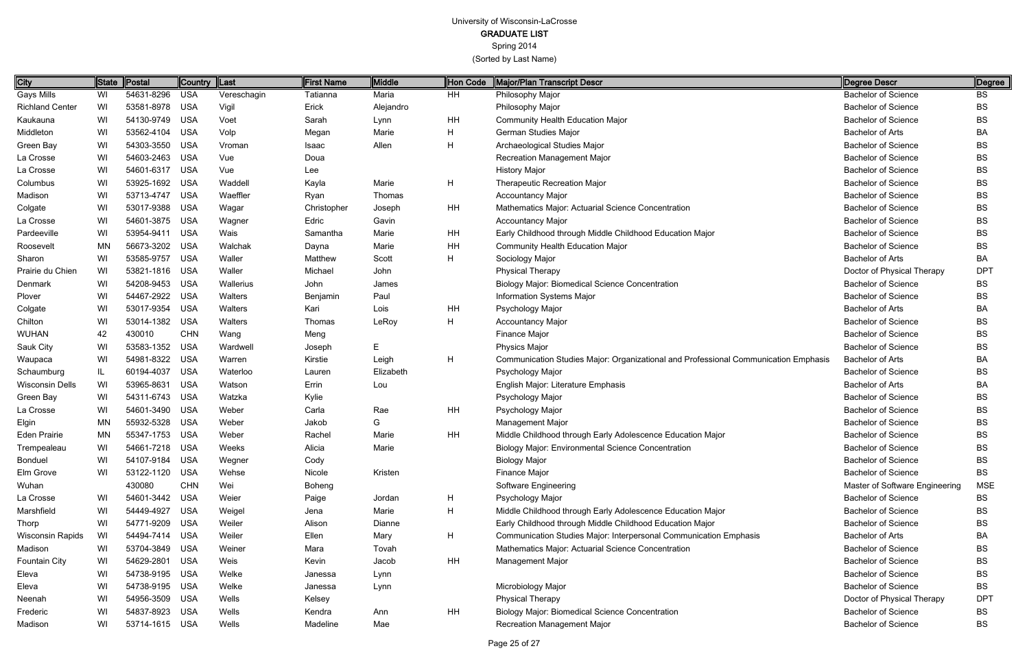Spring 2014

| City                    | State     | Postal         | <b>Country</b> | $\ $ Last   | First Name  | Middle    | Hon Code  | Major/Plan Transcript Descr                                                         | Degree Descr                   | Degree     |
|-------------------------|-----------|----------------|----------------|-------------|-------------|-----------|-----------|-------------------------------------------------------------------------------------|--------------------------------|------------|
| <b>Gays Mills</b>       | WI        | 54631-8296     | <b>USA</b>     | Vereschagin | Tatianna    | Maria     | HH        | Philosophy Major                                                                    | <b>Bachelor of Science</b>     | BS         |
| <b>Richland Center</b>  | WI        | 53581-8978 USA |                | Vigil       | Erick       | Alejandro |           | Philosophy Major                                                                    | <b>Bachelor of Science</b>     | <b>BS</b>  |
| Kaukauna                | WI        | 54130-9749 USA |                | Voet        | Sarah       | Lynn      | HH        | <b>Community Health Education Major</b>                                             | <b>Bachelor of Science</b>     | <b>BS</b>  |
| Middleton               | WI        | 53562-4104     | USA            | Volp        | Megan       | Marie     | Η         | German Studies Major                                                                | <b>Bachelor of Arts</b>        | BA         |
| Green Bay               | WI        | 54303-3550     | <b>USA</b>     | Vroman      | Isaac       | Allen     | H         | Archaeological Studies Major                                                        | <b>Bachelor of Science</b>     | <b>BS</b>  |
| La Crosse               | WI        | 54603-2463 USA |                | Vue         | Doua        |           |           | Recreation Management Major                                                         | <b>Bachelor of Science</b>     | <b>BS</b>  |
| La Crosse               | WI        | 54601-6317 USA |                | Vue         | Lee         |           |           | <b>History Major</b>                                                                | <b>Bachelor of Science</b>     | <b>BS</b>  |
| Columbus                | WI        | 53925-1692 USA |                | Waddell     | Kayla       | Marie     | H         | <b>Therapeutic Recreation Major</b>                                                 | <b>Bachelor of Science</b>     | <b>BS</b>  |
| Madison                 | WI        | 53713-4747     | USA            | Waeffler    | Ryan        | Thomas    |           | <b>Accountancy Major</b>                                                            | <b>Bachelor of Science</b>     | <b>BS</b>  |
| Colgate                 | WI        | 53017-9388     | <b>USA</b>     | Wagar       | Christopher | Joseph    | <b>HH</b> | Mathematics Major: Actuarial Science Concentration                                  | <b>Bachelor of Science</b>     | <b>BS</b>  |
| La Crosse               | WI        | 54601-3875 USA |                | Wagner      | Edric       | Gavin     |           | <b>Accountancy Major</b>                                                            | <b>Bachelor of Science</b>     | <b>BS</b>  |
| Pardeeville             | WI        | 53954-9411 USA |                | Wais        | Samantha    | Marie     | HH        | Early Childhood through Middle Childhood Education Major                            | <b>Bachelor of Science</b>     | <b>BS</b>  |
| Roosevelt               | <b>MN</b> | 56673-3202 USA |                | Walchak     | Dayna       | Marie     | HH        | <b>Community Health Education Major</b>                                             | <b>Bachelor of Science</b>     | <b>BS</b>  |
| Sharon                  | WI        | 53585-9757     | <b>USA</b>     | Waller      | Matthew     | Scott     | Н         | Sociology Major                                                                     | <b>Bachelor of Arts</b>        | BA         |
| Prairie du Chien        | WI        | 53821-1816 USA |                | Waller      | Michael     | John      |           | <b>Physical Therapy</b>                                                             | Doctor of Physical Therapy     | <b>DPT</b> |
| Denmark                 | WI        | 54208-9453 USA |                | Wallerius   | John        | James     |           | <b>Biology Major: Biomedical Science Concentration</b>                              | <b>Bachelor of Science</b>     | <b>BS</b>  |
| Plover                  | WI        | 54467-2922     | <b>USA</b>     | Walters     | Benjamin    | Paul      |           | Information Systems Major                                                           | <b>Bachelor of Science</b>     | <b>BS</b>  |
| Colgate                 | WI        | 53017-9354     | <b>USA</b>     | Walters     | Kari        | Lois      | HH        | Psychology Major                                                                    | <b>Bachelor of Arts</b>        | BA         |
| Chilton                 | WI        | 53014-1382 USA |                | Walters     | Thomas      | LeRoy     | H         | <b>Accountancy Major</b>                                                            | <b>Bachelor of Science</b>     | <b>BS</b>  |
| WUHAN                   | 42        | 430010         | <b>CHN</b>     | Wang        | Meng        |           |           | Finance Major                                                                       | <b>Bachelor of Science</b>     | <b>BS</b>  |
| Sauk City               | WI        | 53583-1352     | <b>USA</b>     | Wardwell    | Joseph      | E.        |           | <b>Physics Major</b>                                                                | <b>Bachelor of Science</b>     | <b>BS</b>  |
| Waupaca                 | WI        | 54981-8322     | <b>USA</b>     | Warren      | Kirstie     | Leigh     | H         | Communication Studies Major: Organizational and Professional Communication Emphasis | <b>Bachelor of Arts</b>        | BA         |
| Schaumburg              | IL        | 60194-4037     | <b>USA</b>     | Waterloo    | Lauren      | Elizabeth |           | Psychology Major                                                                    | <b>Bachelor of Science</b>     | <b>BS</b>  |
| <b>Wisconsin Dells</b>  | WI        | 53965-8631     | <b>USA</b>     | Watson      | Errin       | Lou       |           | English Major: Literature Emphasis                                                  | <b>Bachelor of Arts</b>        | BA         |
| Green Bay               | WI        | 54311-6743 USA |                | Watzka      | Kylie       |           |           | Psychology Major                                                                    | <b>Bachelor of Science</b>     | <b>BS</b>  |
| La Crosse               | WI        | 54601-3490     | USA            | Weber       | Carla       | Rae       | <b>HH</b> | Psychology Major                                                                    | <b>Bachelor of Science</b>     | <b>BS</b>  |
| Elgin                   | <b>MN</b> | 55932-5328     | <b>USA</b>     | Weber       | Jakob       | G         |           | Management Major                                                                    | <b>Bachelor of Science</b>     | <b>BS</b>  |
| <b>Eden Prairie</b>     | <b>MN</b> | 55347-1753 USA |                | Weber       | Rachel      | Marie     | <b>HH</b> | Middle Childhood through Early Adolescence Education Major                          | <b>Bachelor of Science</b>     | <b>BS</b>  |
| Trempealeau             | WI        | 54661-7218     | <b>USA</b>     | Weeks       | Alicia      | Marie     |           | <b>Biology Major: Environmental Science Concentration</b>                           | <b>Bachelor of Science</b>     | ВS         |
| Bonduel                 | WI        | 54107-9184 USA |                | Wegner      | Cody        |           |           | <b>Biology Major</b>                                                                | <b>Bachelor of Science</b>     | <b>BS</b>  |
| Elm Grove               | WI        | 53122-1120 USA |                | Wehse       | Nicole      | Kristen   |           | Finance Major                                                                       | <b>Bachelor of Science</b>     | <b>BS</b>  |
| Wuhan                   |           | 430080         | <b>CHN</b>     | Wei         | Boheng      |           |           | Software Engineering                                                                | Master of Software Engineering | <b>MSE</b> |
| La Crosse               | WI        | 54601-3442 USA |                | Weier       | Paige       | Jordan    | H         | Psychology Major                                                                    | <b>Bachelor of Science</b>     | BS         |
| Marshfield              | WI        | 54449-4927     | USA            | Weigel      | Jena        | Marie     | H         | Middle Childhood through Early Adolescence Education Major                          | <b>Bachelor of Science</b>     | <b>BS</b>  |
| Thorp                   | WI        | 54771-9209 USA |                | Weiler      | Alison      | Dianne    |           | Early Childhood through Middle Childhood Education Major                            | <b>Bachelor of Science</b>     | BS         |
| <b>Wisconsin Rapids</b> | WI        | 54494-7414 USA |                | Weiler      | Ellen       | Mary      | H         | Communication Studies Major: Interpersonal Communication Emphasis                   | <b>Bachelor of Arts</b>        | BA         |
| Madison                 | WI        | 53704-3849 USA |                | Weiner      | Mara        | Tovah     |           | Mathematics Major: Actuarial Science Concentration                                  | <b>Bachelor of Science</b>     | BS         |
| Fountain City           | WI        | 54629-2801 USA |                | Weis        | Kevin       | Jacob     | HH        | Management Major                                                                    | <b>Bachelor of Science</b>     | <b>BS</b>  |
| Eleva                   | WI        | 54738-9195 USA |                | Welke       | Janessa     | Lynn      |           |                                                                                     | <b>Bachelor of Science</b>     | <b>BS</b>  |
| Eleva                   | WI        | 54738-9195 USA |                | Welke       | Janessa     | Lynn      |           | Microbiology Major                                                                  | <b>Bachelor of Science</b>     | <b>BS</b>  |
| Neenah                  | WI        | 54956-3509 USA |                | Wells       | Kelsey      |           |           | <b>Physical Therapy</b>                                                             | Doctor of Physical Therapy     | <b>DPT</b> |
| Frederic                | WI        | 54837-8923 USA |                | Wells       | Kendra      | Ann       | HH        | <b>Biology Major: Biomedical Science Concentration</b>                              | <b>Bachelor of Science</b>     | BS         |
| Madison                 | WI        | 53714-1615 USA |                | Wells       | Madeline    | Mae       |           | Recreation Management Major                                                         | <b>Bachelor of Science</b>     | <b>BS</b>  |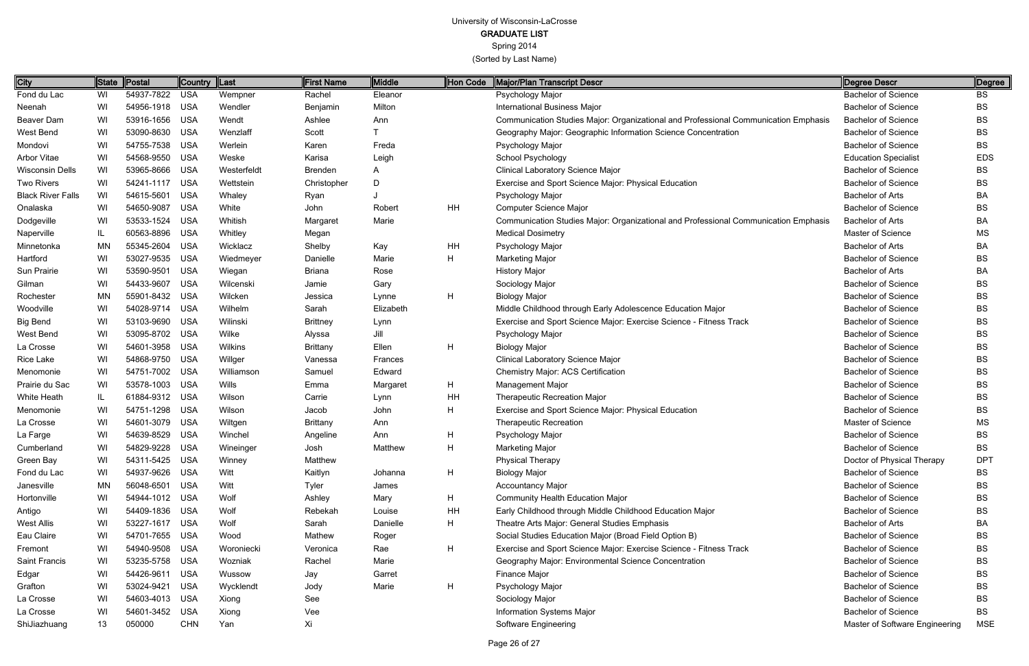GRADUATE LIST

Spring 2014

| City                     | State                   | Postal         | Country  Last |              | First Name      | Middle    | Hon Code  | Major/Plan Transcript Descr                                                         | Degree Descr                   | Degree     |
|--------------------------|-------------------------|----------------|---------------|--------------|-----------------|-----------|-----------|-------------------------------------------------------------------------------------|--------------------------------|------------|
| Fond du Lac              | WI                      | 54937-7822     | <b>USA</b>    | Wempner      | Rachel          | Eleanor   |           | Psychology Major                                                                    | <b>Bachelor of Science</b>     | <b>BS</b>  |
| Neenah                   | WI                      | 54956-1918     | <b>USA</b>    | Wendler      | Benjamin        | Milton    |           | <b>International Business Major</b>                                                 | <b>Bachelor of Science</b>     | BS         |
| Beaver Dam               | WI                      | 53916-1656     | <b>USA</b>    | Wendt        | Ashlee          | Ann       |           | Communication Studies Major: Organizational and Professional Communication Emphasis | <b>Bachelor of Science</b>     | BS         |
| West Bend                | WI                      | 53090-8630     | <b>USA</b>    | Wenzlaff     | Scott           |           |           | Geography Major: Geographic Information Science Concentration                       | <b>Bachelor of Science</b>     | BS         |
| Mondovi                  | WI                      | 54755-7538     | <b>USA</b>    | Werlein      | Karen           | Freda     |           | Psychology Major                                                                    | <b>Bachelor of Science</b>     | <b>BS</b>  |
| <b>Arbor Vitae</b>       | WI                      | 54568-9550     | <b>USA</b>    | Weske        | Karisa          | Leigh     |           | School Psychology                                                                   | <b>Education Specialist</b>    | <b>EDS</b> |
| <b>Wisconsin Dells</b>   | WI                      | 53965-8666     | <b>USA</b>    | Westerfeldt  | Brenden         | A         |           | Clinical Laboratory Science Major                                                   | <b>Bachelor of Science</b>     | <b>BS</b>  |
| <b>Two Rivers</b>        | WI                      | 54241-1117     | <b>USA</b>    | Wettstein    | Christopher     | D         |           | Exercise and Sport Science Major: Physical Education                                | <b>Bachelor of Science</b>     | BS         |
| <b>Black River Falls</b> | WI                      | 54615-5601     | <b>USA</b>    | Whaley       | Ryan            |           |           | Psychology Major                                                                    | <b>Bachelor of Arts</b>        | BA         |
| Onalaska                 | WI                      | 54650-9087     | <b>USA</b>    | White        | John            | Robert    | <b>HH</b> | <b>Computer Science Major</b>                                                       | <b>Bachelor of Science</b>     | <b>BS</b>  |
| Dodgeville               | WI                      | 53533-1524     | <b>USA</b>    | Whitish      | Margaret        | Marie     |           | Communication Studies Major: Organizational and Professional Communication Emphasis | <b>Bachelor of Arts</b>        | BA         |
| Naperville               | $\mathsf{I} \mathsf{L}$ | 60563-8896     | <b>USA</b>    | Whitley      | Megan           |           |           | <b>Medical Dosimetry</b>                                                            | Master of Science              | MS         |
| Minnetonka               | MN                      | 55345-2604     | <b>USA</b>    | Wicklacz     | Shelby          | Kay       | HH        | Psychology Major                                                                    | <b>Bachelor of Arts</b>        | BA         |
| Hartford                 | WI                      | 53027-9535     | <b>USA</b>    | Wiedmeyer    | Danielle        | Marie     | H         | <b>Marketing Major</b>                                                              | <b>Bachelor of Science</b>     | BS         |
| Sun Prairie              | WI                      | 53590-9501     | <b>USA</b>    | Wiegan       | <b>Briana</b>   | Rose      |           | <b>History Major</b>                                                                | <b>Bachelor of Arts</b>        | BA         |
| Gilman                   | WI                      | 54433-9607     | <b>USA</b>    | Wilcenski    | Jamie           | Gary      |           | Sociology Major                                                                     | <b>Bachelor of Science</b>     | BS         |
| Rochester                | MN                      | 55901-8432     | <b>USA</b>    | Wilcken      | Jessica         | Lynne     | H         | <b>Biology Major</b>                                                                | <b>Bachelor of Science</b>     | BS         |
| Woodville                | WI                      | 54028-9714     | <b>USA</b>    | Wilhelm      | Sarah           | Elizabeth |           | Middle Childhood through Early Adolescence Education Major                          | <b>Bachelor of Science</b>     | BS         |
| <b>Big Bend</b>          | WI                      | 53103-9690     | <b>USA</b>    | Wilinski     | <b>Brittney</b> | Lynn      |           | Exercise and Sport Science Major: Exercise Science - Fitness Track                  | <b>Bachelor of Science</b>     | BS         |
| West Bend                | WI                      | 53095-8702     | <b>USA</b>    | Wilke        | Alyssa          | Jill      |           | Psychology Major                                                                    | <b>Bachelor of Science</b>     | BS         |
| La Crosse                | WI                      | 54601-3958     | <b>USA</b>    | Wilkins      | <b>Brittany</b> | Ellen     | H         | <b>Biology Major</b>                                                                | <b>Bachelor of Science</b>     | <b>BS</b>  |
| Rice Lake                | WI                      | 54868-9750     | <b>USA</b>    | Willger      | Vanessa         | Frances   |           | Clinical Laboratory Science Major                                                   | <b>Bachelor of Science</b>     | <b>BS</b>  |
| Menomonie                | WI                      | 54751-7002     | <b>USA</b>    | Williamson   | Samuel          | Edward    |           | Chemistry Major: ACS Certification                                                  | <b>Bachelor of Science</b>     | <b>BS</b>  |
| Prairie du Sac           | WI                      | 53578-1003     | <b>USA</b>    | <b>Wills</b> | Emma            | Margaret  | H         | Management Major                                                                    | <b>Bachelor of Science</b>     | BS         |
| White Heath              | IL                      | 61884-9312 USA |               | Wilson       | Carrie          | Lynn      | HH        | <b>Therapeutic Recreation Major</b>                                                 | <b>Bachelor of Science</b>     | <b>BS</b>  |
| Menomonie                | WI                      | 54751-1298     | <b>USA</b>    | Wilson       | Jacob           | John      | H         | Exercise and Sport Science Major: Physical Education                                | <b>Bachelor of Science</b>     | <b>BS</b>  |
| La Crosse                | WI                      | 54601-3079     | <b>USA</b>    | Wiltgen      | <b>Brittany</b> | Ann       |           | <b>Therapeutic Recreation</b>                                                       | Master of Science              | МS         |
| La Farge                 | WI                      | 54639-8529     | <b>USA</b>    | Winchel      | Angeline        | Ann       | H         | Psychology Major                                                                    | <b>Bachelor of Science</b>     | <b>BS</b>  |
| Cumberland               | WI                      | 54829-9228     | <b>USA</b>    | Wineinger    | Josh            | Matthew   |           | <b>Marketing Major</b>                                                              | <b>Bachelor of Science</b>     | BS         |
| Green Bay                | WI                      | 54311-5425 USA |               | Winney       | Matthew         |           |           | <b>Physical Therapy</b>                                                             | Doctor of Physical Therapy     | <b>DPT</b> |
| Fond du Lac              | WI                      | 54937-9626     | USA           | Witt         | Kaitlyn         | Johanna   | H         | <b>Biology Major</b>                                                                | <b>Bachelor of Science</b>     | BS         |
| Janesville               | MN                      | 56048-6501     | USA           | Witt         | Tyler           | James     |           | <b>Accountancy Major</b>                                                            | <b>Bachelor of Science</b>     | BS         |
| Hortonville              | WI                      | 54944-1012 USA |               | Wolf         | Ashley          | Mary      | H         | <b>Community Health Education Major</b>                                             | <b>Bachelor of Science</b>     | BS         |
| Antigo                   | WI                      | 54409-1836     | USA           | Wolf         | Rebekah         | Louise    | HH        | Early Childhood through Middle Childhood Education Major                            | <b>Bachelor of Science</b>     | BS         |
| <b>West Allis</b>        | WI                      | 53227-1617     | USA           | Wolf         | Sarah           | Danielle  | H.        | Theatre Arts Major: General Studies Emphasis                                        | <b>Bachelor of Arts</b>        | BA         |
| Eau Claire               | WI                      | 54701-7655     | USA           | Wood         | Mathew          | Roger     |           | Social Studies Education Major (Broad Field Option B)                               | <b>Bachelor of Science</b>     | BS         |
| Fremont                  | WI                      | 54940-9508     | USA           | Woroniecki   | Veronica        | Rae       | H         | Exercise and Sport Science Major: Exercise Science - Fitness Track                  | <b>Bachelor of Science</b>     | BS         |
| Saint Francis            | WI                      | 53235-5758     | USA           | Wozniak      | Rachel          | Marie     |           | Geography Major: Environmental Science Concentration                                | <b>Bachelor of Science</b>     | BS         |
| Edgar                    | WI                      | 54426-9611     | USA           | Wussow       | Jay             | Garret    |           | Finance Major                                                                       | <b>Bachelor of Science</b>     | BS         |
| Grafton                  | WI                      | 53024-9421     | USA           | Wycklendt    | Jody            | Marie     | H         | Psychology Major                                                                    | <b>Bachelor of Science</b>     | BS         |
| La Crosse                | WI                      | 54603-4013 USA |               | Xiong        | See             |           |           | Sociology Major                                                                     | <b>Bachelor of Science</b>     | BS         |
| La Crosse                | WI                      | 54601-3452     | <b>USA</b>    | Xiong        | Vee             |           |           | Information Systems Major                                                           | <b>Bachelor of Science</b>     | BS         |
| ShiJiazhuang             | 13                      | 050000         | <b>CHN</b>    | Yan          | Xi              |           |           | Software Engineering                                                                | Master of Software Engineering | <b>MSE</b> |